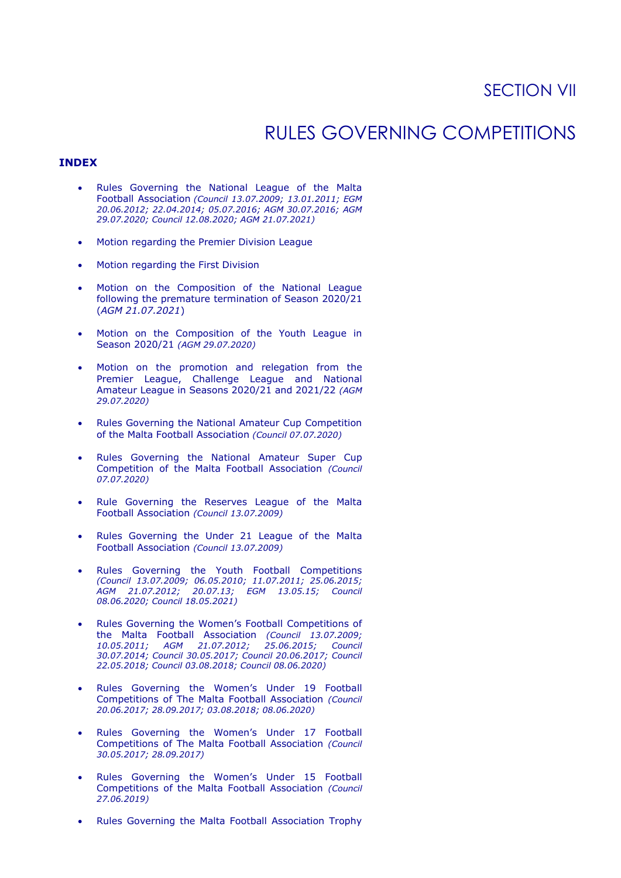# RULES GOVERNING COMPETITIONS

## **INDEX**

- Rules Governing the National League of the Malta Football Association *(Council 13.07.2009; 13.01.2011; EGM 20.06.2012; 22.04.2014; 05.07.2016; AGM 30.07.2016; AGM 29.07.2020; Council 12.08.2020; AGM 21.07.2021)*
- Motion regarding the Premier Division League
- Motion regarding the First Division
- Motion on the Composition of the National League following the premature termination of Season 2020/21 (*AGM 21.07.2021*)
- Motion on the Composition of the Youth League in Season 2020/21 *(AGM 29.07.2020)*
- Motion on the promotion and relegation from the Premier League, Challenge League and National Amateur League in Seasons 2020/21 and 2021/22 *(AGM 29.07.2020)*
- Rules Governing the National Amateur Cup Competition of the Malta Football Association *(Council 07.07.2020)*
- Rules Governing the National Amateur Super Cup Competition of the Malta Football Association *(Council 07.07.2020)*
- Rule Governing the Reserves League of the Malta Football Association *(Council 13.07.2009)*
- Rules Governing the Under 21 League of the Malta Football Association *(Council 13.07.2009)*
- Rules Governing the Youth Football Competitions *(Council 13.07.2009; 06.05.2010; 11.07.2011; 25.06.2015; AGM 21.07.2012; 20.07.13; EGM 13.05.15; Council 08.06.2020; Council 18.05.2021)*
- Rules Governing the Women's Football Competitions of the Malta Football Association *(Council 13.07.2009; 10.05.2011; AGM 21.07.2012; 25.06.2015; Council 30.07.2014; Council 30.05.2017; Council 20.06.2017; Council 22.05.2018; Council 03.08.2018; Council 08.06.2020)*
- Rules Governing the Women's Under 19 Football Competitions of The Malta Football Association *(Council 20.06.2017; 28.09.2017; 03.08.2018; 08.06.2020)*
- Rules Governing the Women's Under 17 Football Competitions of The Malta Football Association *(Council 30.05.2017; 28.09.2017)*
- Rules Governing the Women's Under 15 Football Competitions of the Malta Football Association *(Council 27.06.2019)*
- Rules Governing the Malta Football Association Trophy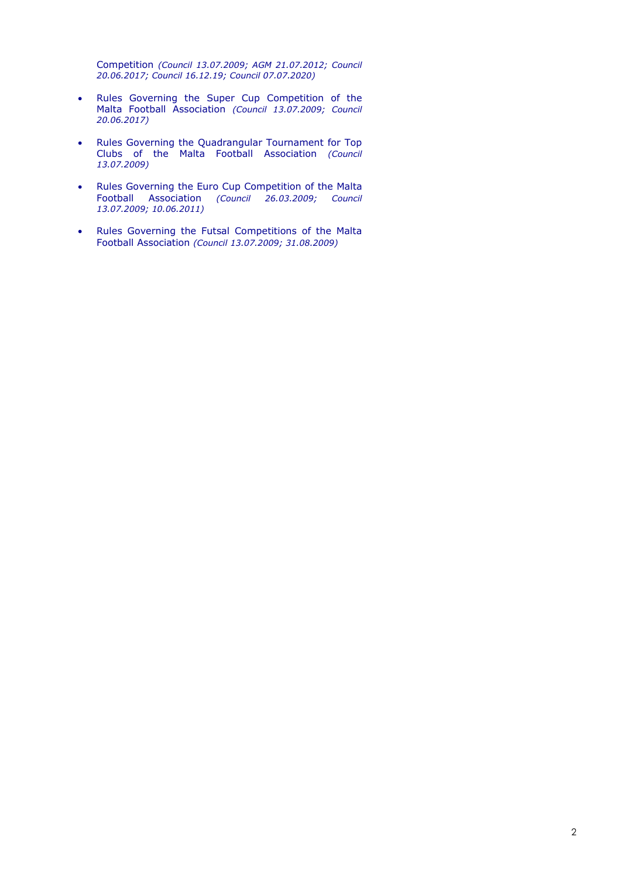Competition *(Council 13.07.2009; AGM 21.07.2012; Council 20.06.2017; Council 16.12.19; Council 07.07.2020)*

- Rules Governing the Super Cup Competition of the Malta Football Association *(Council 13.07.2009; Council 20.06.2017)*
- Rules Governing the Quadrangular Tournament for Top Clubs of the Malta Football Association *(Council 13.07.2009)*
- Rules Governing the Euro Cup Competition of the Malta Football Association *(Council 26.03.2009; Council 13.07.2009; 10.06.2011)*
- Rules Governing the Futsal Competitions of the Malta Football Association *(Council 13.07.2009; 31.08.2009)*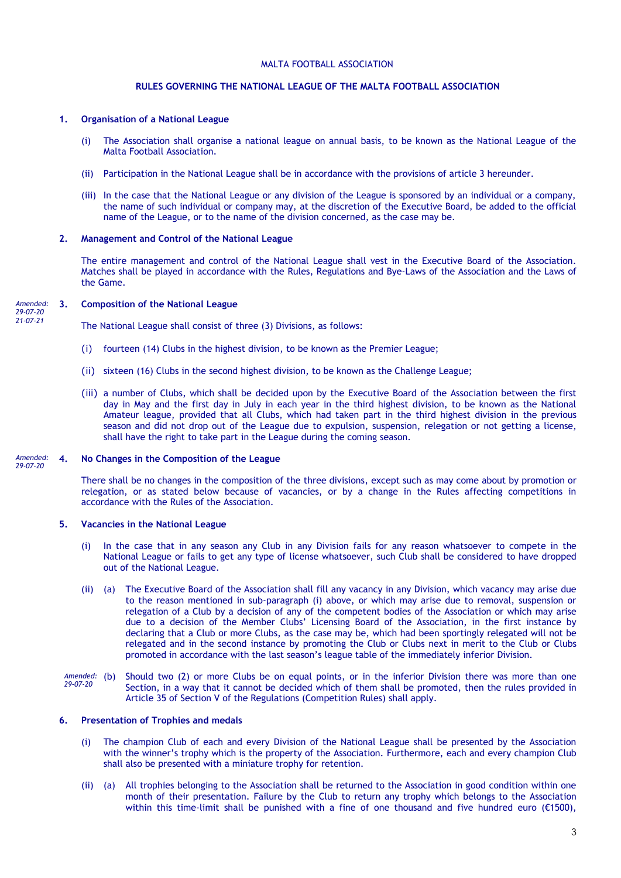### **RULES GOVERNING THE NATIONAL LEAGUE OF THE MALTA FOOTBALL ASSOCIATION**

### **1. Organisation of a National League**

- (i) The Association shall organise a national league on annual basis, to be known as the National League of the Malta Football Association.
- (ii) Participation in the National League shall be in accordance with the provisions of article 3 hereunder.
- (iii) In the case that the National League or any division of the League is sponsored by an individual or a company, the name of such individual or company may, at the discretion of the Executive Board, be added to the official name of the League, or to the name of the division concerned, as the case may be.

#### **2. Management and Control of the National League**

The entire management and control of the National League shall vest in the Executive Board of the Association. Matches shall be played in accordance with the Rules, Regulations and Bye-Laws of the Association and the Laws of the Game.

#### **3. Composition of the National League** *Amended:*

*29-07-20 21-07-21*

The National League shall consist of three (3) Divisions, as follows:

- (i) fourteen (14) Clubs in the highest division, to be known as the Premier League;
- (ii) sixteen (16) Clubs in the second highest division, to be known as the Challenge League;
- (iii) a number of Clubs, which shall be decided upon by the Executive Board of the Association between the first day in May and the first day in July in each year in the third highest division, to be known as the National Amateur league, provided that all Clubs, which had taken part in the third highest division in the previous season and did not drop out of the League due to expulsion, suspension, relegation or not getting a license, shall have the right to take part in the League during the coming season.

#### **4. No Changes in the Composition of the League** *Amended: 29-07-20*

There shall be no changes in the composition of the three divisions, except such as may come about by promotion or relegation, or as stated below because of vacancies, or by a change in the Rules affecting competitions in accordance with the Rules of the Association.

### **5. Vacancies in the National League**

- (i) In the case that in any season any Club in any Division fails for any reason whatsoever to compete in the National League or fails to get any type of license whatsoever, such Club shall be considered to have dropped out of the National League.
- (ii) (a) The Executive Board of the Association shall fill any vacancy in any Division, which vacancy may arise due to the reason mentioned in sub-paragraph (i) above, or which may arise due to removal, suspension or relegation of a Club by a decision of any of the competent bodies of the Association or which may arise due to a decision of the Member Clubs' Licensing Board of the Association, in the first instance by declaring that a Club or more Clubs, as the case may be, which had been sportingly relegated will not be relegated and in the second instance by promoting the Club or Clubs next in merit to the Club or Clubs promoted in accordance with the last season's league table of the immediately inferior Division.
- Should two (2) or more Clubs be on equal points, or in the inferior Division there was more than one Section, in a way that it cannot be decided which of them shall be promoted, then the rules provided in Article 35 of Section V of the Regulations (Competition Rules) shall apply. Amended: (b) *29-07-20*

### **6. Presentation of Trophies and medals**

- (i) The champion Club of each and every Division of the National League shall be presented by the Association with the winner's trophy which is the property of the Association. Furthermore, each and every champion Club shall also be presented with a miniature trophy for retention.
- (ii) (a) All trophies belonging to the Association shall be returned to the Association in good condition within one month of their presentation. Failure by the Club to return any trophy which belongs to the Association within this time-limit shall be punished with a fine of one thousand and five hundred euro (€1500),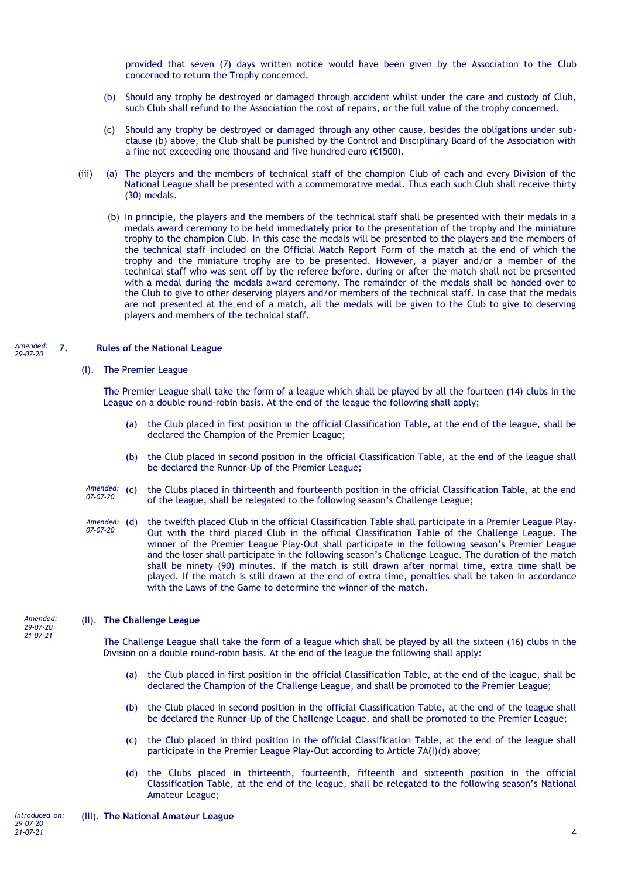provided that seven (7) days written notice would have been given by the Association to the Club concerned to return the Trophy concerned.

- (b) Should any trophy be destroyed or damaged through accident whilst under the care and custody of Club, such Club shall refund to the Association the cost of repairs, or the full value of the trophy concerned.
- (c) Should any trophy be destroyed or damaged through any other cause, besides the obligations under subclause (b) above, the Club shall be punished by the Control and Disciplinary Board of the Association with a fine not exceeding one thousand and five hundred euro (€1500).
- (iii) (a) The players and the members of technical staff of the champion Club of each and every Division of the National League shall be presented with a commemorative medal. Thus each such Club shall receive thirty (30) medals.
	- (b) In principle, the players and the members of the technical staff shall be presented with their medals in a medals award ceremony to be held immediately prior to the presentation of the trophy and the miniature trophy to the champion Club. In this case the medals will be presented to the players and the members of the technical staff included on the Official Match Report Form of the match at the end of which the trophy and the miniature trophy are to be presented. However, a player and/or a member of the technical staff who was sent off by the referee before, during or after the match shall not be presented with a medal during the medals award ceremony. The remainder of the medals shall be handed over to the Club to give to other deserving players and/or members of the technical staff. In case that the medals are not presented at the end of a match, all the medals will be given to the Club to give to deserving players and members of the technical staff.

#### **7. Rules of the National League** *Amended: 29-07-20*

(I). The Premier League

The Premier League shall take the form of a league which shall be played by all the fourteen (14) clubs in the League on a double round-robin basis. At the end of the league the following shall apply;

- (a) the Club placed in first position in the official Classification Table, at the end of the league, shall be declared the Champion of the Premier League;
- (b) the Club placed in second position in the official Classification Table, at the end of the league shall be declared the Runner-Up of the Premier League;
- the Clubs placed in thirteenth and fourteenth position in the official Classification Table, at the end of the league, shall be relegated to the following season's Challenge League; Amended: (C) *07-07-20*
- the twelfth placed Club in the official Classification Table shall participate in a Premier League Play-Out with the third placed Club in the official Classification Table of the Challenge League. The winner of the Premier League Play-Out shall participate in the following season's Premier League and the loser shall participate in the following season's Challenge League. The duration of the match shall be ninety (90) minutes. If the match is still drawn after normal time, extra time shall be played. If the match is still drawn at the end of extra time, penalties shall be taken in accordance with the Laws of the Game to determine the winner of the match. Amended: (d) *07-07-20*

#### (II). **The Challenge League** *Amended:*

*29-07-20 21-07-21*

The Challenge League shall take the form of a league which shall be played by all the sixteen (16) clubs in the Division on a double round-robin basis. At the end of the league the following shall apply:

- (a) the Club placed in first position in the official Classification Table, at the end of the league, shall be declared the Champion of the Challenge League, and shall be promoted to the Premier League;
- (b) the Club placed in second position in the official Classification Table, at the end of the league shall be declared the Runner-Up of the Challenge League, and shall be promoted to the Premier League;
- (c) the Club placed in third position in the official Classification Table, at the end of the league shall participate in the Premier League Play-Out according to Article 7A(I)(d) above;
- (d) the Clubs placed in thirteenth, fourteenth, fifteenth and sixteenth position in the official Classification Table, at the end of the league, shall be relegated to the following season's National Amateur League;

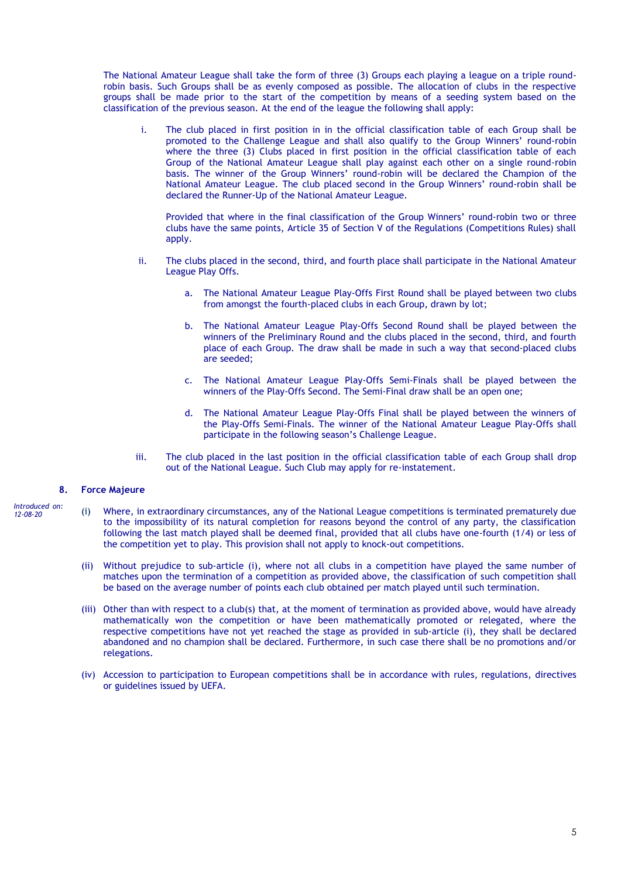The National Amateur League shall take the form of three (3) Groups each playing a league on a triple roundrobin basis. Such Groups shall be as evenly composed as possible. The allocation of clubs in the respective groups shall be made prior to the start of the competition by means of a seeding system based on the classification of the previous season. At the end of the league the following shall apply:

i. The club placed in first position in in the official classification table of each Group shall be promoted to the Challenge League and shall also qualify to the Group Winners' round-robin where the three (3) Clubs placed in first position in the official classification table of each Group of the National Amateur League shall play against each other on a single round-robin basis. The winner of the Group Winners' round-robin will be declared the Champion of the National Amateur League. The club placed second in the Group Winners' round-robin shall be declared the Runner-Up of the National Amateur League.

Provided that where in the final classification of the Group Winners' round-robin two or three clubs have the same points, Article 35 of Section V of the Regulations (Competitions Rules) shall apply.

- ii. The clubs placed in the second, third, and fourth place shall participate in the National Amateur League Play Offs.
	- a. The National Amateur League Play-Offs First Round shall be played between two clubs from amongst the fourth-placed clubs in each Group, drawn by lot;
	- b. The National Amateur League Play-Offs Second Round shall be played between the winners of the Preliminary Round and the clubs placed in the second, third, and fourth place of each Group. The draw shall be made in such a way that second-placed clubs are seeded;
	- c. The National Amateur League Play-Offs Semi-Finals shall be played between the winners of the Play-Offs Second. The Semi-Final draw shall be an open one;
	- d. The National Amateur League Play-Offs Final shall be played between the winners of the Play-Offs Semi-Finals. The winner of the National Amateur League Play-Offs shall participate in the following season's Challenge League.
- iii. The club placed in the last position in the official classification table of each Group shall drop out of the National League. Such Club may apply for re-instatement.

### **8. Force Majeure**

- (i) Where, in extraordinary circumstances, any of the National League competitions is terminated prematurely due to the impossibility of its natural completion for reasons beyond the control of any party, the classification following the last match played shall be deemed final, provided that all clubs have one-fourth (1/4) or less of the competition yet to play. This provision shall not apply to knock-out competitions. *Introduced on: 12-08-20*
	- (ii) Without prejudice to sub-article (i), where not all clubs in a competition have played the same number of matches upon the termination of a competition as provided above, the classification of such competition shall be based on the average number of points each club obtained per match played until such termination.
	- (iii) Other than with respect to a club(s) that, at the moment of termination as provided above, would have already mathematically won the competition or have been mathematically promoted or relegated, where the respective competitions have not yet reached the stage as provided in sub-article (i), they shall be declared abandoned and no champion shall be declared. Furthermore, in such case there shall be no promotions and/or relegations.
	- (iv) Accession to participation to European competitions shall be in accordance with rules, regulations, directives or guidelines issued by UEFA.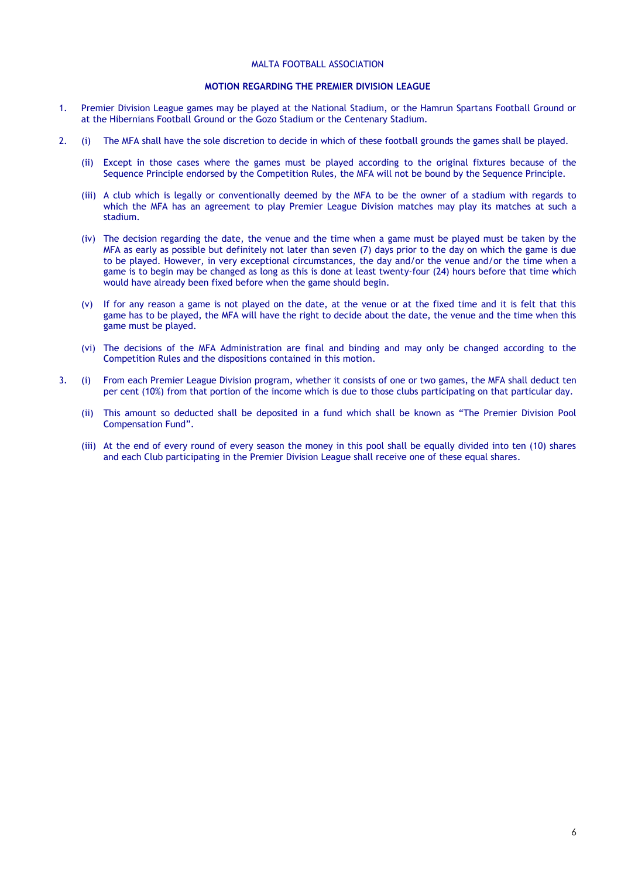### **MOTION REGARDING THE PREMIER DIVISION LEAGUE**

- 1. Premier Division League games may be played at the National Stadium, or the Hamrun Spartans Football Ground or at the Hibernians Football Ground or the Gozo Stadium or the Centenary Stadium.
- 2. (i) The MFA shall have the sole discretion to decide in which of these football grounds the games shall be played.
	- (ii) Except in those cases where the games must be played according to the original fixtures because of the Sequence Principle endorsed by the Competition Rules, the MFA will not be bound by the Sequence Principle.
	- (iii) A club which is legally or conventionally deemed by the MFA to be the owner of a stadium with regards to which the MFA has an agreement to play Premier League Division matches may play its matches at such a stadium.
	- (iv) The decision regarding the date, the venue and the time when a game must be played must be taken by the MFA as early as possible but definitely not later than seven (7) days prior to the day on which the game is due to be played. However, in very exceptional circumstances, the day and/or the venue and/or the time when a game is to begin may be changed as long as this is done at least twenty-four (24) hours before that time which would have already been fixed before when the game should begin.
	- (v) If for any reason a game is not played on the date, at the venue or at the fixed time and it is felt that this game has to be played, the MFA will have the right to decide about the date, the venue and the time when this game must be played.
	- (vi) The decisions of the MFA Administration are final and binding and may only be changed according to the Competition Rules and the dispositions contained in this motion.
- 3. (i) From each Premier League Division program, whether it consists of one or two games, the MFA shall deduct ten per cent (10%) from that portion of the income which is due to those clubs participating on that particular day.
	- (ii) This amount so deducted shall be deposited in a fund which shall be known as "The Premier Division Pool Compensation Fund".
	- (iii) At the end of every round of every season the money in this pool shall be equally divided into ten (10) shares and each Club participating in the Premier Division League shall receive one of these equal shares.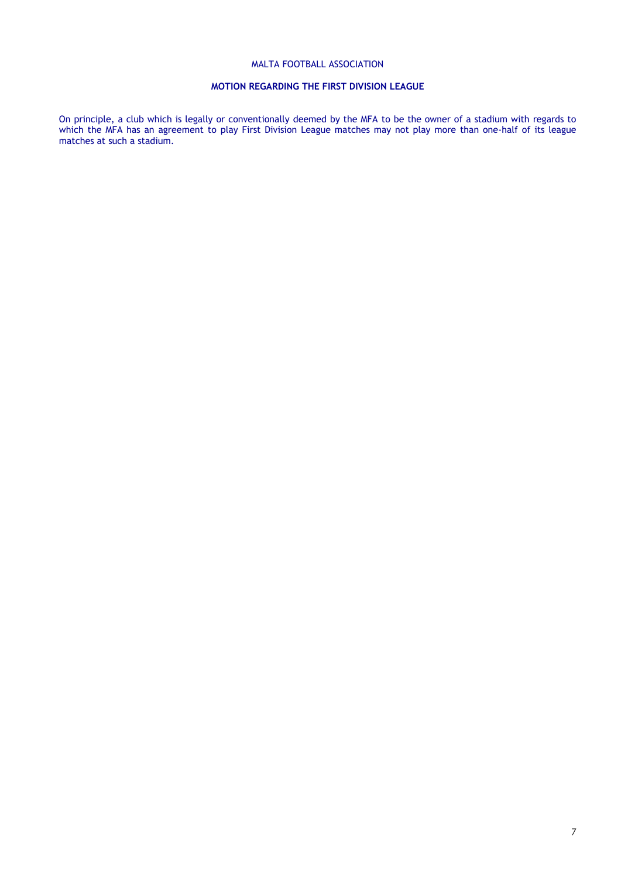## **MOTION REGARDING THE FIRST DIVISION LEAGUE**

On principle, a club which is legally or conventionally deemed by the MFA to be the owner of a stadium with regards to which the MFA has an agreement to play First Division League matches may not play more than one-half of its league matches at such a stadium.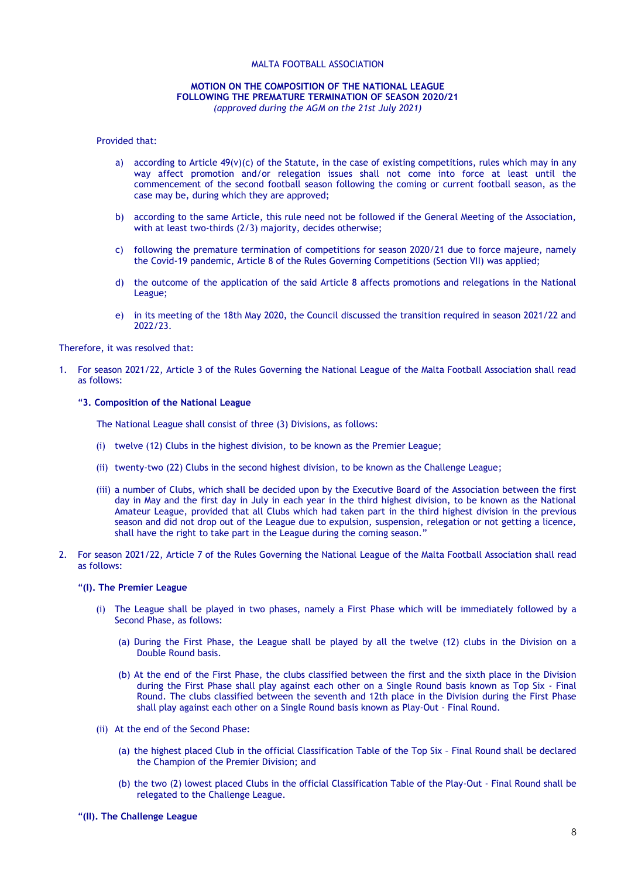### **MOTION ON THE COMPOSITION OF THE NATIONAL LEAGUE FOLLOWING THE PREMATURE TERMINATION OF SEASON 2020/21** *(approved during the AGM on the 21st July 2021)*

#### Provided that:

- a) according to Article  $49(y)(c)$  of the Statute, in the case of existing competitions, rules which may in any way affect promotion and/or relegation issues shall not come into force at least until the commencement of the second football season following the coming or current football season, as the case may be, during which they are approved;
- b) according to the same Article, this rule need not be followed if the General Meeting of the Association, with at least two-thirds (2/3) majority, decides otherwise;
- c) following the premature termination of competitions for season 2020/21 due to force majeure, namely the Covid-19 pandemic, Article 8 of the Rules Governing Competitions (Section VII) was applied;
- d) the outcome of the application of the said Article 8 affects promotions and relegations in the National League;
- e) in its meeting of the 18th May 2020, the Council discussed the transition required in season 2021/22 and 2022/23.

Therefore, it was resolved that:

1. For season 2021/22, Article 3 of the Rules Governing the National League of the Malta Football Association shall read as follows:

### "**3. Composition of the National League**

The National League shall consist of three (3) Divisions, as follows:

- (i) twelve (12) Clubs in the highest division, to be known as the Premier League;
- (ii) twenty-two (22) Clubs in the second highest division, to be known as the Challenge League;
- (iii) a number of Clubs, which shall be decided upon by the Executive Board of the Association between the first day in May and the first day in July in each year in the third highest division, to be known as the National Amateur League, provided that all Clubs which had taken part in the third highest division in the previous season and did not drop out of the League due to expulsion, suspension, relegation or not getting a licence, shall have the right to take part in the League during the coming season."
- 2. For season 2021/22, Article 7 of the Rules Governing the National League of the Malta Football Association shall read as follows:

### "**(I). The Premier League**

- (i) The League shall be played in two phases, namely a First Phase which will be immediately followed by a Second Phase, as follows:
	- (a) During the First Phase, the League shall be played by all the twelve (12) clubs in the Division on a Double Round basis.
	- (b) At the end of the First Phase, the clubs classified between the first and the sixth place in the Division during the First Phase shall play against each other on a Single Round basis known as Top Six - Final Round. The clubs classified between the seventh and 12th place in the Division during the First Phase shall play against each other on a Single Round basis known as Play-Out - Final Round.
- (ii) At the end of the Second Phase:
	- (a) the highest placed Club in the official Classification Table of the Top Six Final Round shall be declared the Champion of the Premier Division; and
	- (b) the two (2) lowest placed Clubs in the official Classification Table of the Play-Out Final Round shall be relegated to the Challenge League.

### "**(II). The Challenge League**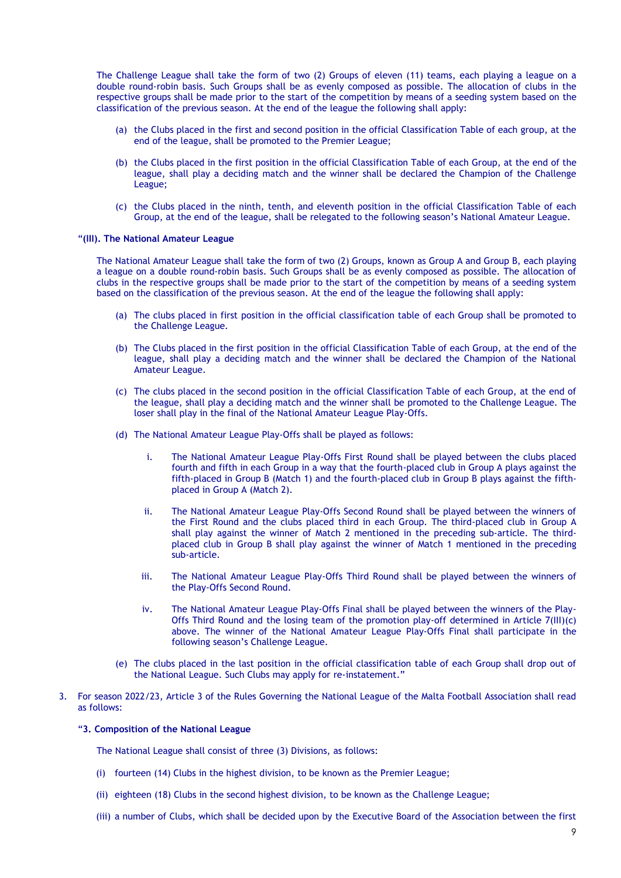The Challenge League shall take the form of two (2) Groups of eleven (11) teams, each playing a league on a double round-robin basis. Such Groups shall be as evenly composed as possible. The allocation of clubs in the respective groups shall be made prior to the start of the competition by means of a seeding system based on the classification of the previous season. At the end of the league the following shall apply:

- (a) the Clubs placed in the first and second position in the official Classification Table of each group, at the end of the league, shall be promoted to the Premier League;
- (b) the Clubs placed in the first position in the official Classification Table of each Group, at the end of the league, shall play a deciding match and the winner shall be declared the Champion of the Challenge League;
- (c) the Clubs placed in the ninth, tenth, and eleventh position in the official Classification Table of each Group, at the end of the league, shall be relegated to the following season's National Amateur League.

#### "**(III). The National Amateur League**

The National Amateur League shall take the form of two (2) Groups, known as Group A and Group B, each playing a league on a double round-robin basis. Such Groups shall be as evenly composed as possible. The allocation of clubs in the respective groups shall be made prior to the start of the competition by means of a seeding system based on the classification of the previous season. At the end of the league the following shall apply:

- (a) The clubs placed in first position in the official classification table of each Group shall be promoted to the Challenge League.
- (b) The Clubs placed in the first position in the official Classification Table of each Group, at the end of the league, shall play a deciding match and the winner shall be declared the Champion of the National Amateur League.
- (c) The clubs placed in the second position in the official Classification Table of each Group, at the end of the league, shall play a deciding match and the winner shall be promoted to the Challenge League. The loser shall play in the final of the National Amateur League Play-Offs.
- (d) The National Amateur League Play-Offs shall be played as follows:
	- i. The National Amateur League Play-Offs First Round shall be played between the clubs placed fourth and fifth in each Group in a way that the fourth-placed club in Group A plays against the fifth-placed in Group B (Match 1) and the fourth-placed club in Group B plays against the fifthplaced in Group A (Match 2).
	- ii. The National Amateur League Play-Offs Second Round shall be played between the winners of the First Round and the clubs placed third in each Group. The third-placed club in Group A shall play against the winner of Match 2 mentioned in the preceding sub-article. The thirdplaced club in Group B shall play against the winner of Match 1 mentioned in the preceding sub-article.
	- iii. The National Amateur League Play-Offs Third Round shall be played between the winners of the Play-Offs Second Round.
	- iv. The National Amateur League Play-Offs Final shall be played between the winners of the Play-Offs Third Round and the losing team of the promotion play-off determined in Article 7(III)(c) above. The winner of the National Amateur League Play-Offs Final shall participate in the following season's Challenge League.
- (e) The clubs placed in the last position in the official classification table of each Group shall drop out of the National League. Such Clubs may apply for re-instatement."
- 3. For season 2022/23, Article 3 of the Rules Governing the National League of the Malta Football Association shall read as follows:

### "**3. Composition of the National League**

The National League shall consist of three (3) Divisions, as follows:

- (i) fourteen (14) Clubs in the highest division, to be known as the Premier League;
- (ii) eighteen (18) Clubs in the second highest division, to be known as the Challenge League;
- (iii) a number of Clubs, which shall be decided upon by the Executive Board of the Association between the first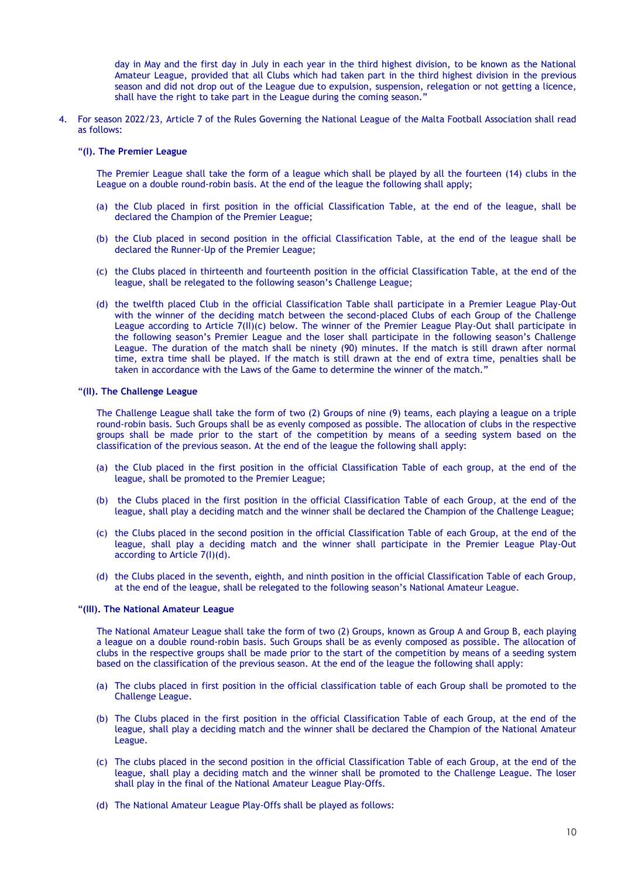day in May and the first day in July in each year in the third highest division, to be known as the National Amateur League, provided that all Clubs which had taken part in the third highest division in the previous season and did not drop out of the League due to expulsion, suspension, relegation or not getting a licence, shall have the right to take part in the League during the coming season."

4. For season 2022/23, Article 7 of the Rules Governing the National League of the Malta Football Association shall read as follows:

### "**(I). The Premier League**

The Premier League shall take the form of a league which shall be played by all the fourteen (14) clubs in the League on a double round-robin basis. At the end of the league the following shall apply;

- (a) the Club placed in first position in the official Classification Table, at the end of the league, shall be declared the Champion of the Premier League;
- (b) the Club placed in second position in the official Classification Table, at the end of the league shall be declared the Runner-Up of the Premier League;
- (c) the Clubs placed in thirteenth and fourteenth position in the official Classification Table, at the end of the league, shall be relegated to the following season's Challenge League;
- (d) the twelfth placed Club in the official Classification Table shall participate in a Premier League Play-Out with the winner of the deciding match between the second-placed Clubs of each Group of the Challenge League according to Article 7(II)(c) below. The winner of the Premier League Play-Out shall participate in the following season's Premier League and the loser shall participate in the following season's Challenge League. The duration of the match shall be ninety (90) minutes. If the match is still drawn after normal time, extra time shall be played. If the match is still drawn at the end of extra time, penalties shall be taken in accordance with the Laws of the Game to determine the winner of the match."

### "**(II). The Challenge League**

The Challenge League shall take the form of two (2) Groups of nine (9) teams, each playing a league on a triple round-robin basis. Such Groups shall be as evenly composed as possible. The allocation of clubs in the respective groups shall be made prior to the start of the competition by means of a seeding system based on the classification of the previous season. At the end of the league the following shall apply:

- (a) the Club placed in the first position in the official Classification Table of each group, at the end of the league, shall be promoted to the Premier League;
- (b) the Clubs placed in the first position in the official Classification Table of each Group, at the end of the league, shall play a deciding match and the winner shall be declared the Champion of the Challenge League;
- (c) the Clubs placed in the second position in the official Classification Table of each Group, at the end of the league, shall play a deciding match and the winner shall participate in the Premier League Play-Out according to Article 7(I)(d).
- (d) the Clubs placed in the seventh, eighth, and ninth position in the official Classification Table of each Group, at the end of the league, shall be relegated to the following season's National Amateur League.

### "**(III). The National Amateur League**

The National Amateur League shall take the form of two (2) Groups, known as Group A and Group B, each playing a league on a double round-robin basis. Such Groups shall be as evenly composed as possible. The allocation of clubs in the respective groups shall be made prior to the start of the competition by means of a seeding system based on the classification of the previous season. At the end of the league the following shall apply:

- (a) The clubs placed in first position in the official classification table of each Group shall be promoted to the Challenge League.
- (b) The Clubs placed in the first position in the official Classification Table of each Group, at the end of the league, shall play a deciding match and the winner shall be declared the Champion of the National Amateur League.
- (c) The clubs placed in the second position in the official Classification Table of each Group, at the end of the league, shall play a deciding match and the winner shall be promoted to the Challenge League. The loser shall play in the final of the National Amateur League Play-Offs.
- (d) The National Amateur League Play-Offs shall be played as follows: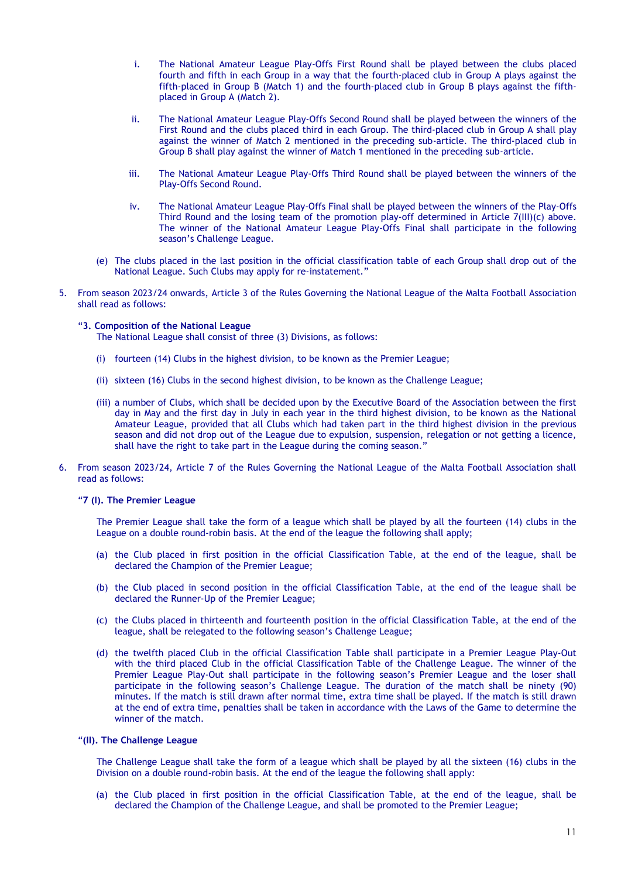- i. The National Amateur League Play-Offs First Round shall be played between the clubs placed fourth and fifth in each Group in a way that the fourth-placed club in Group A plays against the fifth-placed in Group B (Match 1) and the fourth-placed club in Group B plays against the fifthplaced in Group A (Match 2).
- ii. The National Amateur League Play-Offs Second Round shall be played between the winners of the First Round and the clubs placed third in each Group. The third-placed club in Group A shall play against the winner of Match 2 mentioned in the preceding sub-article. The third-placed club in Group B shall play against the winner of Match 1 mentioned in the preceding sub-article.
- iii. The National Amateur League Play-Offs Third Round shall be played between the winners of the Play-Offs Second Round.
- iv. The National Amateur League Play-Offs Final shall be played between the winners of the Play-Offs Third Round and the losing team of the promotion play-off determined in Article 7(III)(c) above. The winner of the National Amateur League Play-Offs Final shall participate in the following season's Challenge League.
- (e) The clubs placed in the last position in the official classification table of each Group shall drop out of the National League. Such Clubs may apply for re-instatement."
- 5. From season 2023/24 onwards, Article 3 of the Rules Governing the National League of the Malta Football Association shall read as follows:

### "**3. Composition of the National League**

The National League shall consist of three (3) Divisions, as follows:

- (i) fourteen (14) Clubs in the highest division, to be known as the Premier League;
- (ii) sixteen (16) Clubs in the second highest division, to be known as the Challenge League;
- (iii) a number of Clubs, which shall be decided upon by the Executive Board of the Association between the first day in May and the first day in July in each year in the third highest division, to be known as the National Amateur League, provided that all Clubs which had taken part in the third highest division in the previous season and did not drop out of the League due to expulsion, suspension, relegation or not getting a licence, shall have the right to take part in the League during the coming season."
- 6. From season 2023/24, Article 7 of the Rules Governing the National League of the Malta Football Association shall read as follows:

### "**7 (I). The Premier League**

The Premier League shall take the form of a league which shall be played by all the fourteen (14) clubs in the League on a double round-robin basis. At the end of the league the following shall apply;

- (a) the Club placed in first position in the official Classification Table, at the end of the league, shall be declared the Champion of the Premier League;
- (b) the Club placed in second position in the official Classification Table, at the end of the league shall be declared the Runner-Up of the Premier League;
- (c) the Clubs placed in thirteenth and fourteenth position in the official Classification Table, at the end of the league, shall be relegated to the following season's Challenge League;
- (d) the twelfth placed Club in the official Classification Table shall participate in a Premier League Play-Out with the third placed Club in the official Classification Table of the Challenge League. The winner of the Premier League Play-Out shall participate in the following season's Premier League and the loser shall participate in the following season's Challenge League. The duration of the match shall be ninety (90) minutes. If the match is still drawn after normal time, extra time shall be played. If the match is still drawn at the end of extra time, penalties shall be taken in accordance with the Laws of the Game to determine the winner of the match.

#### "**(II). The Challenge League**

The Challenge League shall take the form of a league which shall be played by all the sixteen (16) clubs in the Division on a double round-robin basis. At the end of the league the following shall apply:

(a) the Club placed in first position in the official Classification Table, at the end of the league, shall be declared the Champion of the Challenge League, and shall be promoted to the Premier League;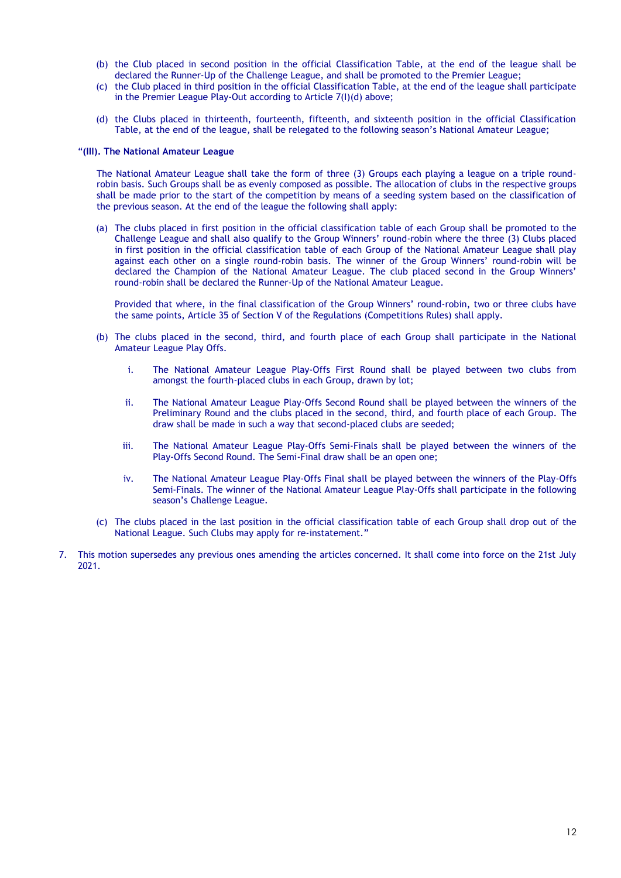- (b) the Club placed in second position in the official Classification Table, at the end of the league shall be declared the Runner-Up of the Challenge League, and shall be promoted to the Premier League;
- (c) the Club placed in third position in the official Classification Table, at the end of the league shall participate in the Premier League Play-Out according to Article 7(I)(d) above;
- (d) the Clubs placed in thirteenth, fourteenth, fifteenth, and sixteenth position in the official Classification Table, at the end of the league, shall be relegated to the following season's National Amateur League;

#### "**(III). The National Amateur League**

The National Amateur League shall take the form of three (3) Groups each playing a league on a triple roundrobin basis. Such Groups shall be as evenly composed as possible. The allocation of clubs in the respective groups shall be made prior to the start of the competition by means of a seeding system based on the classification of the previous season. At the end of the league the following shall apply:

(a) The clubs placed in first position in the official classification table of each Group shall be promoted to the Challenge League and shall also qualify to the Group Winners' round-robin where the three (3) Clubs placed in first position in the official classification table of each Group of the National Amateur League shall play against each other on a single round-robin basis. The winner of the Group Winners' round-robin will be declared the Champion of the National Amateur League. The club placed second in the Group Winners' round-robin shall be declared the Runner-Up of the National Amateur League.

Provided that where, in the final classification of the Group Winners' round-robin, two or three clubs have the same points, Article 35 of Section V of the Regulations (Competitions Rules) shall apply.

- (b) The clubs placed in the second, third, and fourth place of each Group shall participate in the National Amateur League Play Offs.
	- i. The National Amateur League Play-Offs First Round shall be played between two clubs from amongst the fourth-placed clubs in each Group, drawn by lot;
	- ii. The National Amateur League Play-Offs Second Round shall be played between the winners of the Preliminary Round and the clubs placed in the second, third, and fourth place of each Group. The draw shall be made in such a way that second-placed clubs are seeded;
	- iii. The National Amateur League Play-Offs Semi-Finals shall be played between the winners of the Play-Offs Second Round. The Semi-Final draw shall be an open one;
	- iv. The National Amateur League Play-Offs Final shall be played between the winners of the Play-Offs Semi-Finals. The winner of the National Amateur League Play-Offs shall participate in the following season's Challenge League.
- (c) The clubs placed in the last position in the official classification table of each Group shall drop out of the National League. Such Clubs may apply for re-instatement."
- 7. This motion supersedes any previous ones amending the articles concerned. It shall come into force on the 21st July 2021.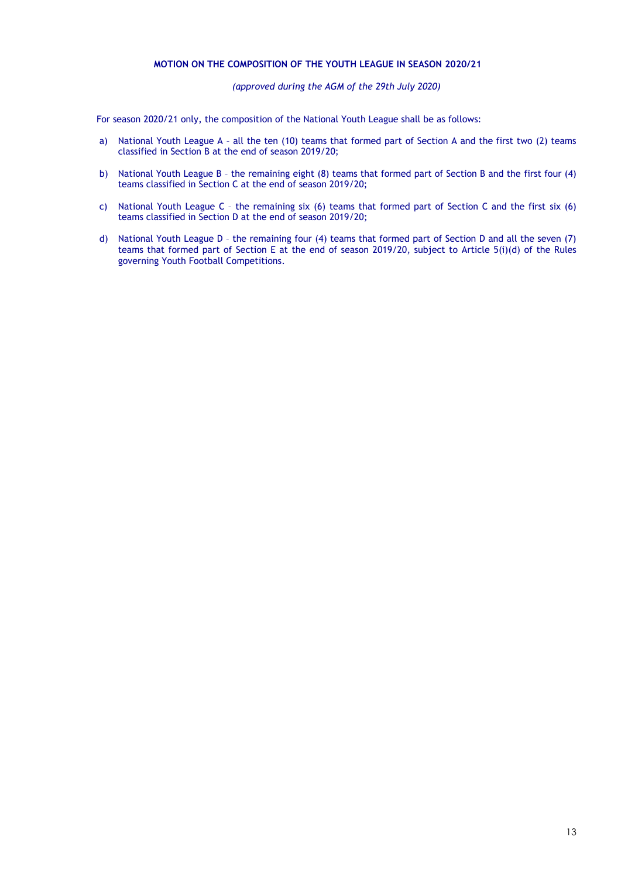## **MOTION ON THE COMPOSITION OF THE YOUTH LEAGUE IN SEASON 2020/21**

*(approved during the AGM of the 29th July 2020)*

For season 2020/21 only, the composition of the National Youth League shall be as follows:

- a) National Youth League A all the ten (10) teams that formed part of Section A and the first two (2) teams classified in Section B at the end of season 2019/20;
- b) National Youth League B the remaining eight (8) teams that formed part of Section B and the first four (4) teams classified in Section C at the end of season 2019/20;
- c) National Youth League C the remaining six (6) teams that formed part of Section C and the first six (6) teams classified in Section D at the end of season 2019/20;
- d) National Youth League D the remaining four (4) teams that formed part of Section D and all the seven (7) teams that formed part of Section E at the end of season 2019/20, subject to Article 5(i)(d) of the Rules governing Youth Football Competitions.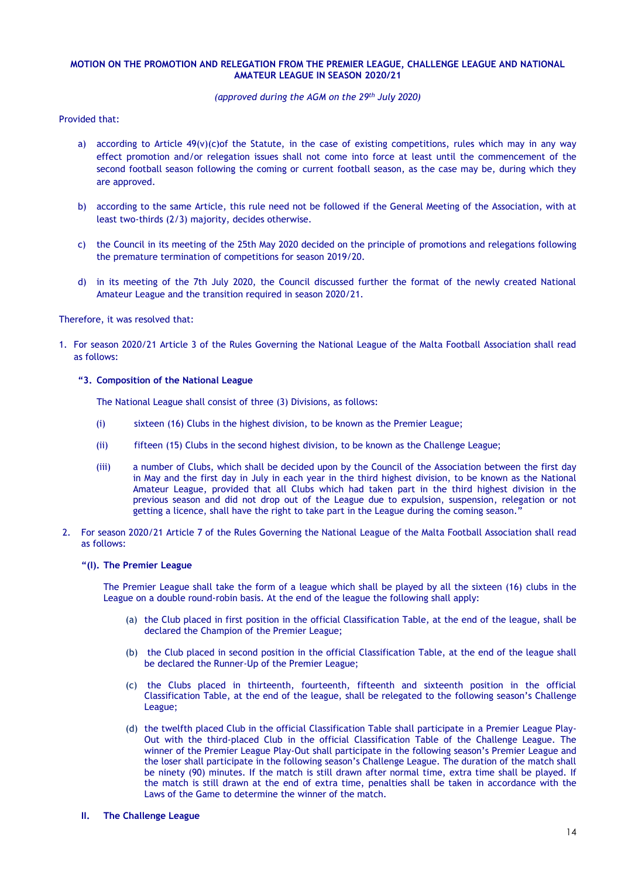### **MOTION ON THE PROMOTION AND RELEGATION FROM THE PREMIER LEAGUE, CHALLENGE LEAGUE AND NATIONAL AMATEUR LEAGUE IN SEASON 2020/21**

### *(approved during the AGM on the 29th July 2020)*

Provided that:

- a) according to Article  $49(v)(c)$  of the Statute, in the case of existing competitions, rules which may in any way effect promotion and/or relegation issues shall not come into force at least until the commencement of the second football season following the coming or current football season, as the case may be, during which they are approved.
- b) according to the same Article, this rule need not be followed if the General Meeting of the Association, with at least two-thirds (2/3) majority, decides otherwise.
- c) the Council in its meeting of the 25th May 2020 decided on the principle of promotions and relegations following the premature termination of competitions for season 2019/20.
- d) in its meeting of the 7th July 2020, the Council discussed further the format of the newly created National Amateur League and the transition required in season 2020/21.

#### Therefore, it was resolved that:

1. For season 2020/21 Article 3 of the Rules Governing the National League of the Malta Football Association shall read as follows:

#### **"3. Composition of the National League**

The National League shall consist of three (3) Divisions, as follows:

- (i) sixteen (16) Clubs in the highest division, to be known as the Premier League;
- (ii) fifteen (15) Clubs in the second highest division, to be known as the Challenge League;
- (iii) a number of Clubs, which shall be decided upon by the Council of the Association between the first day in May and the first day in July in each year in the third highest division, to be known as the National Amateur League, provided that all Clubs which had taken part in the third highest division in the previous season and did not drop out of the League due to expulsion, suspension, relegation or not getting a licence, shall have the right to take part in the League during the coming season.'
- 2. For season 2020/21 Article 7 of the Rules Governing the National League of the Malta Football Association shall read as follows:

### **"(I). The Premier League**

The Premier League shall take the form of a league which shall be played by all the sixteen (16) clubs in the League on a double round-robin basis. At the end of the league the following shall apply:

- (a) the Club placed in first position in the official Classification Table, at the end of the league, shall be declared the Champion of the Premier League;
- (b) the Club placed in second position in the official Classification Table, at the end of the league shall be declared the Runner-Up of the Premier League;
- (c) the Clubs placed in thirteenth, fourteenth, fifteenth and sixteenth position in the official Classification Table, at the end of the league, shall be relegated to the following season's Challenge League;
- (d) the twelfth placed Club in the official Classification Table shall participate in a Premier League Play-Out with the third-placed Club in the official Classification Table of the Challenge League. The winner of the Premier League Play-Out shall participate in the following season's Premier League and the loser shall participate in the following season's Challenge League. The duration of the match shall be ninety (90) minutes. If the match is still drawn after normal time, extra time shall be played. If the match is still drawn at the end of extra time, penalties shall be taken in accordance with the Laws of the Game to determine the winner of the match.

### **II. The Challenge League**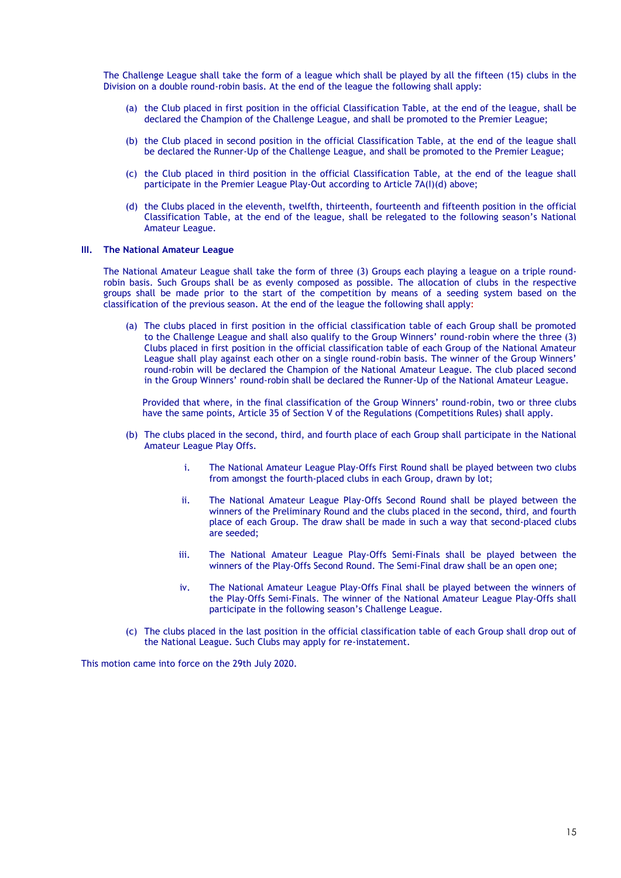The Challenge League shall take the form of a league which shall be played by all the fifteen (15) clubs in the Division on a double round-robin basis. At the end of the league the following shall apply:

- (a) the Club placed in first position in the official Classification Table, at the end of the league, shall be declared the Champion of the Challenge League, and shall be promoted to the Premier League;
- (b) the Club placed in second position in the official Classification Table, at the end of the league shall be declared the Runner-Up of the Challenge League, and shall be promoted to the Premier League;
- (c) the Club placed in third position in the official Classification Table, at the end of the league shall participate in the Premier League Play-Out according to Article 7A(I)(d) above;
- (d) the Clubs placed in the eleventh, twelfth, thirteenth, fourteenth and fifteenth position in the official Classification Table, at the end of the league, shall be relegated to the following season's National Amateur League.

### **III. The National Amateur League**

The National Amateur League shall take the form of three (3) Groups each playing a league on a triple roundrobin basis. Such Groups shall be as evenly composed as possible. The allocation of clubs in the respective groups shall be made prior to the start of the competition by means of a seeding system based on the classification of the previous season. At the end of the league the following shall apply:

(a) The clubs placed in first position in the official classification table of each Group shall be promoted to the Challenge League and shall also qualify to the Group Winners' round-robin where the three (3) Clubs placed in first position in the official classification table of each Group of the National Amateur League shall play against each other on a single round-robin basis. The winner of the Group Winners' round-robin will be declared the Champion of the National Amateur League. The club placed second in the Group Winners' round-robin shall be declared the Runner-Up of the National Amateur League.

Provided that where, in the final classification of the Group Winners' round-robin, two or three clubs have the same points, Article 35 of Section V of the Regulations (Competitions Rules) shall apply.

- (b) The clubs placed in the second, third, and fourth place of each Group shall participate in the National Amateur League Play Offs.
	- i. The National Amateur League Play-Offs First Round shall be played between two clubs from amongst the fourth-placed clubs in each Group, drawn by lot;
	- ii. The National Amateur League Play-Offs Second Round shall be played between the winners of the Preliminary Round and the clubs placed in the second, third, and fourth place of each Group. The draw shall be made in such a way that second-placed clubs are seeded;
	- iii. The National Amateur League Play-Offs Semi-Finals shall be played between the winners of the Play-Offs Second Round. The Semi-Final draw shall be an open one;
	- iv. The National Amateur League Play-Offs Final shall be played between the winners of the Play-Offs Semi-Finals. The winner of the National Amateur League Play-Offs shall participate in the following season's Challenge League.
- (c) The clubs placed in the last position in the official classification table of each Group shall drop out of the National League. Such Clubs may apply for re-instatement.

This motion came into force on the 29th July 2020.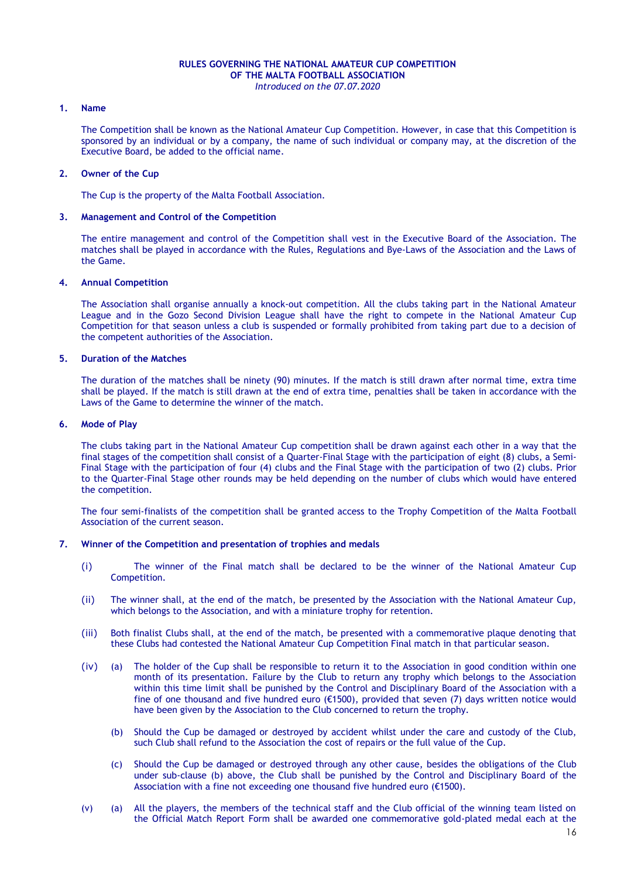## **RULES GOVERNING THE NATIONAL AMATEUR CUP COMPETITION OF THE MALTA FOOTBALL ASSOCIATION**

## *Introduced on the 07.07.2020*

### **1. Name**

The Competition shall be known as the National Amateur Cup Competition. However, in case that this Competition is sponsored by an individual or by a company, the name of such individual or company may, at the discretion of the Executive Board, be added to the official name.

### **2. Owner of the Cup**

The Cup is the property of the Malta Football Association.

### **3. Management and Control of the Competition**

The entire management and control of the Competition shall vest in the Executive Board of the Association. The matches shall be played in accordance with the Rules, Regulations and Bye-Laws of the Association and the Laws of the Game.

### **4. Annual Competition**

The Association shall organise annually a knock-out competition. All the clubs taking part in the National Amateur League and in the Gozo Second Division League shall have the right to compete in the National Amateur Cup Competition for that season unless a club is suspended or formally prohibited from taking part due to a decision of the competent authorities of the Association.

### **5. Duration of the Matches**

The duration of the matches shall be ninety (90) minutes. If the match is still drawn after normal time, extra time shall be played. If the match is still drawn at the end of extra time, penalties shall be taken in accordance with the Laws of the Game to determine the winner of the match.

### **6. Mode of Play**

The clubs taking part in the National Amateur Cup competition shall be drawn against each other in a way that the final stages of the competition shall consist of a Quarter-Final Stage with the participation of eight (8) clubs, a Semi-Final Stage with the participation of four (4) clubs and the Final Stage with the participation of two (2) clubs. Prior to the Quarter-Final Stage other rounds may be held depending on the number of clubs which would have entered the competition.

The four semi-finalists of the competition shall be granted access to the Trophy Competition of the Malta Football Association of the current season.

### **7. Winner of the Competition and presentation of trophies and medals**

- (i) The winner of the Final match shall be declared to be the winner of the National Amateur Cup Competition.
- (ii) The winner shall, at the end of the match, be presented by the Association with the National Amateur Cup, which belongs to the Association, and with a miniature trophy for retention.
- (iii) Both finalist Clubs shall, at the end of the match, be presented with a commemorative plaque denoting that these Clubs had contested the National Amateur Cup Competition Final match in that particular season.
- (iv) (a) The holder of the Cup shall be responsible to return it to the Association in good condition within one month of its presentation. Failure by the Club to return any trophy which belongs to the Association within this time limit shall be punished by the Control and Disciplinary Board of the Association with a fine of one thousand and five hundred euro (€1500), provided that seven (7) days written notice would have been given by the Association to the Club concerned to return the trophy.
	- (b) Should the Cup be damaged or destroyed by accident whilst under the care and custody of the Club, such Club shall refund to the Association the cost of repairs or the full value of the Cup.
	- (c) Should the Cup be damaged or destroyed through any other cause, besides the obligations of the Club under sub-clause (b) above, the Club shall be punished by the Control and Disciplinary Board of the Association with a fine not exceeding one thousand five hundred euro (€1500).
- (v) (a) All the players, the members of the technical staff and the Club official of the winning team listed on the Official Match Report Form shall be awarded one commemorative gold-plated medal each at the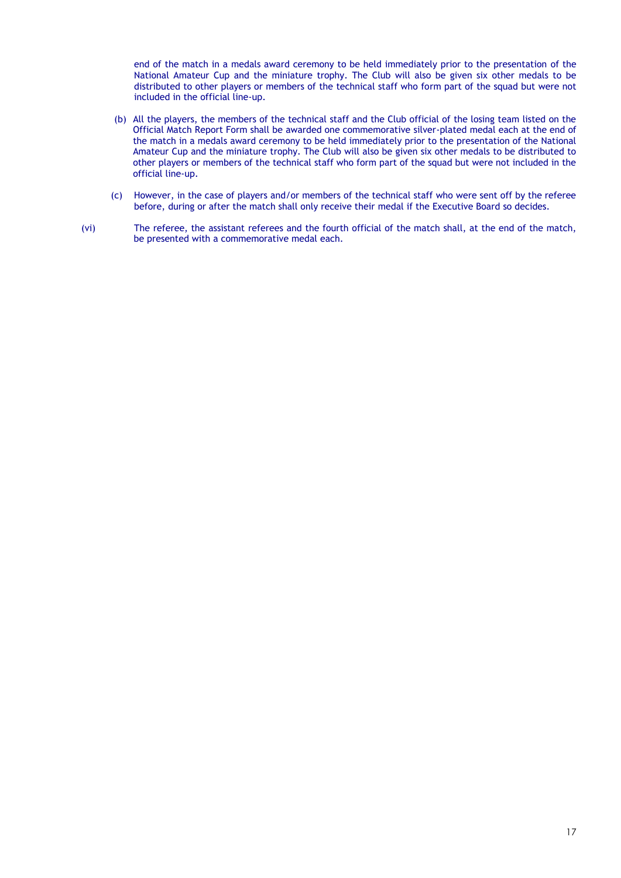end of the match in a medals award ceremony to be held immediately prior to the presentation of the National Amateur Cup and the miniature trophy. The Club will also be given six other medals to be distributed to other players or members of the technical staff who form part of the squad but were not included in the official line-up.

- (b) All the players, the members of the technical staff and the Club official of the losing team listed on the Official Match Report Form shall be awarded one commemorative silver-plated medal each at the end of the match in a medals award ceremony to be held immediately prior to the presentation of the National Amateur Cup and the miniature trophy. The Club will also be given six other medals to be distributed to other players or members of the technical staff who form part of the squad but were not included in the official line-up.
- (c) However, in the case of players and/or members of the technical staff who were sent off by the referee before, during or after the match shall only receive their medal if the Executive Board so decides.
- (vi) The referee, the assistant referees and the fourth official of the match shall, at the end of the match, be presented with a commemorative medal each.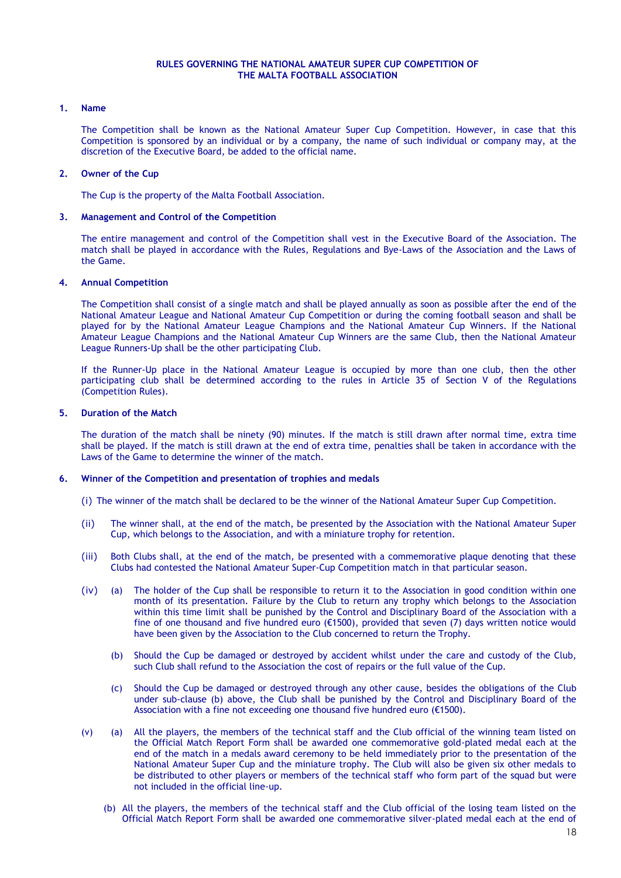### **RULES GOVERNING THE NATIONAL AMATEUR SUPER CUP COMPETITION OF THE MALTA FOOTBALL ASSOCIATION**

### **1. Name**

The Competition shall be known as the National Amateur Super Cup Competition. However, in case that this Competition is sponsored by an individual or by a company, the name of such individual or company may, at the discretion of the Executive Board, be added to the official name.

### **2. Owner of the Cup**

The Cup is the property of the Malta Football Association.

### **3. Management and Control of the Competition**

The entire management and control of the Competition shall vest in the Executive Board of the Association. The match shall be played in accordance with the Rules, Regulations and Bye-Laws of the Association and the Laws of the Game.

### **4. Annual Competition**

The Competition shall consist of a single match and shall be played annually as soon as possible after the end of the National Amateur League and National Amateur Cup Competition or during the coming football season and shall be played for by the National Amateur League Champions and the National Amateur Cup Winners. If the National Amateur League Champions and the National Amateur Cup Winners are the same Club, then the National Amateur League Runners-Up shall be the other participating Club.

If the Runner-Up place in the National Amateur League is occupied by more than one club, then the other participating club shall be determined according to the rules in Article 35 of Section V of the Regulations (Competition Rules).

### **5. Duration of the Match**

The duration of the match shall be ninety (90) minutes. If the match is still drawn after normal time, extra time shall be played. If the match is still drawn at the end of extra time, penalties shall be taken in accordance with the Laws of the Game to determine the winner of the match.

### **6. Winner of the Competition and presentation of trophies and medals**

(i) The winner of the match shall be declared to be the winner of the National Amateur Super Cup Competition.

- (ii) The winner shall, at the end of the match, be presented by the Association with the National Amateur Super Cup, which belongs to the Association, and with a miniature trophy for retention.
- (iii) Both Clubs shall, at the end of the match, be presented with a commemorative plaque denoting that these Clubs had contested the National Amateur Super-Cup Competition match in that particular season.
- (iv) (a) The holder of the Cup shall be responsible to return it to the Association in good condition within one month of its presentation. Failure by the Club to return any trophy which belongs to the Association within this time limit shall be punished by the Control and Disciplinary Board of the Association with a fine of one thousand and five hundred euro (€1500), provided that seven (7) days written notice would have been given by the Association to the Club concerned to return the Trophy.
	- (b) Should the Cup be damaged or destroyed by accident whilst under the care and custody of the Club, such Club shall refund to the Association the cost of repairs or the full value of the Cup.
	- (c) Should the Cup be damaged or destroyed through any other cause, besides the obligations of the Club under sub-clause (b) above, the Club shall be punished by the Control and Disciplinary Board of the Association with a fine not exceeding one thousand five hundred euro (€1500).
- (v) (a) All the players, the members of the technical staff and the Club official of the winning team listed on the Official Match Report Form shall be awarded one commemorative gold-plated medal each at the end of the match in a medals award ceremony to be held immediately prior to the presentation of the National Amateur Super Cup and the miniature trophy. The Club will also be given six other medals to be distributed to other players or members of the technical staff who form part of the squad but were not included in the official line-up.
	- (b) All the players, the members of the technical staff and the Club official of the losing team listed on the Official Match Report Form shall be awarded one commemorative silver-plated medal each at the end of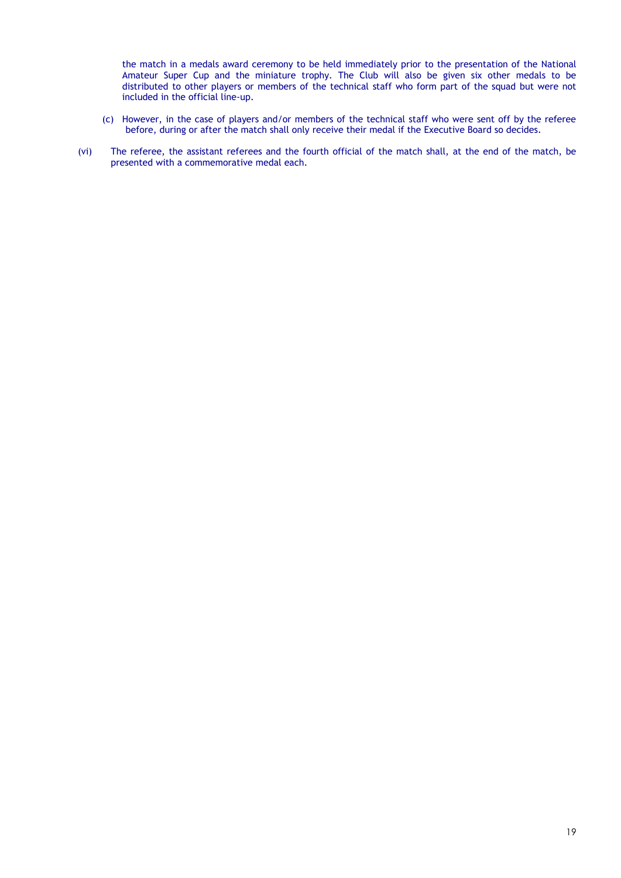the match in a medals award ceremony to be held immediately prior to the presentation of the National Amateur Super Cup and the miniature trophy. The Club will also be given six other medals to be distributed to other players or members of the technical staff who form part of the squad but were not included in the official line-up.

- (c) However, in the case of players and/or members of the technical staff who were sent off by the referee before, during or after the match shall only receive their medal if the Executive Board so decides.
- (vi) The referee, the assistant referees and the fourth official of the match shall, at the end of the match, be presented with a commemorative medal each.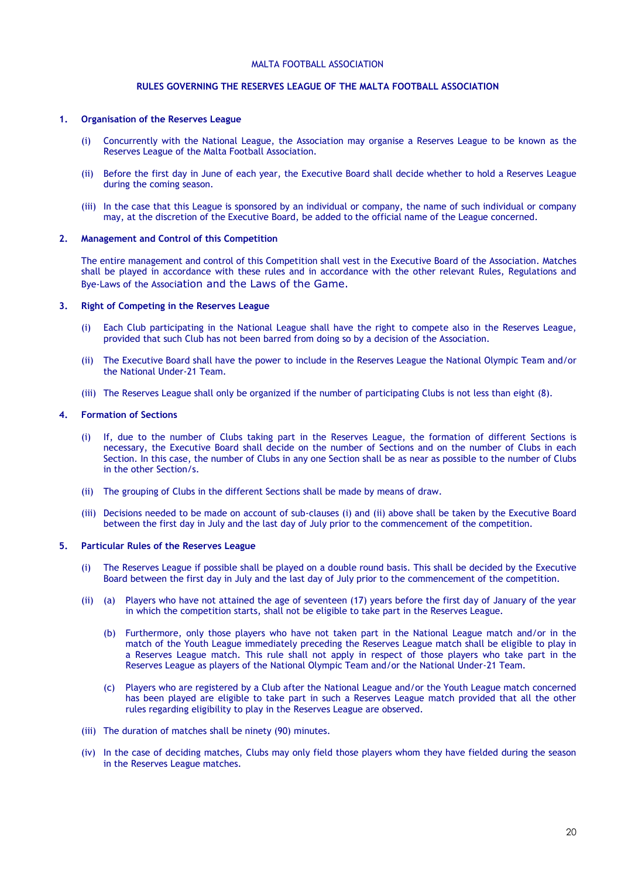## **RULES GOVERNING THE RESERVES LEAGUE OF THE MALTA FOOTBALL ASSOCIATION**

### **1. Organisation of the Reserves League**

- (i) Concurrently with the National League, the Association may organise a Reserves League to be known as the Reserves League of the Malta Football Association.
- (ii) Before the first day in June of each year, the Executive Board shall decide whether to hold a Reserves League during the coming season.
- (iii) In the case that this League is sponsored by an individual or company, the name of such individual or company may, at the discretion of the Executive Board, be added to the official name of the League concerned.

### **2. Management and Control of this Competition**

The entire management and control of this Competition shall vest in the Executive Board of the Association. Matches shall be played in accordance with these rules and in accordance with the other relevant Rules, Regulations and Bye-Laws of the Association and the Laws of the Game.

### **3. Right of Competing in the Reserves League**

- (i) Each Club participating in the National League shall have the right to compete also in the Reserves League, provided that such Club has not been barred from doing so by a decision of the Association.
- (ii) The Executive Board shall have the power to include in the Reserves League the National Olympic Team and/or the National Under-21 Team.
- (iii) The Reserves League shall only be organized if the number of participating Clubs is not less than eight (8).

### **4. Formation of Sections**

- (i) If, due to the number of Clubs taking part in the Reserves League, the formation of different Sections is necessary, the Executive Board shall decide on the number of Sections and on the number of Clubs in each Section. In this case, the number of Clubs in any one Section shall be as near as possible to the number of Clubs in the other Section/s.
- (ii) The grouping of Clubs in the different Sections shall be made by means of draw.
- (iii) Decisions needed to be made on account of sub-clauses (i) and (ii) above shall be taken by the Executive Board between the first day in July and the last day of July prior to the commencement of the competition.

### **5. Particular Rules of the Reserves League**

- (i) The Reserves League if possible shall be played on a double round basis. This shall be decided by the Executive Board between the first day in July and the last day of July prior to the commencement of the competition.
- (ii) (a) Players who have not attained the age of seventeen (17) years before the first day of January of the year in which the competition starts, shall not be eligible to take part in the Reserves League.
	- (b) Furthermore, only those players who have not taken part in the National League match and/or in the match of the Youth League immediately preceding the Reserves League match shall be eligible to play in a Reserves League match. This rule shall not apply in respect of those players who take part in the Reserves League as players of the National Olympic Team and/or the National Under-21 Team.
	- (c) Players who are registered by a Club after the National League and/or the Youth League match concerned has been played are eligible to take part in such a Reserves League match provided that all the other rules regarding eligibility to play in the Reserves League are observed.
- (iii) The duration of matches shall be ninety (90) minutes.
- (iv) In the case of deciding matches, Clubs may only field those players whom they have fielded during the season in the Reserves League matches.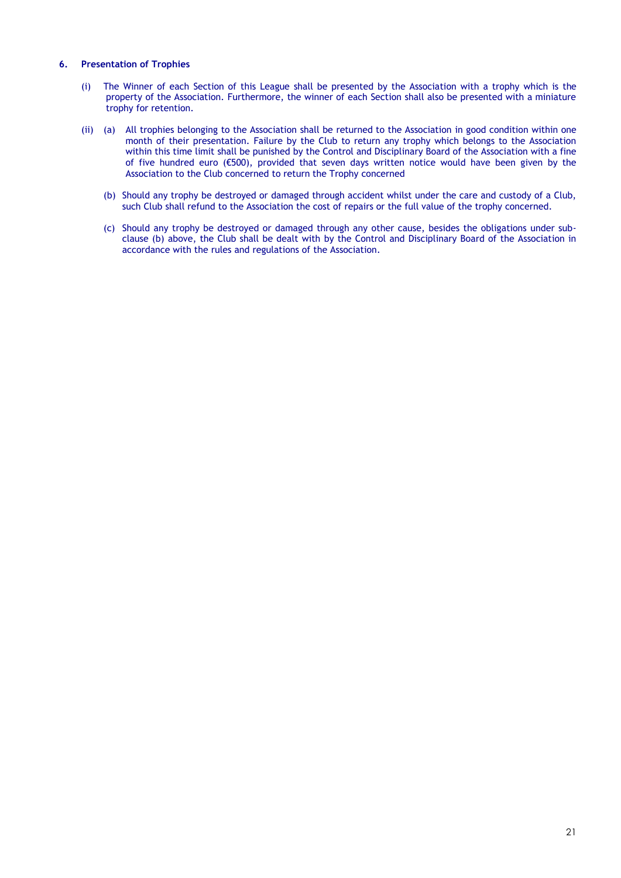### **6. Presentation of Trophies**

- (i) The Winner of each Section of this League shall be presented by the Association with a trophy which is the property of the Association. Furthermore, the winner of each Section shall also be presented with a miniature trophy for retention.
- (ii) (a) All trophies belonging to the Association shall be returned to the Association in good condition within one month of their presentation. Failure by the Club to return any trophy which belongs to the Association within this time limit shall be punished by the Control and Disciplinary Board of the Association with a fine of five hundred euro (€500), provided that seven days written notice would have been given by the Association to the Club concerned to return the Trophy concerned
	- (b) Should any trophy be destroyed or damaged through accident whilst under the care and custody of a Club, such Club shall refund to the Association the cost of repairs or the full value of the trophy concerned.
	- (c) Should any trophy be destroyed or damaged through any other cause, besides the obligations under subclause (b) above, the Club shall be dealt with by the Control and Disciplinary Board of the Association in accordance with the rules and regulations of the Association.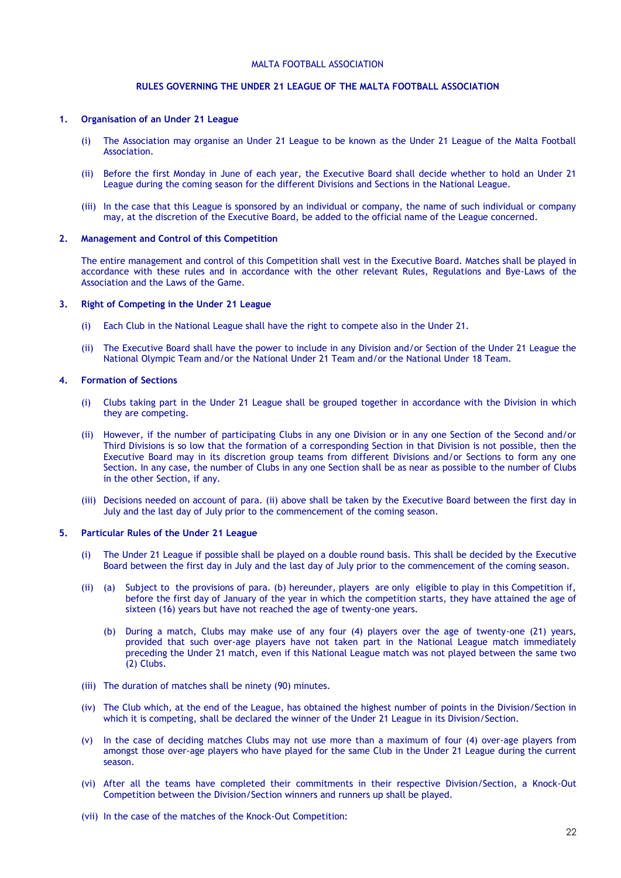## **RULES GOVERNING THE UNDER 21 LEAGUE OF THE MALTA FOOTBALL ASSOCIATION**

### **1. Organisation of an Under 21 League**

- (i) The Association may organise an Under 21 League to be known as the Under 21 League of the Malta Football Association.
- (ii) Before the first Monday in June of each year, the Executive Board shall decide whether to hold an Under 21 League during the coming season for the different Divisions and Sections in the National League.
- (iii) In the case that this League is sponsored by an individual or company, the name of such individual or company may, at the discretion of the Executive Board, be added to the official name of the League concerned.

### **2. Management and Control of this Competition**

The entire management and control of this Competition shall vest in the Executive Board. Matches shall be played in accordance with these rules and in accordance with the other relevant Rules, Regulations and Bye-Laws of the Association and the Laws of the Game.

#### **3. Right of Competing in the Under 21 League**

- (i) Each Club in the National League shall have the right to compete also in the Under 21.
- (ii) The Executive Board shall have the power to include in any Division and/or Section of the Under 21 League the National Olympic Team and/or the National Under 21 Team and/or the National Under 18 Team.

### **4. Formation of Sections**

- (i) Clubs taking part in the Under 21 League shall be grouped together in accordance with the Division in which they are competing.
- (ii) However, if the number of participating Clubs in any one Division or in any one Section of the Second and/or Third Divisions is so low that the formation of a corresponding Section in that Division is not possible, then the Executive Board may in its discretion group teams from different Divisions and/or Sections to form any one Section. In any case, the number of Clubs in any one Section shall be as near as possible to the number of Clubs in the other Section, if any.
- (iii) Decisions needed on account of para. (ii) above shall be taken by the Executive Board between the first day in July and the last day of July prior to the commencement of the coming season.

### **5. Particular Rules of the Under 21 League**

- (i) The Under 21 League if possible shall be played on a double round basis. This shall be decided by the Executive Board between the first day in July and the last day of July prior to the commencement of the coming season.
- (ii) (a) Subject to the provisions of para. (b) hereunder, players are only eligible to play in this Competition if, before the first day of January of the year in which the competition starts, they have attained the age of sixteen (16) years but have not reached the age of twenty-one years.
	- (b) During a match, Clubs may make use of any four (4) players over the age of twenty-one (21) years, provided that such over-age players have not taken part in the National League match immediately preceding the Under 21 match, even if this National League match was not played between the same two (2) Clubs.
- (iii) The duration of matches shall be ninety (90) minutes.
- (iv) The Club which, at the end of the League, has obtained the highest number of points in the Division/Section in which it is competing, shall be declared the winner of the Under 21 League in its Division/Section.
- (v) In the case of deciding matches Clubs may not use more than a maximum of four (4) over-age players from amongst those over-age players who have played for the same Club in the Under 21 League during the current season.
- (vi) After all the teams have completed their commitments in their respective Division/Section, a Knock-Out Competition between the Division/Section winners and runners up shall be played.
- (vii) In the case of the matches of the Knock-Out Competition: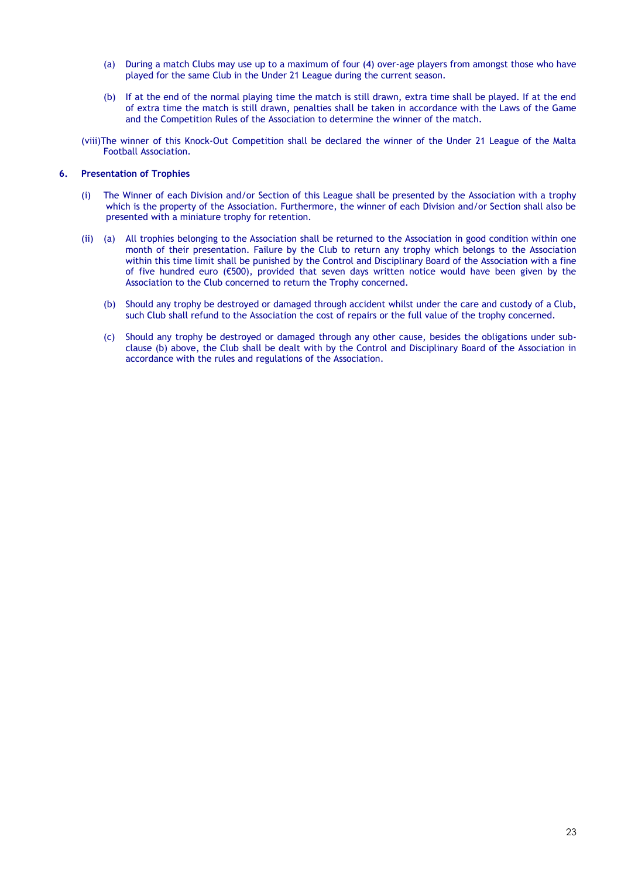- (a) During a match Clubs may use up to a maximum of four (4) over-age players from amongst those who have played for the same Club in the Under 21 League during the current season.
- (b) If at the end of the normal playing time the match is still drawn, extra time shall be played. If at the end of extra time the match is still drawn, penalties shall be taken in accordance with the Laws of the Game and the Competition Rules of the Association to determine the winner of the match.

(viii)The winner of this Knock-Out Competition shall be declared the winner of the Under 21 League of the Malta Football Association.

### **6. Presentation of Trophies**

- (i) The Winner of each Division and/or Section of this League shall be presented by the Association with a trophy which is the property of the Association. Furthermore, the winner of each Division and/or Section shall also be presented with a miniature trophy for retention.
- (ii) (a) All trophies belonging to the Association shall be returned to the Association in good condition within one month of their presentation. Failure by the Club to return any trophy which belongs to the Association within this time limit shall be punished by the Control and Disciplinary Board of the Association with a fine of five hundred euro (€500), provided that seven days written notice would have been given by the Association to the Club concerned to return the Trophy concerned.
	- (b) Should any trophy be destroyed or damaged through accident whilst under the care and custody of a Club, such Club shall refund to the Association the cost of repairs or the full value of the trophy concerned.
	- (c) Should any trophy be destroyed or damaged through any other cause, besides the obligations under subclause (b) above, the Club shall be dealt with by the Control and Disciplinary Board of the Association in accordance with the rules and regulations of the Association.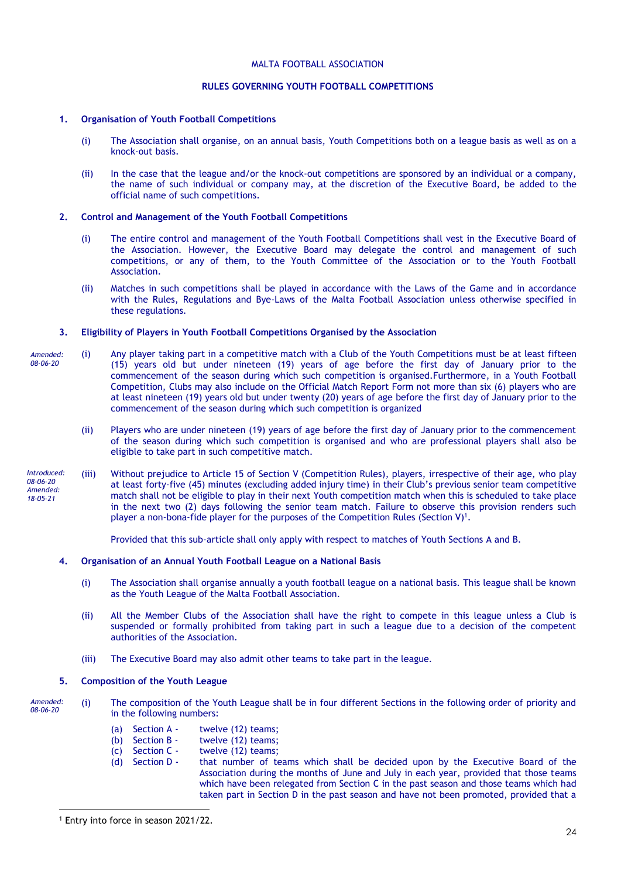### **RULES GOVERNING YOUTH FOOTBALL COMPETITIONS**

### **1. Organisation of Youth Football Competitions**

- (i) The Association shall organise, on an annual basis, Youth Competitions both on a league basis as well as on a knock-out basis.
- (ii) In the case that the league and/or the knock-out competitions are sponsored by an individual or a company, the name of such individual or company may, at the discretion of the Executive Board, be added to the official name of such competitions.

### **2. Control and Management of the Youth Football Competitions**

- (i) The entire control and management of the Youth Football Competitions shall vest in the Executive Board of the Association. However, the Executive Board may delegate the control and management of such competitions, or any of them, to the Youth Committee of the Association or to the Youth Football Association.
- (ii) Matches in such competitions shall be played in accordance with the Laws of the Game and in accordance with the Rules, Regulations and Bye-Laws of the Malta Football Association unless otherwise specified in these regulations.

### **3. Eligibility of Players in Youth Football Competitions Organised by the Association**

- (i) Any player taking part in a competitive match with a Club of the Youth Competitions must be at least fifteen (15) years old but under nineteen (19) years of age before the first day of January prior to the commencement of the season during which such competition is organised.Furthermore, in a Youth Football Competition, Clubs may also include on the Official Match Report Form not more than six (6) players who are at least nineteen (19) years old but under twenty (20) years of age before the first day of January prior to the commencement of the season during which such competition is organized *Amended: 08-06-20*
	- (ii) Players who are under nineteen (19) years of age before the first day of January prior to the commencement of the season during which such competition is organised and who are professional players shall also be eligible to take part in such competitive match.
- (iii) Without prejudice to Article 15 of Section V (Competition Rules), players, irrespective of their age, who play at least forty-five (45) minutes (excluding added injury time) in their Club's previous senior team competitive match shall not be eligible to play in their next Youth competition match when this is scheduled to take place in the next two (2) days following the senior team match. Failure to observe this provision renders such player a non-bona-fide player for the purposes of the Competition Rules (Section V)<sup>1</sup>. *Introduced: 08-06-20 Amended: 18-05-21*

Provided that this sub-article shall only apply with respect to matches of Youth Sections A and B.

### **4. Organisation of an Annual Youth Football League on a National Basis**

- (i) The Association shall organise annually a youth football league on a national basis. This league shall be known as the Youth League of the Malta Football Association.
- (ii) All the Member Clubs of the Association shall have the right to compete in this league unless a Club is suspended or formally prohibited from taking part in such a league due to a decision of the competent authorities of the Association.
- (iii) The Executive Board may also admit other teams to take part in the league.

### **5. Composition of the Youth League**

- (i) The composition of the Youth League shall be in four different Sections in the following order of priority and in the following numbers: *Amended: 08-06-20*
	- (a) Section A twelve (12) teams:
	- (b) Section B twelve  $(12)$  teams;<br>(c) Section C twelve  $(12)$  teams;
	- (c) Section  $C -$  twelve (12) teams;<br>(d) Section  $D -$  that number of te
	- that number of teams which shall be decided upon by the Executive Board of the Association during the months of June and July in each year, provided that those teams which have been relegated from Section C in the past season and those teams which had taken part in Section D in the past season and have not been promoted, provided that a

<sup>1</sup> Entry into force in season 2021/22.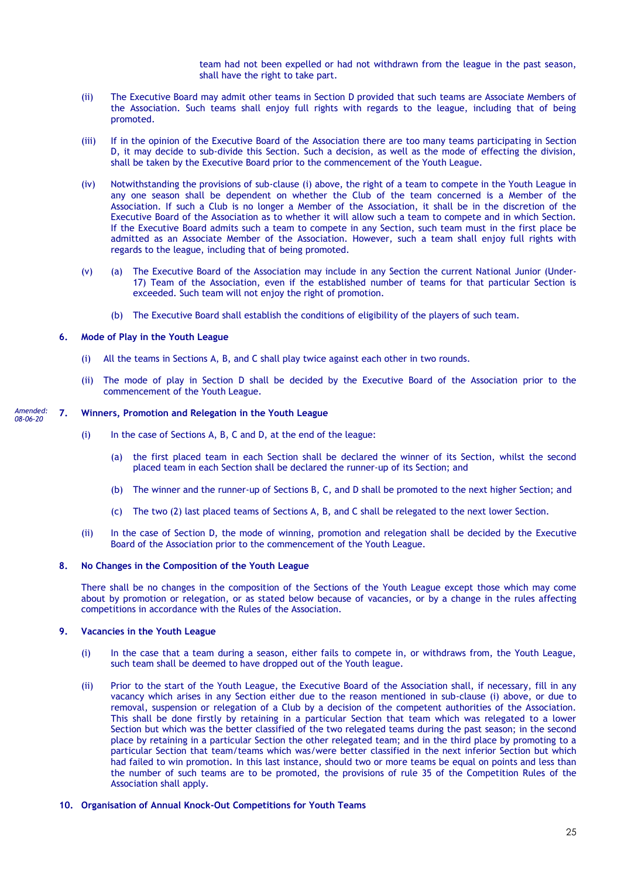team had not been expelled or had not withdrawn from the league in the past season, shall have the right to take part.

- (ii) The Executive Board may admit other teams in Section D provided that such teams are Associate Members of the Association. Such teams shall enjoy full rights with regards to the league, including that of being promoted.
- (iii) If in the opinion of the Executive Board of the Association there are too many teams participating in Section D, it may decide to sub-divide this Section. Such a decision, as well as the mode of effecting the division, shall be taken by the Executive Board prior to the commencement of the Youth League.
- (iv) Notwithstanding the provisions of sub-clause (i) above, the right of a team to compete in the Youth League in any one season shall be dependent on whether the Club of the team concerned is a Member of the Association. If such a Club is no longer a Member of the Association, it shall be in the discretion of the Executive Board of the Association as to whether it will allow such a team to compete and in which Section. If the Executive Board admits such a team to compete in any Section, such team must in the first place be admitted as an Associate Member of the Association. However, such a team shall enjoy full rights with regards to the league, including that of being promoted.
- (v) (a) The Executive Board of the Association may include in any Section the current National Junior (Under-17) Team of the Association, even if the established number of teams for that particular Section is exceeded. Such team will not enjoy the right of promotion.
	- (b) The Executive Board shall establish the conditions of eligibility of the players of such team.

### **6. Mode of Play in the Youth League**

- (i) All the teams in Sections A, B, and C shall play twice against each other in two rounds.
- (ii) The mode of play in Section D shall be decided by the Executive Board of the Association prior to the commencement of the Youth League.

#### **7. Winners, Promotion and Relegation in the Youth League** *Amended: 08-06-20*

- (i) In the case of Sections A, B, C and D, at the end of the league:
	- (a) the first placed team in each Section shall be declared the winner of its Section, whilst the second placed team in each Section shall be declared the runner-up of its Section; and
	- (b) The winner and the runner-up of Sections B, C, and D shall be promoted to the next higher Section; and
	- (c) The two (2) last placed teams of Sections A, B, and C shall be relegated to the next lower Section.
- (ii) In the case of Section D, the mode of winning, promotion and relegation shall be decided by the Executive Board of the Association prior to the commencement of the Youth League.

### **8. No Changes in the Composition of the Youth League**

There shall be no changes in the composition of the Sections of the Youth League except those which may come about by promotion or relegation, or as stated below because of vacancies, or by a change in the rules affecting competitions in accordance with the Rules of the Association.

### **9. Vacancies in the Youth League**

- (i) In the case that a team during a season, either fails to compete in, or withdraws from, the Youth League, such team shall be deemed to have dropped out of the Youth league.
- (ii) Prior to the start of the Youth League, the Executive Board of the Association shall, if necessary, fill in any vacancy which arises in any Section either due to the reason mentioned in sub-clause (i) above, or due to removal, suspension or relegation of a Club by a decision of the competent authorities of the Association. This shall be done firstly by retaining in a particular Section that team which was relegated to a lower Section but which was the better classified of the two relegated teams during the past season; in the second place by retaining in a particular Section the other relegated team; and in the third place by promoting to a particular Section that team/teams which was/were better classified in the next inferior Section but which had failed to win promotion. In this last instance, should two or more teams be equal on points and less than the number of such teams are to be promoted, the provisions of rule 35 of the Competition Rules of the Association shall apply.

### **10. Organisation of Annual Knock-Out Competitions for Youth Teams**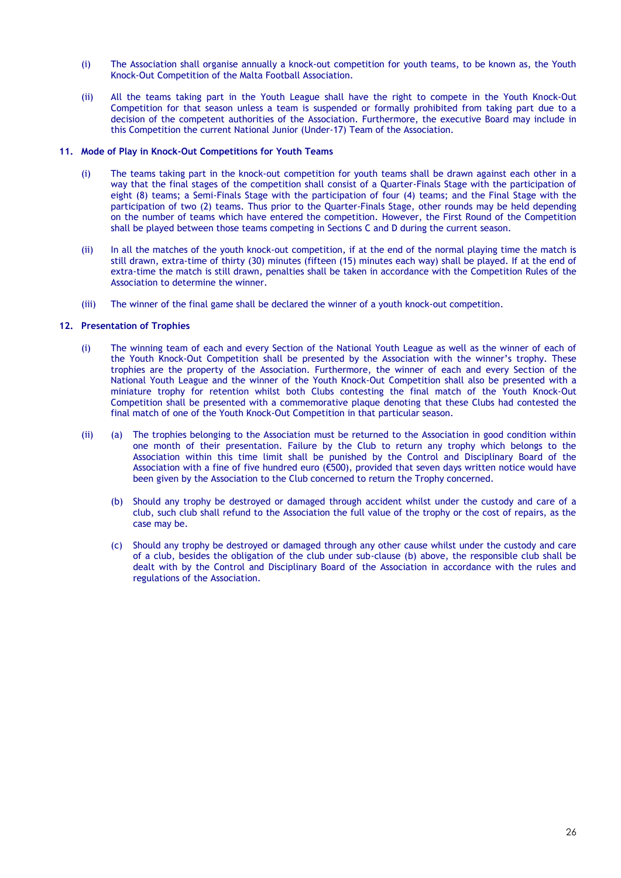- (i) The Association shall organise annually a knock-out competition for youth teams, to be known as, the Youth Knock-Out Competition of the Malta Football Association.
- (ii) All the teams taking part in the Youth League shall have the right to compete in the Youth Knock-Out Competition for that season unless a team is suspended or formally prohibited from taking part due to a decision of the competent authorities of the Association. Furthermore, the executive Board may include in this Competition the current National Junior (Under-17) Team of the Association.

### **11. Mode of Play in Knock-Out Competitions for Youth Teams**

- (i) The teams taking part in the knock-out competition for youth teams shall be drawn against each other in a way that the final stages of the competition shall consist of a Quarter-Finals Stage with the participation of eight (8) teams; a Semi-Finals Stage with the participation of four (4) teams; and the Final Stage with the participation of two (2) teams. Thus prior to the Quarter-Finals Stage, other rounds may be held depending on the number of teams which have entered the competition. However, the First Round of the Competition shall be played between those teams competing in Sections C and D during the current season.
- (ii) In all the matches of the youth knock-out competition, if at the end of the normal playing time the match is still drawn, extra-time of thirty (30) minutes (fifteen (15) minutes each way) shall be played. If at the end of extra-time the match is still drawn, penalties shall be taken in accordance with the Competition Rules of the Association to determine the winner.
- (iii) The winner of the final game shall be declared the winner of a youth knock-out competition.

### **12. Presentation of Trophies**

- (i) The winning team of each and every Section of the National Youth League as well as the winner of each of the Youth Knock-Out Competition shall be presented by the Association with the winner's trophy. These trophies are the property of the Association. Furthermore, the winner of each and every Section of the National Youth League and the winner of the Youth Knock-Out Competition shall also be presented with a miniature trophy for retention whilst both Clubs contesting the final match of the Youth Knock-Out Competition shall be presented with a commemorative plaque denoting that these Clubs had contested the final match of one of the Youth Knock-Out Competition in that particular season.
- (ii) (a) The trophies belonging to the Association must be returned to the Association in good condition within one month of their presentation. Failure by the Club to return any trophy which belongs to the Association within this time limit shall be punished by the Control and Disciplinary Board of the Association with a fine of five hundred euro (€500), provided that seven days written notice would have been given by the Association to the Club concerned to return the Trophy concerned.
	- (b) Should any trophy be destroyed or damaged through accident whilst under the custody and care of a club, such club shall refund to the Association the full value of the trophy or the cost of repairs, as the case may be.
	- (c) Should any trophy be destroyed or damaged through any other cause whilst under the custody and care of a club, besides the obligation of the club under sub-clause (b) above, the responsible club shall be dealt with by the Control and Disciplinary Board of the Association in accordance with the rules and regulations of the Association.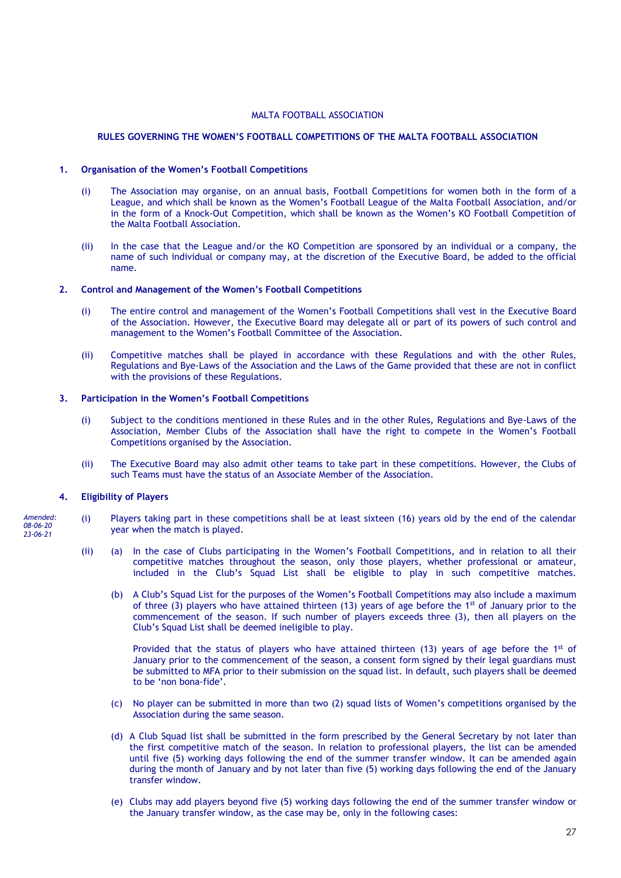### **RULES GOVERNING THE WOMEN'S FOOTBALL COMPETITIONS OF THE MALTA FOOTBALL ASSOCIATION**

### **1. Organisation of the Women's Football Competitions**

- (i) The Association may organise, on an annual basis, Football Competitions for women both in the form of a League, and which shall be known as the Women's Football League of the Malta Football Association, and/or in the form of a Knock-Out Competition, which shall be known as the Women's KO Football Competition of the Malta Football Association.
- (ii) In the case that the League and/or the KO Competition are sponsored by an individual or a company, the name of such individual or company may, at the discretion of the Executive Board, be added to the official name.

### **2. Control and Management of the Women's Football Competitions**

- (i) The entire control and management of the Women's Football Competitions shall vest in the Executive Board of the Association. However, the Executive Board may delegate all or part of its powers of such control and management to the Women's Football Committee of the Association.
- (ii) Competitive matches shall be played in accordance with these Regulations and with the other Rules, Regulations and Bye-Laws of the Association and the Laws of the Game provided that these are not in conflict with the provisions of these Regulations.

### **3. Participation in the Women's Football Competitions**

- (i) Subject to the conditions mentioned in these Rules and in the other Rules, Regulations and Bye-Laws of the Association, Member Clubs of the Association shall have the right to compete in the Women's Football Competitions organised by the Association.
- (ii) The Executive Board may also admit other teams to take part in these competitions. However, the Clubs of such Teams must have the status of an Associate Member of the Association.

### **4. Eligibility of Players**

- (i) Players taking part in these competitions shall be at least sixteen (16) years old by the end of the calendar year when the match is played. *Amended: 08-06-20 23-06-21*
	- (ii) (a) In the case of Clubs participating in the Women's Football Competitions, and in relation to all their competitive matches throughout the season, only those players, whether professional or amateur, included in the Club's Squad List shall be eligible to play in such competitive matches.
		- (b) A Club's Squad List for the purposes of the Women's Football Competitions may also include a maximum of three (3) players who have attained thirteen (13) years of age before the 1<sup>st</sup> of January prior to the commencement of the season. If such number of players exceeds three (3), then all players on the Club's Squad List shall be deemed ineligible to play.

Provided that the status of players who have attained thirteen  $(13)$  years of age before the 1<sup>st</sup> of January prior to the commencement of the season, a consent form signed by their legal guardians must be submitted to MFA prior to their submission on the squad list. In default, such players shall be deemed to be 'non bona-fide'.

- (c) No player can be submitted in more than two (2) squad lists of Women's competitions organised by the Association during the same season.
- (d) A Club Squad list shall be submitted in the form prescribed by the General Secretary by not later than the first competitive match of the season. In relation to professional players, the list can be amended until five (5) working days following the end of the summer transfer window. It can be amended again during the month of January and by not later than five (5) working days following the end of the January transfer window.
- (e) Clubs may add players beyond five (5) working days following the end of the summer transfer window or the January transfer window, as the case may be, only in the following cases: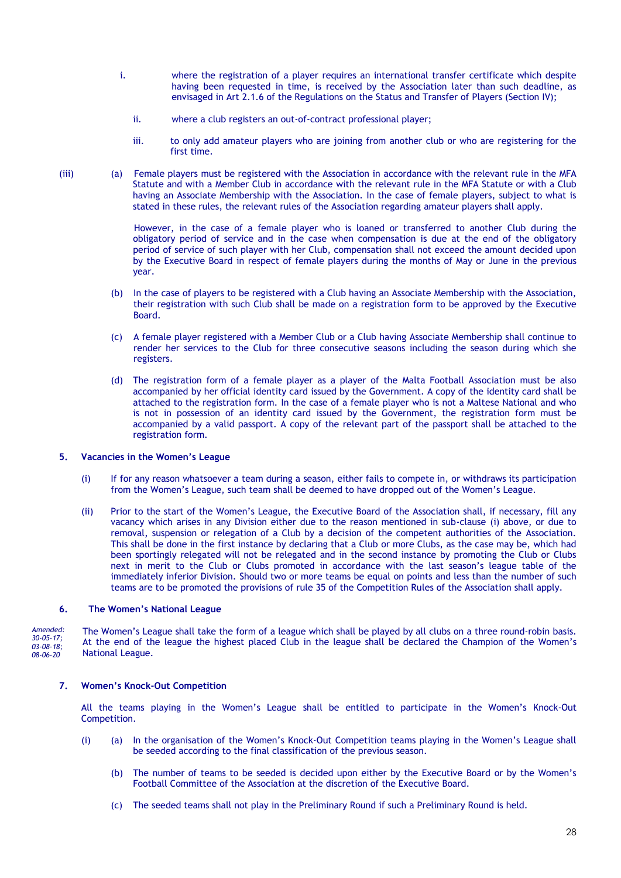- i. where the registration of a player requires an international transfer certificate which despite having been requested in time, is received by the Association later than such deadline, as envisaged in Art 2.1.6 of the Regulations on the Status and Transfer of Players (Section IV);
	- ii. where a club registers an out-of-contract professional player;
	- iii. to only add amateur players who are joining from another club or who are registering for the first time.
- (iii) (a) Female players must be registered with the Association in accordance with the relevant rule in the MFA Statute and with a Member Club in accordance with the relevant rule in the MFA Statute or with a Club having an Associate Membership with the Association. In the case of female players, subject to what is stated in these rules, the relevant rules of the Association regarding amateur players shall apply.

However, in the case of a female player who is loaned or transferred to another Club during the obligatory period of service and in the case when compensation is due at the end of the obligatory period of service of such player with her Club, compensation shall not exceed the amount decided upon by the Executive Board in respect of female players during the months of May or June in the previous year.

- (b) In the case of players to be registered with a Club having an Associate Membership with the Association, their registration with such Club shall be made on a registration form to be approved by the Executive Board.
- (c) A female player registered with a Member Club or a Club having Associate Membership shall continue to render her services to the Club for three consecutive seasons including the season during which she registers.
- (d) The registration form of a female player as a player of the Malta Football Association must be also accompanied by her official identity card issued by the Government. A copy of the identity card shall be attached to the registration form. In the case of a female player who is not a Maltese National and who is not in possession of an identity card issued by the Government, the registration form must be accompanied by a valid passport. A copy of the relevant part of the passport shall be attached to the registration form.

### **5. Vacancies in the Women's League**

- (i) If for any reason whatsoever a team during a season, either fails to compete in, or withdraws its participation from the Women's League, such team shall be deemed to have dropped out of the Women's League.
- (ii) Prior to the start of the Women's League, the Executive Board of the Association shall, if necessary, fill any vacancy which arises in any Division either due to the reason mentioned in sub-clause (i) above, or due to removal, suspension or relegation of a Club by a decision of the competent authorities of the Association. This shall be done in the first instance by declaring that a Club or more Clubs, as the case may be, which had been sportingly relegated will not be relegated and in the second instance by promoting the Club or Clubs next in merit to the Club or Clubs promoted in accordance with the last season's league table of the immediately inferior Division. Should two or more teams be equal on points and less than the number of such teams are to be promoted the provisions of rule 35 of the Competition Rules of the Association shall apply.

### **6. The Women's National League**

The Women's League shall take the form of a league which shall be played by all clubs on a three round-robin basis. At the end of the league the highest placed Club in the league shall be declared the Champion of the Women's National League. *Amended: 30-05-17; 03-08-18; 08-06-20*

### **7. Women's Knock-Out Competition**

All the teams playing in the Women's League shall be entitled to participate in the Women's Knock-Out Competition.

- (i) (a) In the organisation of the Women's Knock-Out Competition teams playing in the Women's League shall be seeded according to the final classification of the previous season.
	- (b) The number of teams to be seeded is decided upon either by the Executive Board or by the Women's Football Committee of the Association at the discretion of the Executive Board.
	- (c) The seeded teams shall not play in the Preliminary Round if such a Preliminary Round is held.

28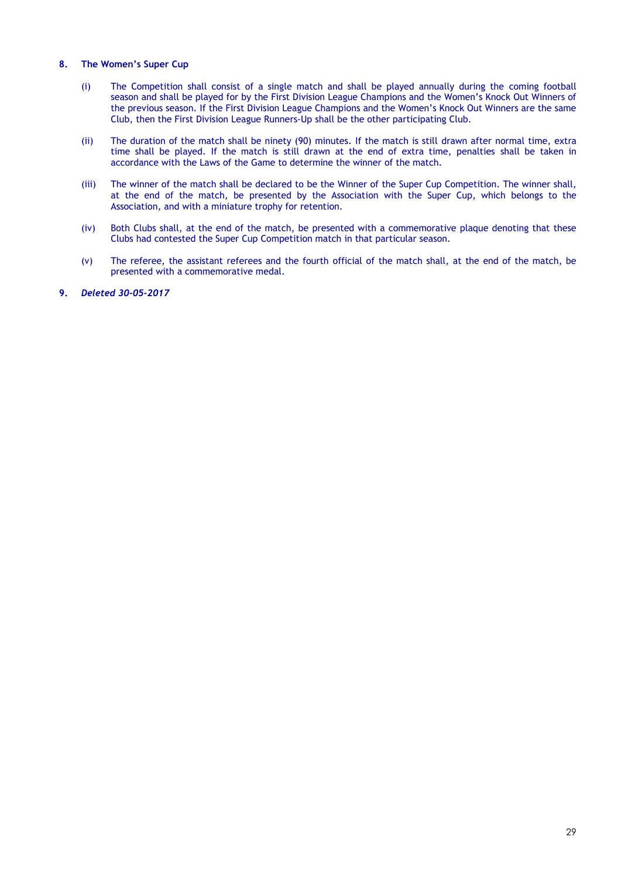### **8. The Women's Super Cup**

- (i) The Competition shall consist of a single match and shall be played annually during the coming football season and shall be played for by the First Division League Champions and the Women's Knock Out Winners of the previous season. If the First Division League Champions and the Women's Knock Out Winners are the same Club, then the First Division League Runners-Up shall be the other participating Club.
- (ii) The duration of the match shall be ninety (90) minutes. If the match is still drawn after normal time, extra time shall be played. If the match is still drawn at the end of extra time, penalties shall be taken in accordance with the Laws of the Game to determine the winner of the match.
- (iii) The winner of the match shall be declared to be the Winner of the Super Cup Competition. The winner shall, at the end of the match, be presented by the Association with the Super Cup, which belongs to the Association, and with a miniature trophy for retention.
- (iv) Both Clubs shall, at the end of the match, be presented with a commemorative plaque denoting that these Clubs had contested the Super Cup Competition match in that particular season.
- (v) The referee, the assistant referees and the fourth official of the match shall, at the end of the match, be presented with a commemorative medal.
- **9.** *Deleted 30-05-2017*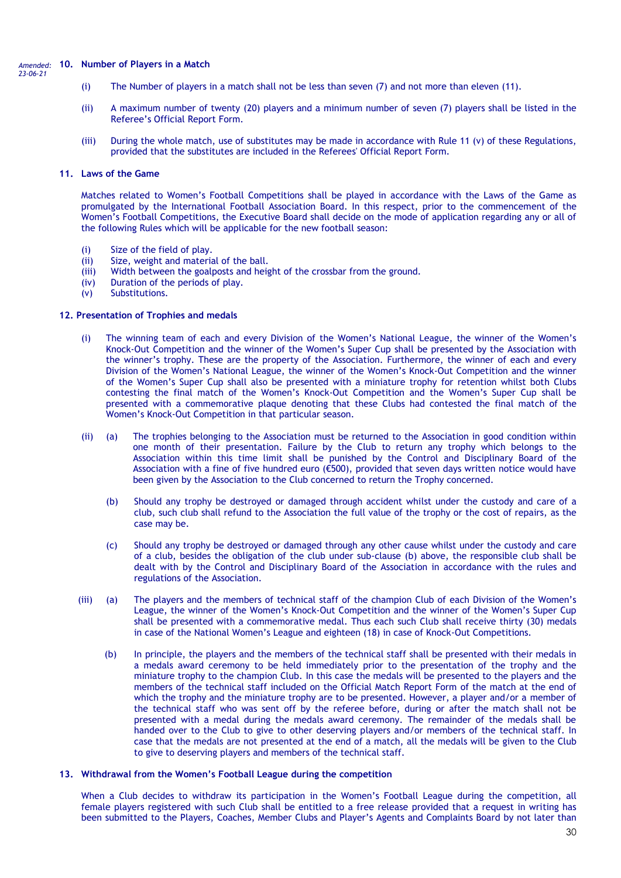#### **10. Number of Players in a Match** *Amended: 23-06-21*

- (i) The Number of players in a match shall not be less than seven (7) and not more than eleven (11).
- (ii) A maximum number of twenty (20) players and a minimum number of seven (7) players shall be listed in the Referee's Official Report Form.
- (iii) During the whole match, use of substitutes may be made in accordance with Rule 11 (v) of these Regulations, provided that the substitutes are included in the Referees' Official Report Form.

#### **11. Laws of the Game**

Matches related to Women's Football Competitions shall be played in accordance with the Laws of the Game as promulgated by the International Football Association Board. In this respect, prior to the commencement of the Women's Football Competitions, the Executive Board shall decide on the mode of application regarding any or all of the following Rules which will be applicable for the new football season:

- (i) Size of the field of play.
- (ii) Size, weight and material of the ball.
- (iii) Width between the goalposts and height of the crossbar from the ground.
- (iv) Duration of the periods of play.
- (v) Substitutions.

### **12. Presentation of Trophies and medals**

- (i) The winning team of each and every Division of the Women's National League, the winner of the Women's Knock-Out Competition and the winner of the Women's Super Cup shall be presented by the Association with the winner's trophy. These are the property of the Association. Furthermore, the winner of each and every Division of the Women's National League, the winner of the Women's Knock-Out Competition and the winner of the Women's Super Cup shall also be presented with a miniature trophy for retention whilst both Clubs contesting the final match of the Women's Knock-Out Competition and the Women's Super Cup shall be presented with a commemorative plaque denoting that these Clubs had contested the final match of the Women's Knock-Out Competition in that particular season.
- (ii) (a) The trophies belonging to the Association must be returned to the Association in good condition within one month of their presentation. Failure by the Club to return any trophy which belongs to the Association within this time limit shall be punished by the Control and Disciplinary Board of the Association with a fine of five hundred euro (€500), provided that seven days written notice would have been given by the Association to the Club concerned to return the Trophy concerned.
	- (b) Should any trophy be destroyed or damaged through accident whilst under the custody and care of a club, such club shall refund to the Association the full value of the trophy or the cost of repairs, as the case may be.
	- (c) Should any trophy be destroyed or damaged through any other cause whilst under the custody and care of a club, besides the obligation of the club under sub-clause (b) above, the responsible club shall be dealt with by the Control and Disciplinary Board of the Association in accordance with the rules and regulations of the Association.
- (iii) (a) The players and the members of technical staff of the champion Club of each Division of the Women's League, the winner of the Women's Knock-Out Competition and the winner of the Women's Super Cup shall be presented with a commemorative medal. Thus each such Club shall receive thirty (30) medals in case of the National Women's League and eighteen (18) in case of Knock-Out Competitions.
	- (b) In principle, the players and the members of the technical staff shall be presented with their medals in a medals award ceremony to be held immediately prior to the presentation of the trophy and the miniature trophy to the champion Club. In this case the medals will be presented to the players and the members of the technical staff included on the Official Match Report Form of the match at the end of which the trophy and the miniature trophy are to be presented. However, a player and/or a member of the technical staff who was sent off by the referee before, during or after the match shall not be presented with a medal during the medals award ceremony. The remainder of the medals shall be handed over to the Club to give to other deserving players and/or members of the technical staff. In case that the medals are not presented at the end of a match, all the medals will be given to the Club to give to deserving players and members of the technical staff.

### **13. Withdrawal from the Women's Football League during the competition**

When a Club decides to withdraw its participation in the Women's Football League during the competition, all female players registered with such Club shall be entitled to a free release provided that a request in writing has been submitted to the Players, Coaches, Member Clubs and Player's Agents and Complaints Board by not later than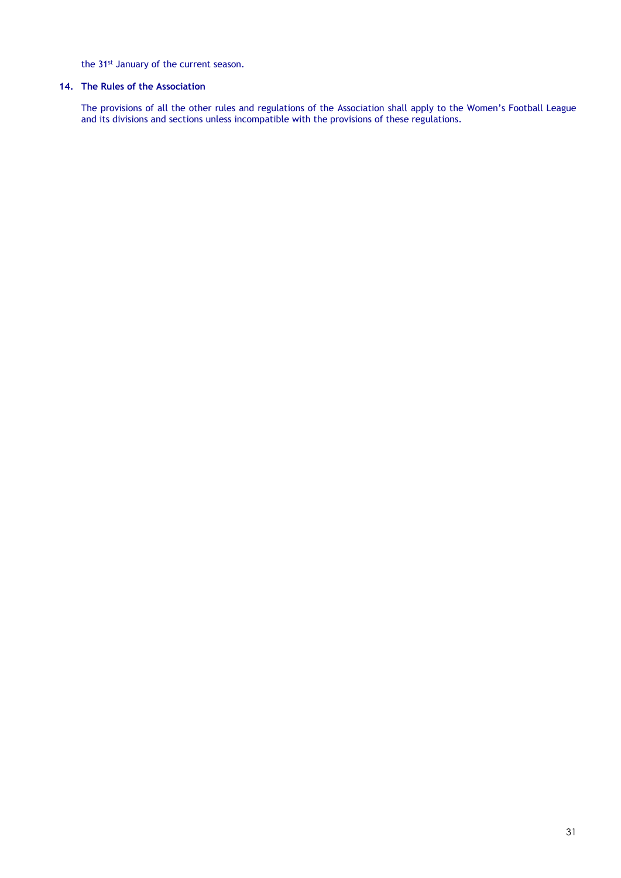the 31<sup>st</sup> January of the current season.

## **14. The Rules of the Association**

The provisions of all the other rules and regulations of the Association shall apply to the Women's Football League and its divisions and sections unless incompatible with the provisions of these regulations.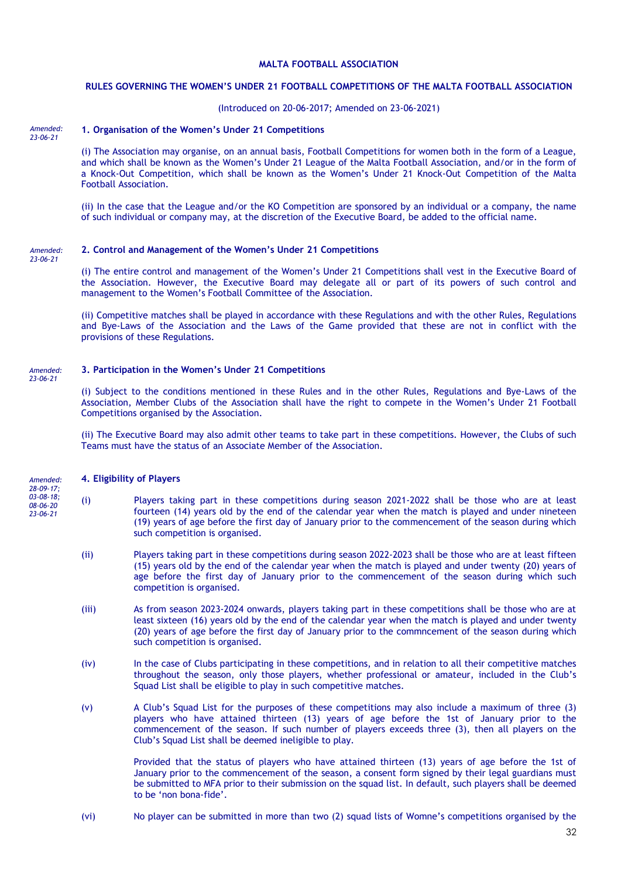### **RULES GOVERNING THE WOMEN'S UNDER 21 FOOTBALL COMPETITIONS OF THE MALTA FOOTBALL ASSOCIATION**

### (Introduced on 20-06-2017; Amended on 23-06-2021)

#### **1. Organisation of the Women's Under 21 Competitions**  *Amended: 23-06-21*

(i) The Association may organise, on an annual basis, Football Competitions for women both in the form of a League, and which shall be known as the Women's Under 21 League of the Malta Football Association, and/or in the form of a Knock-Out Competition, which shall be known as the Women's Under 21 Knock-Out Competition of the Malta Football Association.

(ii) In the case that the League and/or the KO Competition are sponsored by an individual or a company, the name of such individual or company may, at the discretion of the Executive Board, be added to the official name.

#### **2. Control and Management of the Women's Under 21 Competitions**  *Amended: 23-06-21*

(i) The entire control and management of the Women's Under 21 Competitions shall vest in the Executive Board of the Association. However, the Executive Board may delegate all or part of its powers of such control and management to the Women's Football Committee of the Association.

(ii) Competitive matches shall be played in accordance with these Regulations and with the other Rules, Regulations and Bye-Laws of the Association and the Laws of the Game provided that these are not in conflict with the provisions of these Regulations.

#### **3. Participation in the Women's Under 21 Competitions**  *Amended: 23-06-21*

(i) Subject to the conditions mentioned in these Rules and in the other Rules, Regulations and Bye-Laws of the Association, Member Clubs of the Association shall have the right to compete in the Women's Under 21 Football Competitions organised by the Association.

(ii) The Executive Board may also admit other teams to take part in these competitions. However, the Clubs of such Teams must have the status of an Associate Member of the Association.

#### **4. Eligibility of Players**

- *Amended: 28-09-17; 03-08-18; 08-06-20 23-06-21*
- (i) Players taking part in these competitions during season 2021-2022 shall be those who are at least fourteen (14) years old by the end of the calendar year when the match is played and under nineteen (19) years of age before the first day of January prior to the commencement of the season during which such competition is organised.
- (ii) Players taking part in these competitions during season 2022-2023 shall be those who are at least fifteen (15) years old by the end of the calendar year when the match is played and under twenty (20) years of age before the first day of January prior to the commencement of the season during which such competition is organised.
- (iii) As from season 2023-2024 onwards, players taking part in these competitions shall be those who are at least sixteen (16) years old by the end of the calendar year when the match is played and under twenty (20) years of age before the first day of January prior to the commncement of the season during which such competition is organised.
- (iv) In the case of Clubs participating in these competitions, and in relation to all their competitive matches throughout the season, only those players, whether professional or amateur, included in the Club's Squad List shall be eligible to play in such competitive matches.
- (v) A Club's Squad List for the purposes of these competitions may also include a maximum of three (3) players who have attained thirteen (13) years of age before the 1st of January prior to the commencement of the season. If such number of players exceeds three (3), then all players on the Club's Squad List shall be deemed ineligible to play.

Provided that the status of players who have attained thirteen (13) years of age before the 1st of January prior to the commencement of the season, a consent form signed by their legal guardians must be submitted to MFA prior to their submission on the squad list. In default, such players shall be deemed to be 'non bona-fide'.

(vi) No player can be submitted in more than two (2) squad lists of Womne's competitions organised by the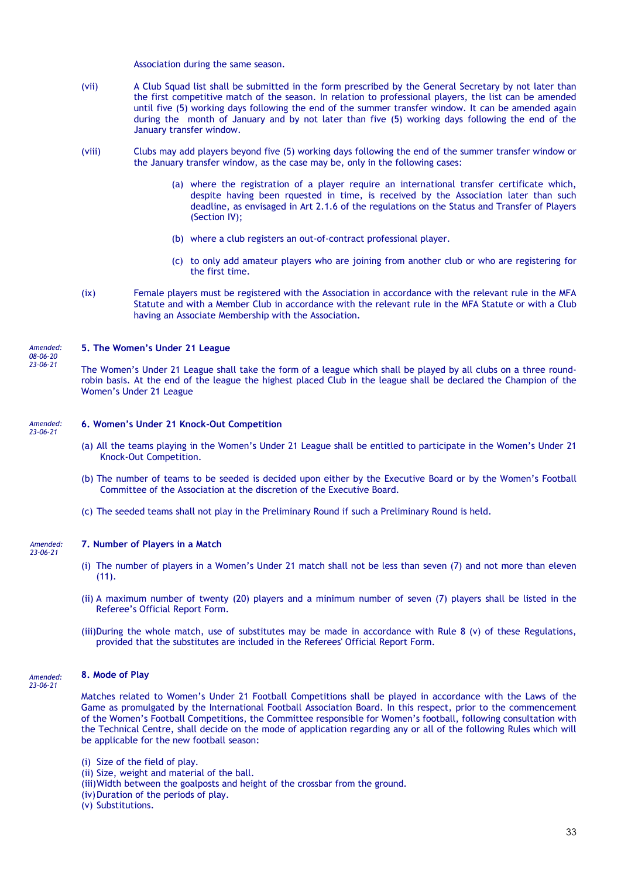Association during the same season.

- (vii) A Club Squad list shall be submitted in the form prescribed by the General Secretary by not later than the first competitive match of the season. In relation to professional players, the list can be amended until five (5) working days following the end of the summer transfer window. It can be amended again during the month of January and by not later than five (5) working days following the end of the January transfer window.
- (viii) Clubs may add players beyond five (5) working days following the end of the summer transfer window or the January transfer window, as the case may be, only in the following cases:
	- (a) where the registration of a player require an international transfer certificate which, despite having been rquested in time, is received by the Association later than such deadline, as envisaged in Art 2.1.6 of the regulations on the Status and Transfer of Players (Section IV);
	- (b) where a club registers an out-of-contract professional player.
	- (c) to only add amateur players who are joining from another club or who are registering for the first time.
- (ix) Female players must be registered with the Association in accordance with the relevant rule in the MFA Statute and with a Member Club in accordance with the relevant rule in the MFA Statute or with a Club having an Associate Membership with the Association.

### **5. The Women's Under 21 League**

The Women's Under 21 League shall take the form of a league which shall be played by all clubs on a three roundrobin basis. At the end of the league the highest placed Club in the league shall be declared the Champion of the Women's Under 21 League

#### **6. Women's Under 21 Knock-Out Competition**  *Amended: 23-06-21*

- (a) All the teams playing in the Women's Under 21 League shall be entitled to participate in the Women's Under 21 Knock-Out Competition.
- (b) The number of teams to be seeded is decided upon either by the Executive Board or by the Women's Football Committee of the Association at the discretion of the Executive Board.
- (c) The seeded teams shall not play in the Preliminary Round if such a Preliminary Round is held.

*Amended: 23-06-21*

*Amended: 08-06-20 23-06-21*

### **7. Number of Players in a Match**

- (i) The number of players in a Women's Under 21 match shall not be less than seven (7) and not more than eleven (11).
- (ii) A maximum number of twenty (20) players and a minimum number of seven (7) players shall be listed in the Referee's Official Report Form.
- (iii)During the whole match, use of substitutes may be made in accordance with Rule 8 (v) of these Regulations, provided that the substitutes are included in the Referees' Official Report Form.

#### **8. Mode of Play**

*Amended: 23-06-21*

Matches related to Women's Under 21 Football Competitions shall be played in accordance with the Laws of the Game as promulgated by the International Football Association Board. In this respect, prior to the commencement of the Women's Football Competitions, the Committee responsible for Women's football, following consultation with the Technical Centre, shall decide on the mode of application regarding any or all of the following Rules which will be applicable for the new football season:

- (i) Size of the field of play.
- (ii) Size, weight and material of the ball.
- (iii)Width between the goalposts and height of the crossbar from the ground.
- (iv) Duration of the periods of play.
- (v) Substitutions.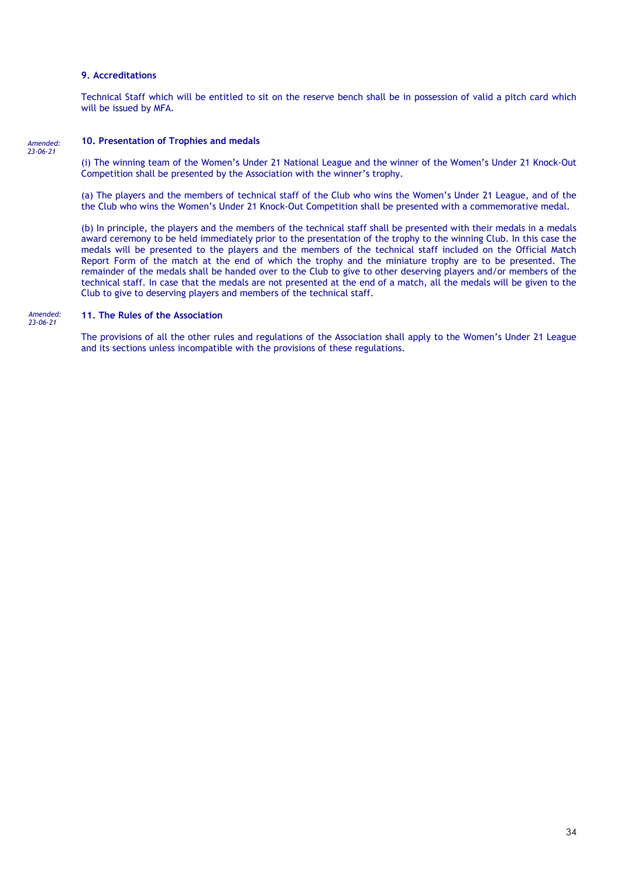### **9. Accreditations**

Technical Staff which will be entitled to sit on the reserve bench shall be in possession of valid a pitch card which will be issued by MFA.

#### *Amended: 23-06-21*

### **10. Presentation of Trophies and medals**

(i) The winning team of the Women's Under 21 National League and the winner of the Women's Under 21 Knock-Out Competition shall be presented by the Association with the winner's trophy.

(a) The players and the members of technical staff of the Club who wins the Women's Under 21 League, and of the the Club who wins the Women's Under 21 Knock-Out Competition shall be presented with a commemorative medal.

(b) In principle, the players and the members of the technical staff shall be presented with their medals in a medals award ceremony to be held immediately prior to the presentation of the trophy to the winning Club. In this case the medals will be presented to the players and the members of the technical staff included on the Official Match Report Form of the match at the end of which the trophy and the miniature trophy are to be presented. The remainder of the medals shall be handed over to the Club to give to other deserving players and/or members of the technical staff. In case that the medals are not presented at the end of a match, all the medals will be given to the Club to give to deserving players and members of the technical staff.

#### **11. The Rules of the Association**  *Amended: 23-06-21*

The provisions of all the other rules and regulations of the Association shall apply to the Women's Under 21 League and its sections unless incompatible with the provisions of these regulations.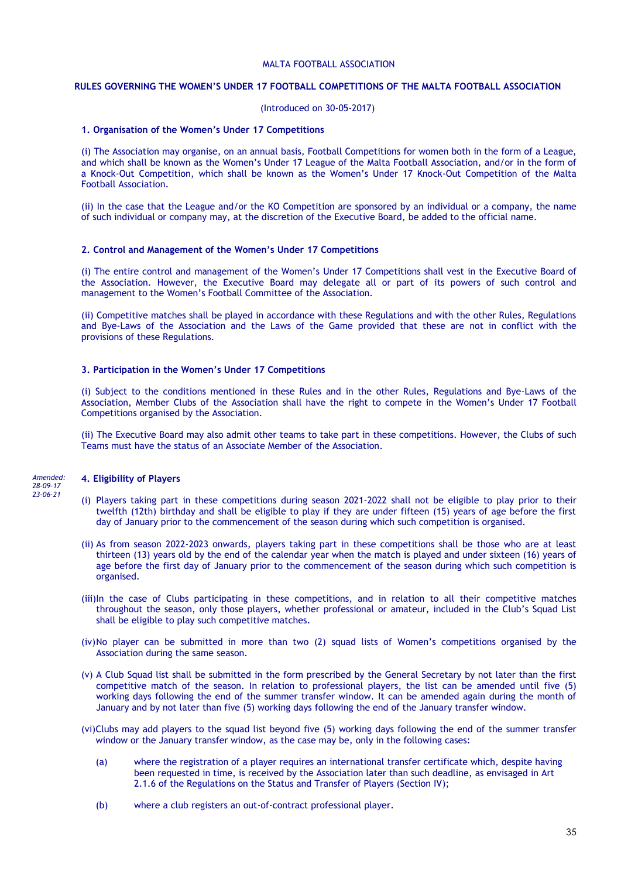### **RULES GOVERNING THE WOMEN'S UNDER 17 FOOTBALL COMPETITIONS OF THE MALTA FOOTBALL ASSOCIATION**

### (Introduced on 30-05-2017)

#### **1. Organisation of the Women's Under 17 Competitions**

(i) The Association may organise, on an annual basis, Football Competitions for women both in the form of a League, and which shall be known as the Women's Under 17 League of the Malta Football Association, and/or in the form of a Knock-Out Competition, which shall be known as the Women's Under 17 Knock-Out Competition of the Malta Football Association.

(ii) In the case that the League and/or the KO Competition are sponsored by an individual or a company, the name of such individual or company may, at the discretion of the Executive Board, be added to the official name.

### **2. Control and Management of the Women's Under 17 Competitions**

(i) The entire control and management of the Women's Under 17 Competitions shall vest in the Executive Board of the Association. However, the Executive Board may delegate all or part of its powers of such control and management to the Women's Football Committee of the Association.

(ii) Competitive matches shall be played in accordance with these Regulations and with the other Rules, Regulations and Bye-Laws of the Association and the Laws of the Game provided that these are not in conflict with the provisions of these Regulations.

### **3. Participation in the Women's Under 17 Competitions**

(i) Subject to the conditions mentioned in these Rules and in the other Rules, Regulations and Bye-Laws of the Association, Member Clubs of the Association shall have the right to compete in the Women's Under 17 Football Competitions organised by the Association.

(ii) The Executive Board may also admit other teams to take part in these competitions. However, the Clubs of such Teams must have the status of an Associate Member of the Association.

*Amended: 28-09-17 23-06-21*

### **4. Eligibility of Players**

- (i) Players taking part in these competitions during season 2021-2022 shall not be eligible to play prior to their twelfth (12th) birthday and shall be eligible to play if they are under fifteen (15) years of age before the first day of January prior to the commencement of the season during which such competition is organised.
- (ii) As from season 2022-2023 onwards, players taking part in these competitions shall be those who are at least thirteen (13) years old by the end of the calendar year when the match is played and under sixteen (16) years of age before the first day of January prior to the commencement of the season during which such competition is organised.
- (iii)In the case of Clubs participating in these competitions, and in relation to all their competitive matches throughout the season, only those players, whether professional or amateur, included in the Club's Squad List shall be eligible to play such competitive matches.
- (iv)No player can be submitted in more than two (2) squad lists of Women's competitions organised by the Association during the same season.
- (v) A Club Squad list shall be submitted in the form prescribed by the General Secretary by not later than the first competitive match of the season. In relation to professional players, the list can be amended until five (5) working days following the end of the summer transfer window. It can be amended again during the month of January and by not later than five (5) working days following the end of the January transfer window.
- (vi)Clubs may add players to the squad list beyond five (5) working days following the end of the summer transfer window or the January transfer window, as the case may be, only in the following cases:
	- (a) where the registration of a player requires an international transfer certificate which, despite having been requested in time, is received by the Association later than such deadline, as envisaged in Art 2.1.6 of the Regulations on the Status and Transfer of Players (Section IV);
	- (b) where a club registers an out-of-contract professional player.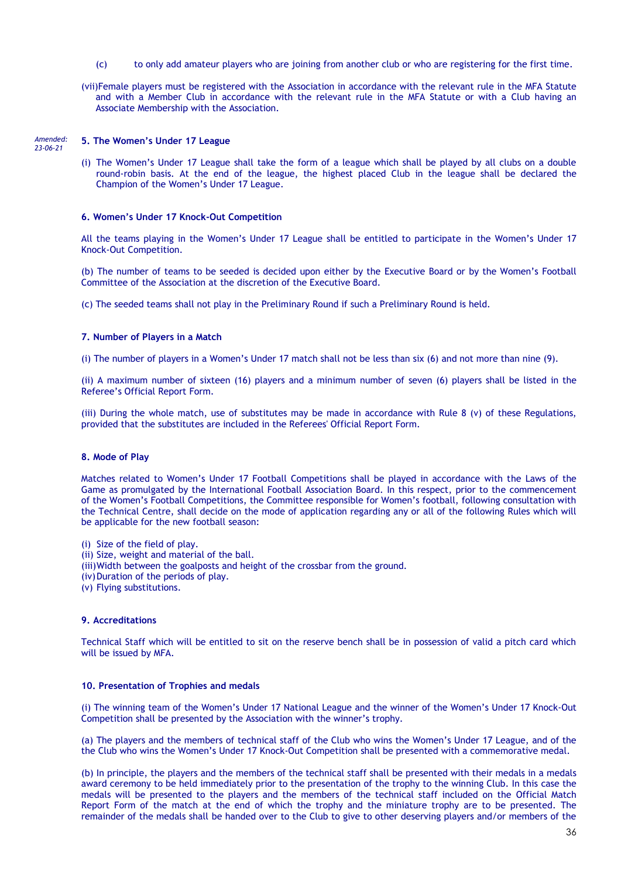- (c) to only add amateur players who are joining from another club or who are registering for the first time.
- (vii)Female players must be registered with the Association in accordance with the relevant rule in the MFA Statute and with a Member Club in accordance with the relevant rule in the MFA Statute or with a Club having an Associate Membership with the Association.

#### *Amended: 23-06-21*

### **5. The Women's Under 17 League**

(i) The Women's Under 17 League shall take the form of a league which shall be played by all clubs on a double round-robin basis. At the end of the league, the highest placed Club in the league shall be declared the Champion of the Women's Under 17 League.

### **6. Women's Under 17 Knock-Out Competition**

All the teams playing in the Women's Under 17 League shall be entitled to participate in the Women's Under 17 Knock-Out Competition.

(b) The number of teams to be seeded is decided upon either by the Executive Board or by the Women's Football Committee of the Association at the discretion of the Executive Board.

(c) The seeded teams shall not play in the Preliminary Round if such a Preliminary Round is held.

### **7. Number of Players in a Match**

(i) The number of players in a Women's Under 17 match shall not be less than six (6) and not more than nine (9).

(ii) A maximum number of sixteen (16) players and a minimum number of seven (6) players shall be listed in the Referee's Official Report Form.

(iii) During the whole match, use of substitutes may be made in accordance with Rule 8 (v) of these Regulations, provided that the substitutes are included in the Referees' Official Report Form.

### **8. Mode of Play**

Matches related to Women's Under 17 Football Competitions shall be played in accordance with the Laws of the Game as promulgated by the International Football Association Board. In this respect, prior to the commencement of the Women's Football Competitions, the Committee responsible for Women's football, following consultation with the Technical Centre, shall decide on the mode of application regarding any or all of the following Rules which will be applicable for the new football season:

- (i) Size of the field of play.
- (ii) Size, weight and material of the ball.
- (iii)Width between the goalposts and height of the crossbar from the ground.
- (iv) Duration of the periods of play.
- (v) Flying substitutions.

### **9. Accreditations**

Technical Staff which will be entitled to sit on the reserve bench shall be in possession of valid a pitch card which will be issued by MFA.

#### **10. Presentation of Trophies and medals**

(i) The winning team of the Women's Under 17 National League and the winner of the Women's Under 17 Knock-Out Competition shall be presented by the Association with the winner's trophy.

(a) The players and the members of technical staff of the Club who wins the Women's Under 17 League, and of the the Club who wins the Women's Under 17 Knock-Out Competition shall be presented with a commemorative medal.

(b) In principle, the players and the members of the technical staff shall be presented with their medals in a medals award ceremony to be held immediately prior to the presentation of the trophy to the winning Club. In this case the medals will be presented to the players and the members of the technical staff included on the Official Match Report Form of the match at the end of which the trophy and the miniature trophy are to be presented. The remainder of the medals shall be handed over to the Club to give to other deserving players and/or members of the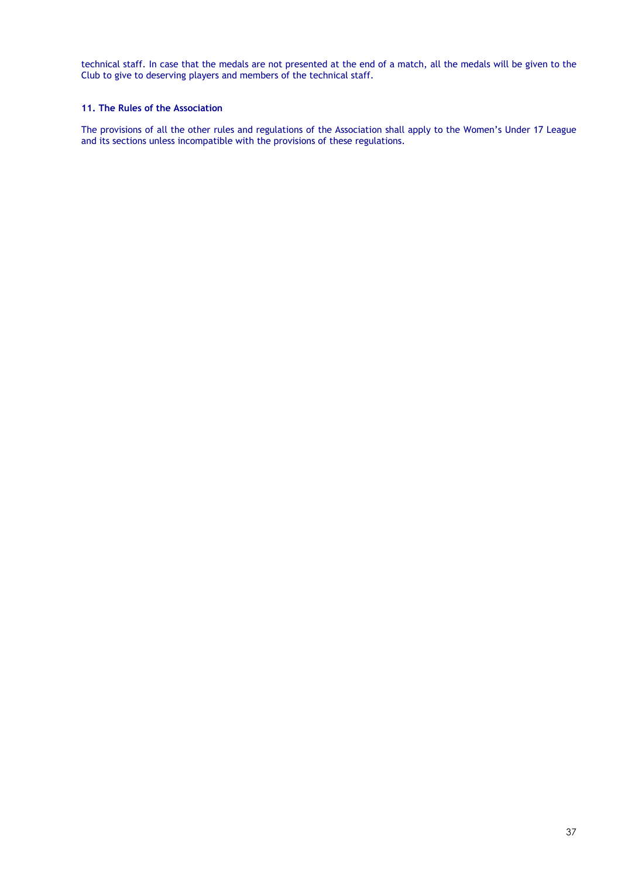technical staff. In case that the medals are not presented at the end of a match, all the medals will be given to the Club to give to deserving players and members of the technical staff.

## **11. The Rules of the Association**

The provisions of all the other rules and regulations of the Association shall apply to the Women's Under 17 League and its sections unless incompatible with the provisions of these regulations.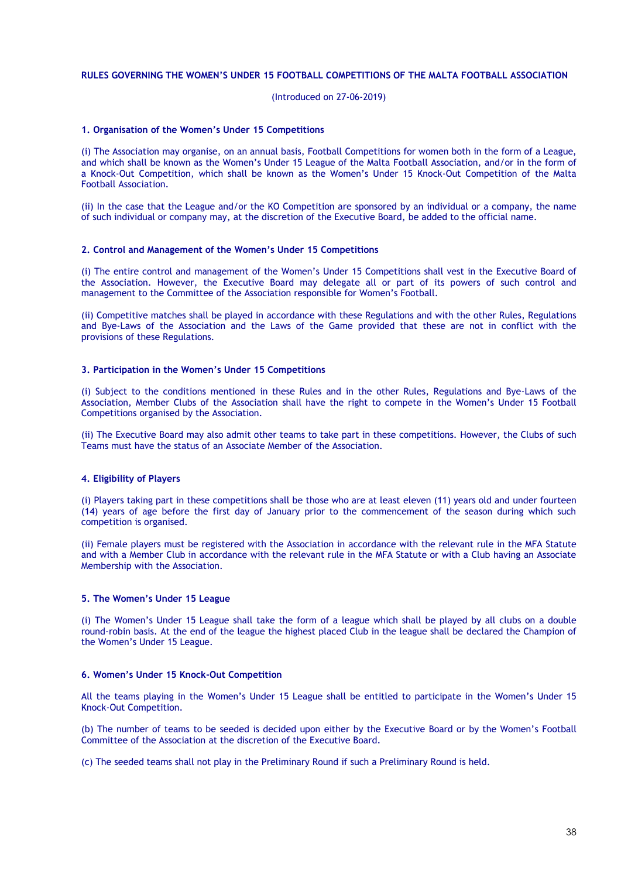### **RULES GOVERNING THE WOMEN'S UNDER 15 FOOTBALL COMPETITIONS OF THE MALTA FOOTBALL ASSOCIATION**

(Introduced on 27-06-2019)

#### **1. Organisation of the Women's Under 15 Competitions**

(i) The Association may organise, on an annual basis, Football Competitions for women both in the form of a League, and which shall be known as the Women's Under 15 League of the Malta Football Association, and/or in the form of a Knock-Out Competition, which shall be known as the Women's Under 15 Knock-Out Competition of the Malta Football Association.

(ii) In the case that the League and/or the KO Competition are sponsored by an individual or a company, the name of such individual or company may, at the discretion of the Executive Board, be added to the official name.

#### **2. Control and Management of the Women's Under 15 Competitions**

(i) The entire control and management of the Women's Under 15 Competitions shall vest in the Executive Board of the Association. However, the Executive Board may delegate all or part of its powers of such control and management to the Committee of the Association responsible for Women's Football.

(ii) Competitive matches shall be played in accordance with these Regulations and with the other Rules, Regulations and Bye-Laws of the Association and the Laws of the Game provided that these are not in conflict with the provisions of these Regulations.

### **3. Participation in the Women's Under 15 Competitions**

(i) Subject to the conditions mentioned in these Rules and in the other Rules, Regulations and Bye-Laws of the Association, Member Clubs of the Association shall have the right to compete in the Women's Under 15 Football Competitions organised by the Association.

(ii) The Executive Board may also admit other teams to take part in these competitions. However, the Clubs of such Teams must have the status of an Associate Member of the Association.

### **4. Eligibility of Players**

(i) Players taking part in these competitions shall be those who are at least eleven (11) years old and under fourteen (14) years of age before the first day of January prior to the commencement of the season during which such competition is organised.

(ii) Female players must be registered with the Association in accordance with the relevant rule in the MFA Statute and with a Member Club in accordance with the relevant rule in the MFA Statute or with a Club having an Associate Membership with the Association.

### **5. The Women's Under 15 League**

(i) The Women's Under 15 League shall take the form of a league which shall be played by all clubs on a double round-robin basis. At the end of the league the highest placed Club in the league shall be declared the Champion of the Women's Under 15 League.

#### **6. Women's Under 15 Knock-Out Competition**

All the teams playing in the Women's Under 15 League shall be entitled to participate in the Women's Under 15 Knock-Out Competition.

(b) The number of teams to be seeded is decided upon either by the Executive Board or by the Women's Football Committee of the Association at the discretion of the Executive Board.

(c) The seeded teams shall not play in the Preliminary Round if such a Preliminary Round is held.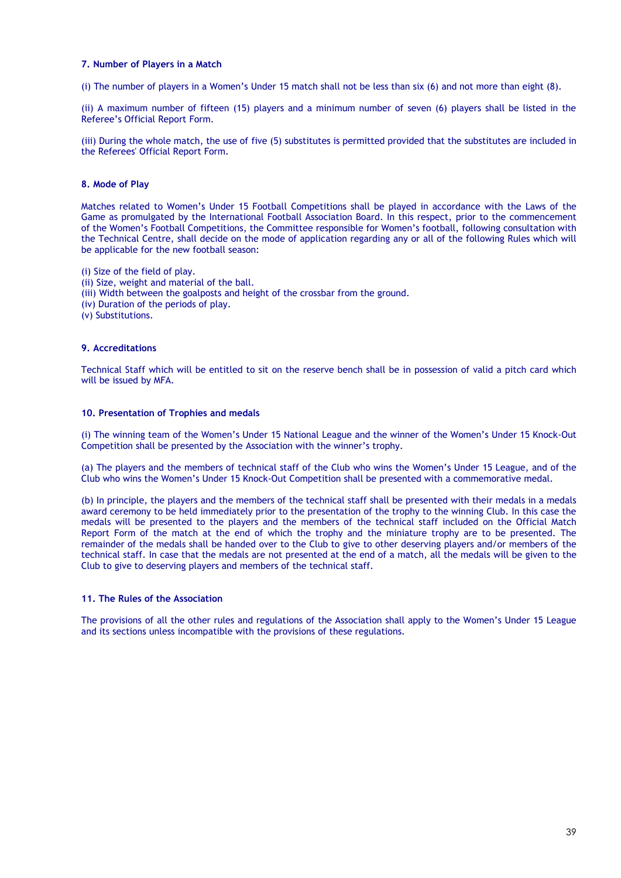### **7. Number of Players in a Match**

(i) The number of players in a Women's Under 15 match shall not be less than six (6) and not more than eight (8).

(ii) A maximum number of fifteen (15) players and a minimum number of seven (6) players shall be listed in the Referee's Official Report Form.

(iii) During the whole match, the use of five (5) substitutes is permitted provided that the substitutes are included in the Referees' Official Report Form.

### **8. Mode of Play**

Matches related to Women's Under 15 Football Competitions shall be played in accordance with the Laws of the Game as promulgated by the International Football Association Board. In this respect, prior to the commencement of the Women's Football Competitions, the Committee responsible for Women's football, following consultation with the Technical Centre, shall decide on the mode of application regarding any or all of the following Rules which will be applicable for the new football season:

(i) Size of the field of play. (ii) Size, weight and material of the ball. (iii) Width between the goalposts and height of the crossbar from the ground. (iv) Duration of the periods of play. (v) Substitutions.

### **9. Accreditations**

Technical Staff which will be entitled to sit on the reserve bench shall be in possession of valid a pitch card which will be issued by MFA.

### **10. Presentation of Trophies and medals**

(i) The winning team of the Women's Under 15 National League and the winner of the Women's Under 15 Knock-Out Competition shall be presented by the Association with the winner's trophy.

(a) The players and the members of technical staff of the Club who wins the Women's Under 15 League, and of the Club who wins the Women's Under 15 Knock-Out Competition shall be presented with a commemorative medal.

(b) In principle, the players and the members of the technical staff shall be presented with their medals in a medals award ceremony to be held immediately prior to the presentation of the trophy to the winning Club. In this case the medals will be presented to the players and the members of the technical staff included on the Official Match Report Form of the match at the end of which the trophy and the miniature trophy are to be presented. The remainder of the medals shall be handed over to the Club to give to other deserving players and/or members of the technical staff. In case that the medals are not presented at the end of a match, all the medals will be given to the Club to give to deserving players and members of the technical staff.

## **11. The Rules of the Association**

The provisions of all the other rules and regulations of the Association shall apply to the Women's Under 15 League and its sections unless incompatible with the provisions of these regulations.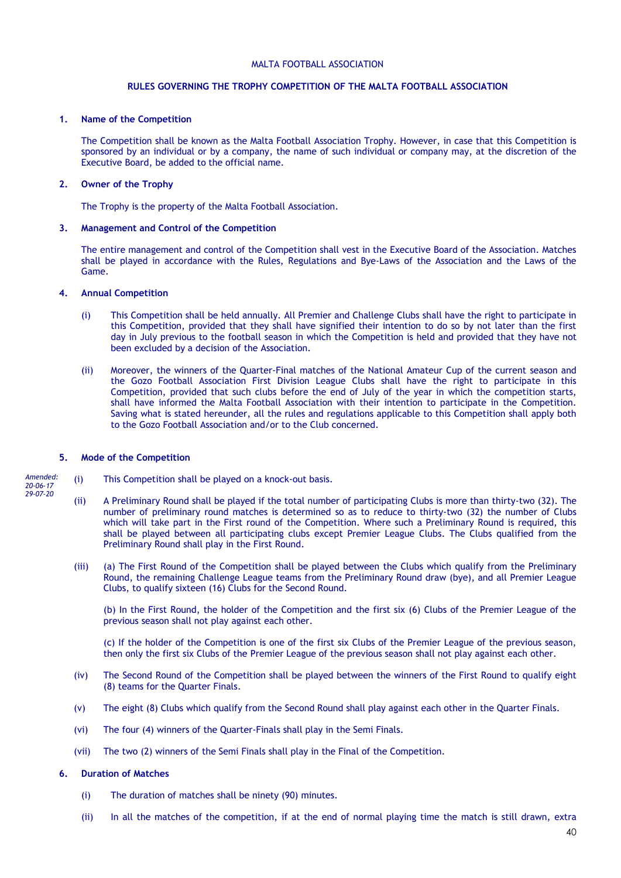### **RULES GOVERNING THE TROPHY COMPETITION OF THE MALTA FOOTBALL ASSOCIATION**

### **1. Name of the Competition**

The Competition shall be known as the Malta Football Association Trophy. However, in case that this Competition is sponsored by an individual or by a company, the name of such individual or company may, at the discretion of the Executive Board, be added to the official name.

### **2. Owner of the Trophy**

The Trophy is the property of the Malta Football Association.

### **3. Management and Control of the Competition**

The entire management and control of the Competition shall vest in the Executive Board of the Association. Matches shall be played in accordance with the Rules, Regulations and Bye-Laws of the Association and the Laws of the Game.

### **4. Annual Competition**

- (i) This Competition shall be held annually. All Premier and Challenge Clubs shall have the right to participate in this Competition, provided that they shall have signified their intention to do so by not later than the first day in July previous to the football season in which the Competition is held and provided that they have not been excluded by a decision of the Association.
- (ii) Moreover, the winners of the Quarter-Final matches of the National Amateur Cup of the current season and the Gozo Football Association First Division League Clubs shall have the right to participate in this Competition, provided that such clubs before the end of July of the year in which the competition starts, shall have informed the Malta Football Association with their intention to participate in the Competition. Saving what is stated hereunder, all the rules and regulations applicable to this Competition shall apply both to the Gozo Football Association and/or to the Club concerned.

### **5. Mode of the Competition**

*29-07-20*

- *Amended: 20-06-17* (i) This Competition shall be played on a knock-out basis.
	- (ii) A Preliminary Round shall be played if the total number of participating Clubs is more than thirty-two (32). The number of preliminary round matches is determined so as to reduce to thirty-two (32) the number of Clubs which will take part in the First round of the Competition. Where such a Preliminary Round is required, this shall be played between all participating clubs except Premier League Clubs. The Clubs qualified from the Preliminary Round shall play in the First Round.
	- (iii) (a) The First Round of the Competition shall be played between the Clubs which qualify from the Preliminary Round, the remaining Challenge League teams from the Preliminary Round draw (bye), and all Premier League Clubs, to qualify sixteen (16) Clubs for the Second Round.

(b) In the First Round, the holder of the Competition and the first six (6) Clubs of the Premier League of the previous season shall not play against each other.

(c) If the holder of the Competition is one of the first six Clubs of the Premier League of the previous season, then only the first six Clubs of the Premier League of the previous season shall not play against each other.

- (iv) The Second Round of the Competition shall be played between the winners of the First Round to qualify eight (8) teams for the Quarter Finals.
- (v) The eight (8) Clubs which qualify from the Second Round shall play against each other in the Quarter Finals.
- (vi) The four (4) winners of the Quarter-Finals shall play in the Semi Finals.
- (vii) The two (2) winners of the Semi Finals shall play in the Final of the Competition.

### **6. Duration of Matches**

- (i) The duration of matches shall be ninety (90) minutes.
- (ii) In all the matches of the competition, if at the end of normal playing time the match is still drawn, extra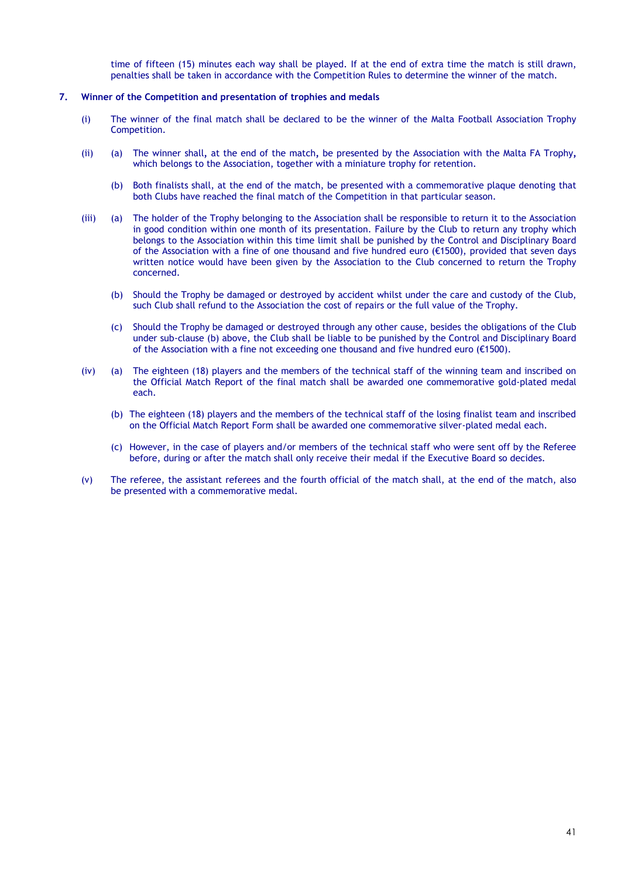time of fifteen (15) minutes each way shall be played. If at the end of extra time the match is still drawn, penalties shall be taken in accordance with the Competition Rules to determine the winner of the match.

### **7. Winner of the Competition and presentation of trophies and medals**

- (i) The winner of the final match shall be declared to be the winner of the Malta Football Association Trophy Competition.
- (ii) (a) The winner shall*,* at the end of the match*,* be presented by the Association with the Malta FA Trophy*,*  which belongs to the Association, together with a miniature trophy for retention.
	- (b) Both finalists shall, at the end of the match, be presented with a commemorative plaque denoting that both Clubs have reached the final match of the Competition in that particular season.
- (iii) (a) The holder of the Trophy belonging to the Association shall be responsible to return it to the Association in good condition within one month of its presentation. Failure by the Club to return any trophy which belongs to the Association within this time limit shall be punished by the Control and Disciplinary Board of the Association with a fine of one thousand and five hundred euro (€1500), provided that seven days written notice would have been given by the Association to the Club concerned to return the Trophy concerned.
	- (b) Should the Trophy be damaged or destroyed by accident whilst under the care and custody of the Club, such Club shall refund to the Association the cost of repairs or the full value of the Trophy.
	- (c) Should the Trophy be damaged or destroyed through any other cause, besides the obligations of the Club under sub-clause (b) above, the Club shall be liable to be punished by the Control and Disciplinary Board of the Association with a fine not exceeding one thousand and five hundred euro (€1500).
- (iv) (a) The eighteen (18) players and the members of the technical staff of the winning team and inscribed on the Official Match Report of the final match shall be awarded one commemorative gold-plated medal each.
	- (b) The eighteen (18) players and the members of the technical staff of the losing finalist team and inscribed on the Official Match Report Form shall be awarded one commemorative silver-plated medal each.
	- (c) However, in the case of players and/or members of the technical staff who were sent off by the Referee before, during or after the match shall only receive their medal if the Executive Board so decides.
- (v) The referee, the assistant referees and the fourth official of the match shall, at the end of the match, also be presented with a commemorative medal.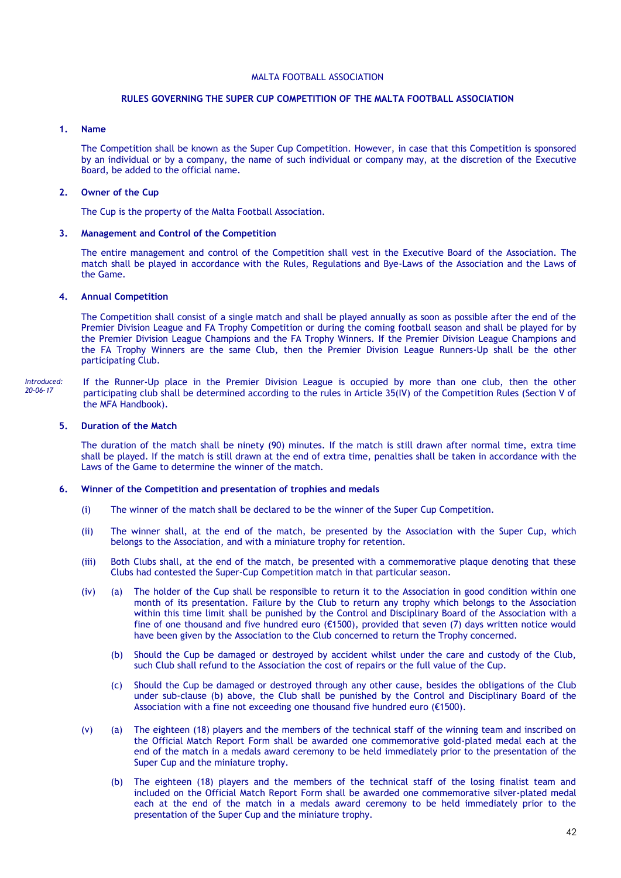### **RULES GOVERNING THE SUPER CUP COMPETITION OF THE MALTA FOOTBALL ASSOCIATION**

### **1. Name**

The Competition shall be known as the Super Cup Competition. However, in case that this Competition is sponsored by an individual or by a company, the name of such individual or company may, at the discretion of the Executive Board, be added to the official name.

### **2. Owner of the Cup**

The Cup is the property of the Malta Football Association.

### **3. Management and Control of the Competition**

The entire management and control of the Competition shall vest in the Executive Board of the Association. The match shall be played in accordance with the Rules, Regulations and Bye-Laws of the Association and the Laws of the Game.

### **4. Annual Competition**

The Competition shall consist of a single match and shall be played annually as soon as possible after the end of the Premier Division League and FA Trophy Competition or during the coming football season and shall be played for by the Premier Division League Champions and the FA Trophy Winners. If the Premier Division League Champions and the FA Trophy Winners are the same Club, then the Premier Division League Runners-Up shall be the other participating Club.

If the Runner-Up place in the Premier Division League is occupied by more than one club, then the other participating club shall be determined according to the rules in Article 35(IV) of the Competition Rules (Section V of the MFA Handbook). *Introduced: 20-06-17*

#### **5. Duration of the Match**

The duration of the match shall be ninety (90) minutes. If the match is still drawn after normal time, extra time shall be played. If the match is still drawn at the end of extra time, penalties shall be taken in accordance with the Laws of the Game to determine the winner of the match.

### **6. Winner of the Competition and presentation of trophies and medals**

- (i) The winner of the match shall be declared to be the winner of the Super Cup Competition.
- (ii) The winner shall, at the end of the match, be presented by the Association with the Super Cup, which belongs to the Association, and with a miniature trophy for retention.
- (iii) Both Clubs shall, at the end of the match, be presented with a commemorative plaque denoting that these Clubs had contested the Super-Cup Competition match in that particular season.
- (iv) (a) The holder of the Cup shall be responsible to return it to the Association in good condition within one month of its presentation. Failure by the Club to return any trophy which belongs to the Association within this time limit shall be punished by the Control and Disciplinary Board of the Association with a fine of one thousand and five hundred euro (€1500), provided that seven (7) days written notice would have been given by the Association to the Club concerned to return the Trophy concerned.
	- (b) Should the Cup be damaged or destroyed by accident whilst under the care and custody of the Club, such Club shall refund to the Association the cost of repairs or the full value of the Cup.
	- (c) Should the Cup be damaged or destroyed through any other cause, besides the obligations of the Club under sub-clause (b) above, the Club shall be punished by the Control and Disciplinary Board of the Association with a fine not exceeding one thousand five hundred euro (€1500).
- (v) (a) The eighteen (18) players and the members of the technical staff of the winning team and inscribed on the Official Match Report Form shall be awarded one commemorative gold-plated medal each at the end of the match in a medals award ceremony to be held immediately prior to the presentation of the Super Cup and the miniature trophy.
	- (b) The eighteen (18) players and the members of the technical staff of the losing finalist team and included on the Official Match Report Form shall be awarded one commemorative silver-plated medal each at the end of the match in a medals award ceremony to be held immediately prior to the presentation of the Super Cup and the miniature trophy.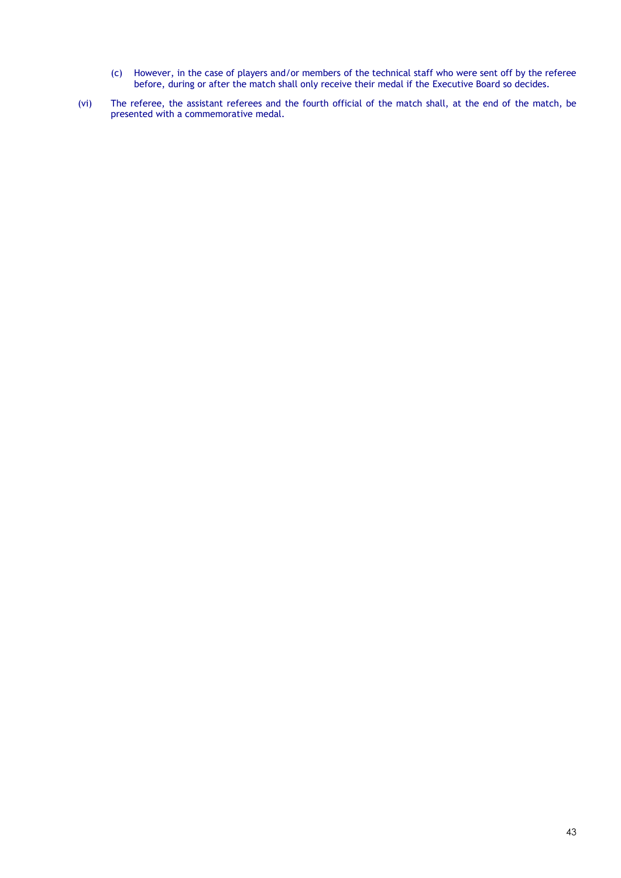- (c) However, in the case of players and/or members of the technical staff who were sent off by the referee before, during or after the match shall only receive their medal if the Executive Board so decides.
- (vi) The referee, the assistant referees and the fourth official of the match shall, at the end of the match, be presented with a commemorative medal.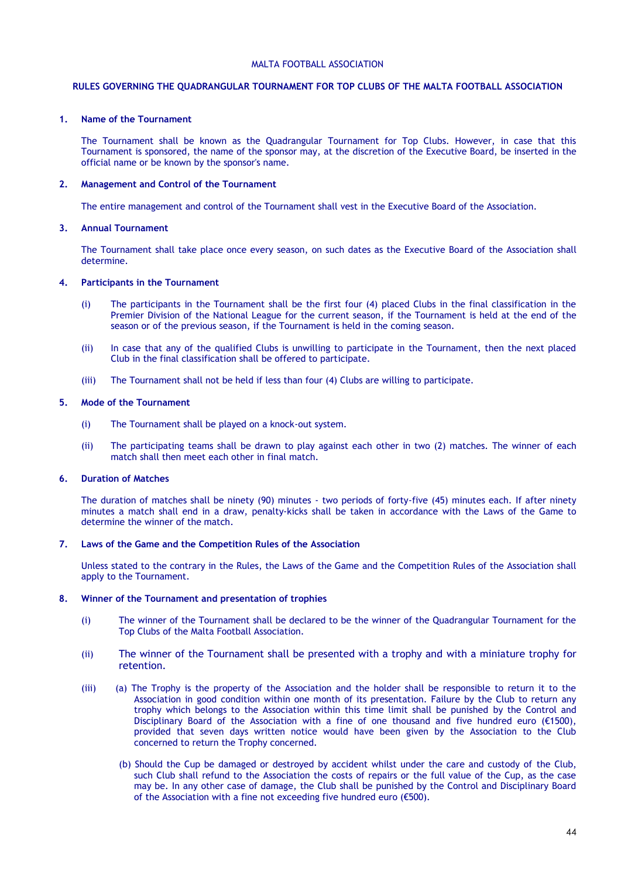### **RULES GOVERNING THE QUADRANGULAR TOURNAMENT FOR TOP CLUBS OF THE MALTA FOOTBALL ASSOCIATION**

### **1. Name of the Tournament**

The Tournament shall be known as the Quadrangular Tournament for Top Clubs. However, in case that this Tournament is sponsored, the name of the sponsor may, at the discretion of the Executive Board, be inserted in the official name or be known by the sponsor's name.

#### **2. Management and Control of the Tournament**

The entire management and control of the Tournament shall vest in the Executive Board of the Association.

### **3. Annual Tournament**

The Tournament shall take place once every season, on such dates as the Executive Board of the Association shall determine.

#### **4. Participants in the Tournament**

- (i) The participants in the Tournament shall be the first four (4) placed Clubs in the final classification in the Premier Division of the National League for the current season, if the Tournament is held at the end of the season or of the previous season, if the Tournament is held in the coming season.
- (ii) In case that any of the qualified Clubs is unwilling to participate in the Tournament, then the next placed Club in the final classification shall be offered to participate.
- (iii) The Tournament shall not be held if less than four (4) Clubs are willing to participate.

### **5. Mode of the Tournament**

- (i) The Tournament shall be played on a knock-out system.
- (ii) The participating teams shall be drawn to play against each other in two (2) matches. The winner of each match shall then meet each other in final match.

### **6. Duration of Matches**

The duration of matches shall be ninety (90) minutes - two periods of forty-five (45) minutes each. If after ninety minutes a match shall end in a draw, penalty-kicks shall be taken in accordance with the Laws of the Game to determine the winner of the match.

#### **7. Laws of the Game and the Competition Rules of the Association**

Unless stated to the contrary in the Rules, the Laws of the Game and the Competition Rules of the Association shall apply to the Tournament.

### **8. Winner of the Tournament and presentation of trophies**

- (i) The winner of the Tournament shall be declared to be the winner of the Quadrangular Tournament for the Top Clubs of the Malta Football Association.
- (ii) The winner of the Tournament shall be presented with a trophy and with a miniature trophy for retention.
- (iii) (a) The Trophy is the property of the Association and the holder shall be responsible to return it to the Association in good condition within one month of its presentation. Failure by the Club to return any trophy which belongs to the Association within this time limit shall be punished by the Control and Disciplinary Board of the Association with a fine of one thousand and five hundred euro (€1500), provided that seven days written notice would have been given by the Association to the Club concerned to return the Trophy concerned.
	- (b) Should the Cup be damaged or destroyed by accident whilst under the care and custody of the Club, such Club shall refund to the Association the costs of repairs or the full value of the Cup, as the case may be. In any other case of damage, the Club shall be punished by the Control and Disciplinary Board of the Association with a fine not exceeding five hundred euro (€500).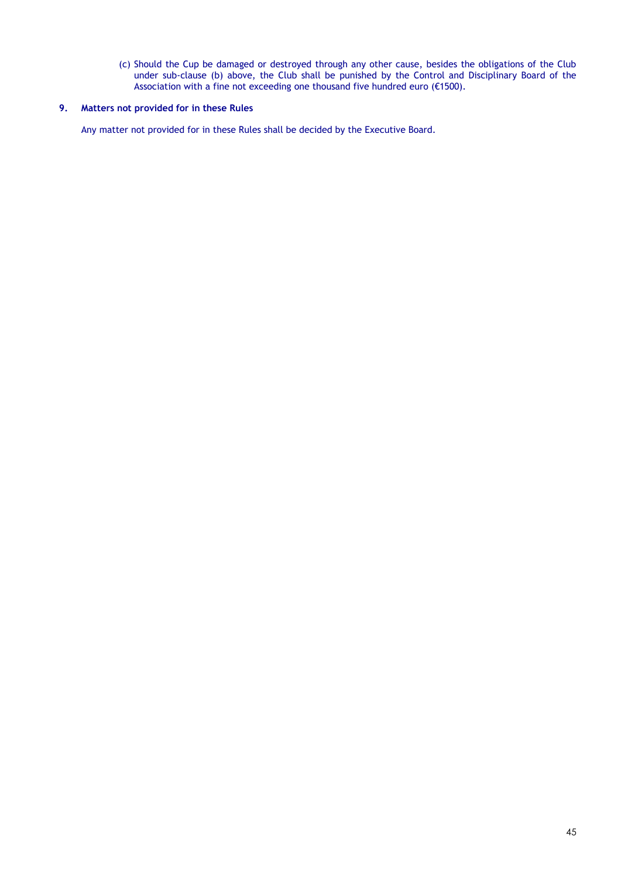(c) Should the Cup be damaged or destroyed through any other cause, besides the obligations of the Club under sub-clause (b) above, the Club shall be punished by the Control and Disciplinary Board of the Association with a fine not exceeding one thousand five hundred euro ( $\epsilon$ 1500).

## **9. Matters not provided for in these Rules**

Any matter not provided for in these Rules shall be decided by the Executive Board.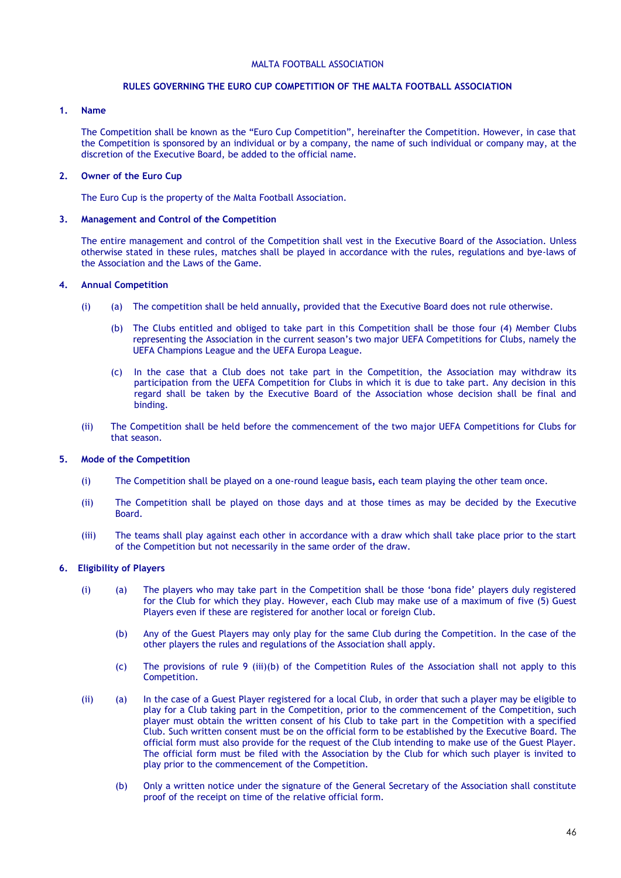### **RULES GOVERNING THE EURO CUP COMPETITION OF THE MALTA FOOTBALL ASSOCIATION**

### **1. Name**

The Competition shall be known as the "Euro Cup Competition", hereinafter the Competition. However, in case that the Competition is sponsored by an individual or by a company, the name of such individual or company may, at the discretion of the Executive Board, be added to the official name.

### **2. Owner of the Euro Cup**

The Euro Cup is the property of the Malta Football Association.

### **3. Management and Control of the Competition**

The entire management and control of the Competition shall vest in the Executive Board of the Association. Unless otherwise stated in these rules, matches shall be played in accordance with the rules, regulations and bye-laws of the Association and the Laws of the Game.

### **4. Annual Competition**

- (i) (a) The competition shall be held annually*,* provided that the Executive Board does not rule otherwise.
	- (b) The Clubs entitled and obliged to take part in this Competition shall be those four (4) Member Clubs representing the Association in the current season's two major UEFA Competitions for Clubs, namely the UEFA Champions League and the UEFA Europa League.
	- (c) In the case that a Club does not take part in the Competition, the Association may withdraw its participation from the UEFA Competition for Clubs in which it is due to take part. Any decision in this regard shall be taken by the Executive Board of the Association whose decision shall be final and binding.
- (ii) The Competition shall be held before the commencement of the two major UEFA Competitions for Clubs for that season.

### **5. Mode of the Competition**

- (i) The Competition shall be played on a one-round league basis*,* each team playing the other team once.
- (ii) The Competition shall be played on those days and at those times as may be decided by the Executive Board.
- (iii) The teams shall play against each other in accordance with a draw which shall take place prior to the start of the Competition but not necessarily in the same order of the draw.

### **6. Eligibility of Players**

- (i) (a) The players who may take part in the Competition shall be those 'bona fide' players duly registered for the Club for which they play. However, each Club may make use of a maximum of five (5) Guest Players even if these are registered for another local or foreign Club.
	- (b) Any of the Guest Players may only play for the same Club during the Competition. In the case of the other players the rules and regulations of the Association shall apply.
	- (c) The provisions of rule 9 (iii)(b) of the Competition Rules of the Association shall not apply to this Competition.
- (ii) (a) In the case of a Guest Player registered for a local Club, in order that such a player may be eligible to play for a Club taking part in the Competition, prior to the commencement of the Competition, such player must obtain the written consent of his Club to take part in the Competition with a specified Club. Such written consent must be on the official form to be established by the Executive Board. The official form must also provide for the request of the Club intending to make use of the Guest Player. The official form must be filed with the Association by the Club for which such player is invited to play prior to the commencement of the Competition.
	- (b) Only a written notice under the signature of the General Secretary of the Association shall constitute proof of the receipt on time of the relative official form.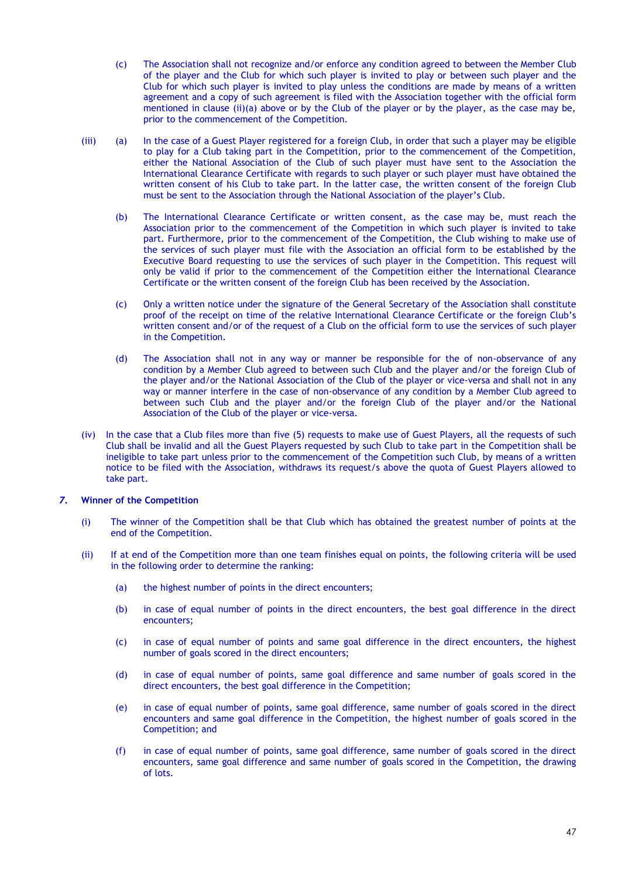- (c) The Association shall not recognize and/or enforce any condition agreed to between the Member Club of the player and the Club for which such player is invited to play or between such player and the Club for which such player is invited to play unless the conditions are made by means of a written agreement and a copy of such agreement is filed with the Association together with the official form mentioned in clause (ii)(a) above or by the Club of the player or by the player, as the case may be, prior to the commencement of the Competition.
- (iii) (a) In the case of a Guest Player registered for a foreign Club, in order that such a player may be eligible to play for a Club taking part in the Competition, prior to the commencement of the Competition, either the National Association of the Club of such player must have sent to the Association the International Clearance Certificate with regards to such player or such player must have obtained the written consent of his Club to take part. In the latter case, the written consent of the foreign Club must be sent to the Association through the National Association of the player's Club.
	- (b) The International Clearance Certificate or written consent, as the case may be, must reach the Association prior to the commencement of the Competition in which such player is invited to take part. Furthermore, prior to the commencement of the Competition, the Club wishing to make use of the services of such player must file with the Association an official form to be established by the Executive Board requesting to use the services of such player in the Competition. This request will only be valid if prior to the commencement of the Competition either the International Clearance Certificate or the written consent of the foreign Club has been received by the Association.
	- (c) Only a written notice under the signature of the General Secretary of the Association shall constitute proof of the receipt on time of the relative International Clearance Certificate or the foreign Club's written consent and/or of the request of a Club on the official form to use the services of such player in the Competition.
	- (d) The Association shall not in any way or manner be responsible for the of non-observance of any condition by a Member Club agreed to between such Club and the player and/or the foreign Club of the player and/or the National Association of the Club of the player or vice-versa and shall not in any way or manner interfere in the case of non-observance of any condition by a Member Club agreed to between such Club and the player and/or the foreign Club of the player and/or the National Association of the Club of the player or vice-versa.
- (iv) In the case that a Club files more than five (5) requests to make use of Guest Players, all the requests of such Club shall be invalid and all the Guest Players requested by such Club to take part in the Competition shall be ineligible to take part unless prior to the commencement of the Competition such Club, by means of a written notice to be filed with the Association, withdraws its request/s above the quota of Guest Players allowed to take part.

### *7***. Winner of the Competition**

- (i) The winner of the Competition shall be that Club which has obtained the greatest number of points at the end of the Competition.
- (ii) If at end of the Competition more than one team finishes equal on points, the following criteria will be used in the following order to determine the ranking:
	- (a) the highest number of points in the direct encounters;
	- (b) in case of equal number of points in the direct encounters, the best goal difference in the direct encounters;
	- (c) in case of equal number of points and same goal difference in the direct encounters, the highest number of goals scored in the direct encounters;
	- (d) in case of equal number of points, same goal difference and same number of goals scored in the direct encounters, the best goal difference in the Competition;
	- (e) in case of equal number of points, same goal difference, same number of goals scored in the direct encounters and same goal difference in the Competition, the highest number of goals scored in the Competition; and
	- (f) in case of equal number of points, same goal difference, same number of goals scored in the direct encounters, same goal difference and same number of goals scored in the Competition, the drawing of lots.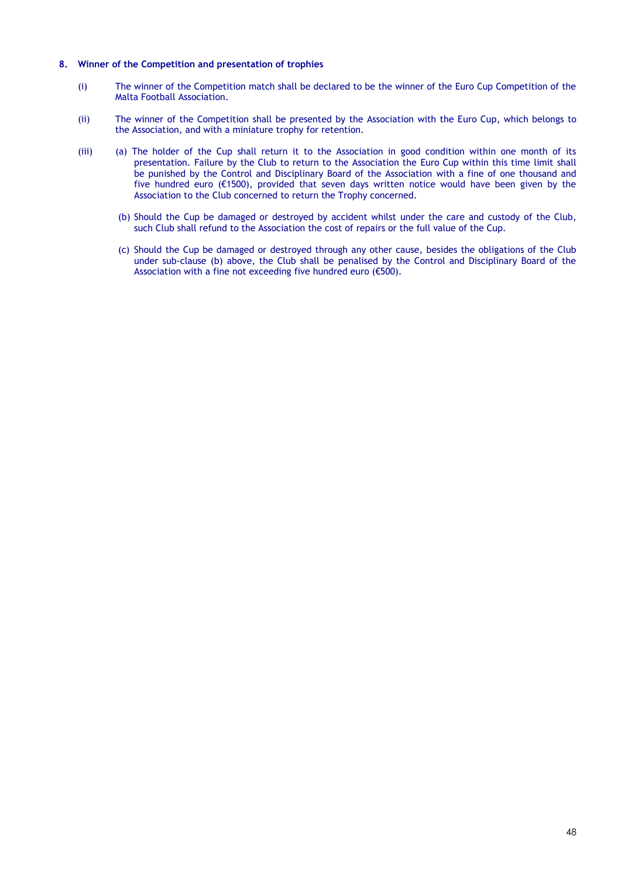### **8. Winner of the Competition and presentation of trophies**

- (i) The winner of the Competition match shall be declared to be the winner of the Euro Cup Competition of the Malta Football Association.
- (ii) The winner of the Competition shall be presented by the Association with the Euro Cup, which belongs to the Association, and with a miniature trophy for retention.
- (iii) (a) The holder of the Cup shall return it to the Association in good condition within one month of its presentation. Failure by the Club to return to the Association the Euro Cup within this time limit shall be punished by the Control and Disciplinary Board of the Association with a fine of one thousand and five hundred euro (€1500), provided that seven days written notice would have been given by the Association to the Club concerned to return the Trophy concerned.
	- (b) Should the Cup be damaged or destroyed by accident whilst under the care and custody of the Club, such Club shall refund to the Association the cost of repairs or the full value of the Cup.
	- (c) Should the Cup be damaged or destroyed through any other cause, besides the obligations of the Club under sub-clause (b) above, the Club shall be penalised by the Control and Disciplinary Board of the Association with a fine not exceeding five hundred euro (€500).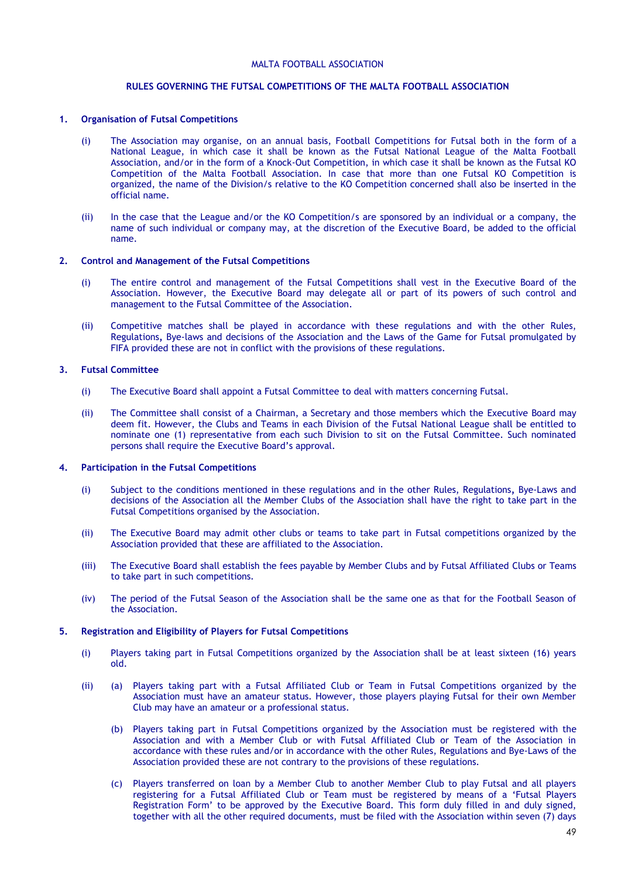## **RULES GOVERNING THE FUTSAL COMPETITIONS OF THE MALTA FOOTBALL ASSOCIATION**

### **1. Organisation of Futsal Competitions**

- (i) The Association may organise, on an annual basis, Football Competitions for Futsal both in the form of a National League, in which case it shall be known as the Futsal National League of the Malta Football Association, and/or in the form of a Knock-Out Competition, in which case it shall be known as the Futsal KO Competition of the Malta Football Association. In case that more than one Futsal KO Competition is organized, the name of the Division/s relative to the KO Competition concerned shall also be inserted in the official name.
- (ii) In the case that the League and/or the KO Competition/s are sponsored by an individual or a company, the name of such individual or company may, at the discretion of the Executive Board, be added to the official name.

### **2. Control and Management of the Futsal Competitions**

- (i) The entire control and management of the Futsal Competitions shall vest in the Executive Board of the Association. However, the Executive Board may delegate all or part of its powers of such control and management to the Futsal Committee of the Association.
- (ii) Competitive matches shall be played in accordance with these regulations and with the other Rules, Regulations*,* Bye-laws and decisions of the Association and the Laws of the Game for Futsal promulgated by FIFA provided these are not in conflict with the provisions of these regulations.

### **3. Futsal Committee**

- (i) The Executive Board shall appoint a Futsal Committee to deal with matters concerning Futsal.
- (ii) The Committee shall consist of a Chairman, a Secretary and those members which the Executive Board may deem fit. However, the Clubs and Teams in each Division of the Futsal National League shall be entitled to nominate one (1) representative from each such Division to sit on the Futsal Committee. Such nominated persons shall require the Executive Board's approval.

### **4. Participation in the Futsal Competitions**

- (i) Subject to the conditions mentioned in these regulations and in the other Rules, Regulations*,* Bye-Laws and decisions of the Association all the Member Clubs of the Association shall have the right to take part in the Futsal Competitions organised by the Association.
- (ii) The Executive Board may admit other clubs or teams to take part in Futsal competitions organized by the Association provided that these are affiliated to the Association.
- (iii) The Executive Board shall establish the fees payable by Member Clubs and by Futsal Affiliated Clubs or Teams to take part in such competitions.
- (iv) The period of the Futsal Season of the Association shall be the same one as that for the Football Season of the Association.

### **5. Registration and Eligibility of Players for Futsal Competitions**

- (i) Players taking part in Futsal Competitions organized by the Association shall be at least sixteen (16) years old.
- (ii) (a) Players taking part with a Futsal Affiliated Club or Team in Futsal Competitions organized by the Association must have an amateur status. However, those players playing Futsal for their own Member Club may have an amateur or a professional status.
	- (b) Players taking part in Futsal Competitions organized by the Association must be registered with the Association and with a Member Club or with Futsal Affiliated Club or Team of the Association in accordance with these rules and/or in accordance with the other Rules, Regulations and Bye-Laws of the Association provided these are not contrary to the provisions of these regulations.
	- (c) Players transferred on loan by a Member Club to another Member Club to play Futsal and all players registering for a Futsal Affiliated Club or Team must be registered by means of a 'Futsal Players Registration Form' to be approved by the Executive Board. This form duly filled in and duly signed, together with all the other required documents, must be filed with the Association within seven (7) days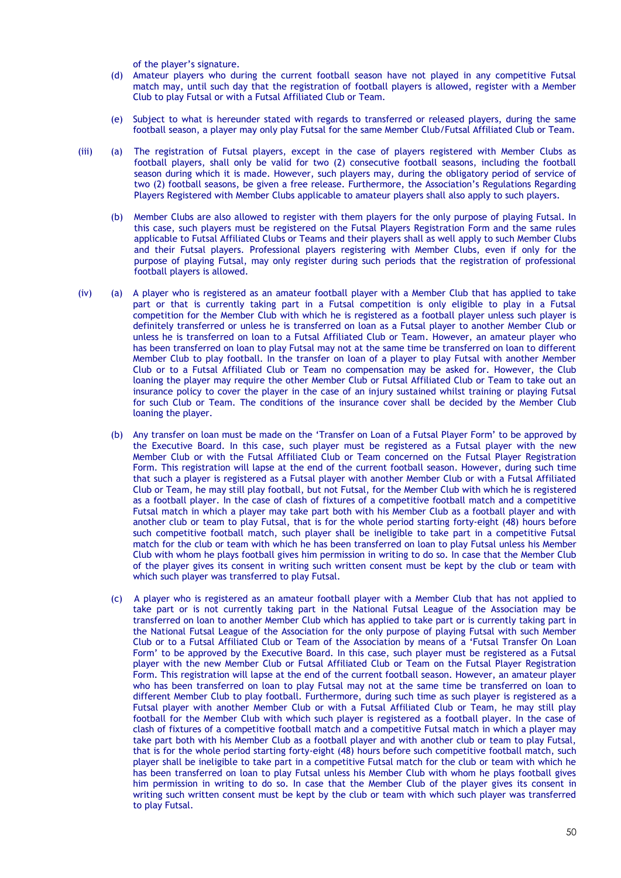of the player's signature.

- (d) Amateur players who during the current football season have not played in any competitive Futsal match may, until such day that the registration of football players is allowed, register with a Member Club to play Futsal or with a Futsal Affiliated Club or Team.
- (e) Subject to what is hereunder stated with regards to transferred or released players, during the same football season, a player may only play Futsal for the same Member Club/Futsal Affiliated Club or Team.
- (iii) (a) The registration of Futsal players, except in the case of players registered with Member Clubs as football players, shall only be valid for two (2) consecutive football seasons, including the football season during which it is made. However, such players may, during the obligatory period of service of two (2) football seasons, be given a free release. Furthermore, the Association's Regulations Regarding Players Registered with Member Clubs applicable to amateur players shall also apply to such players.
	- (b) Member Clubs are also allowed to register with them players for the only purpose of playing Futsal. In this case, such players must be registered on the Futsal Players Registration Form and the same rules applicable to Futsal Affiliated Clubs or Teams and their players shall as well apply to such Member Clubs and their Futsal players. Professional players registering with Member Clubs, even if only for the purpose of playing Futsal, may only register during such periods that the registration of professional football players is allowed.
- (iv) (a) A player who is registered as an amateur football player with a Member Club that has applied to take part or that is currently taking part in a Futsal competition is only eligible to play in a Futsal competition for the Member Club with which he is registered as a football player unless such player is definitely transferred or unless he is transferred on loan as a Futsal player to another Member Club or unless he is transferred on loan to a Futsal Affiliated Club or Team. However, an amateur player who has been transferred on loan to play Futsal may not at the same time be transferred on loan to different Member Club to play football. In the transfer on loan of a player to play Futsal with another Member Club or to a Futsal Affiliated Club or Team no compensation may be asked for. However, the Club loaning the player may require the other Member Club or Futsal Affiliated Club or Team to take out an insurance policy to cover the player in the case of an injury sustained whilst training or playing Futsal for such Club or Team. The conditions of the insurance cover shall be decided by the Member Club loaning the player.
	- (b) Any transfer on loan must be made on the 'Transfer on Loan of a Futsal Player Form' to be approved by the Executive Board. In this case, such player must be registered as a Futsal player with the new Member Club or with the Futsal Affiliated Club or Team concerned on the Futsal Player Registration Form. This registration will lapse at the end of the current football season. However, during such time that such a player is registered as a Futsal player with another Member Club or with a Futsal Affiliated Club or Team, he may still play football, but not Futsal, for the Member Club with which he is registered as a football player. In the case of clash of fixtures of a competitive football match and a competitive Futsal match in which a player may take part both with his Member Club as a football player and with another club or team to play Futsal, that is for the whole period starting forty-eight (48) hours before such competitive football match, such player shall be ineligible to take part in a competitive Futsal match for the club or team with which he has been transferred on loan to play Futsal unless his Member Club with whom he plays football gives him permission in writing to do so. In case that the Member Club of the player gives its consent in writing such written consent must be kept by the club or team with which such player was transferred to play Futsal.
	- (c) A player who is registered as an amateur football player with a Member Club that has not applied to take part or is not currently taking part in the National Futsal League of the Association may be transferred on loan to another Member Club which has applied to take part or is currently taking part in the National Futsal League of the Association for the only purpose of playing Futsal with such Member Club or to a Futsal Affiliated Club or Team of the Association by means of a 'Futsal Transfer On Loan Form' to be approved by the Executive Board. In this case, such player must be registered as a Futsal player with the new Member Club or Futsal Affiliated Club or Team on the Futsal Player Registration Form. This registration will lapse at the end of the current football season. However, an amateur player who has been transferred on loan to play Futsal may not at the same time be transferred on loan to different Member Club to play football. Furthermore, during such time as such player is registered as a Futsal player with another Member Club or with a Futsal Affiliated Club or Team, he may still play football for the Member Club with which such player is registered as a football player. In the case of clash of fixtures of a competitive football match and a competitive Futsal match in which a player may take part both with his Member Club as a football player and with another club or team to play Futsal, that is for the whole period starting forty-eight (48) hours before such competitive football match, such player shall be ineligible to take part in a competitive Futsal match for the club or team with which he has been transferred on loan to play Futsal unless his Member Club with whom he plays football gives him permission in writing to do so. In case that the Member Club of the player gives its consent in writing such written consent must be kept by the club or team with which such player was transferred to play Futsal.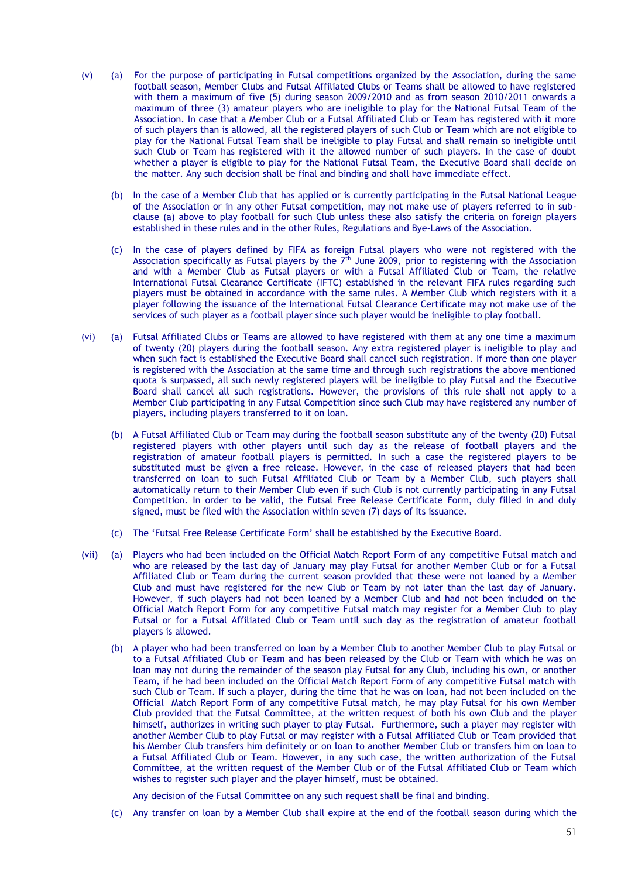- (v) (a) For the purpose of participating in Futsal competitions organized by the Association, during the same football season, Member Clubs and Futsal Affiliated Clubs or Teams shall be allowed to have registered with them a maximum of five (5) during season 2009/2010 and as from season 2010/2011 onwards a maximum of three (3) amateur players who are ineligible to play for the National Futsal Team of the Association. In case that a Member Club or a Futsal Affiliated Club or Team has registered with it more of such players than is allowed, all the registered players of such Club or Team which are not eligible to play for the National Futsal Team shall be ineligible to play Futsal and shall remain so ineligible until such Club or Team has registered with it the allowed number of such players. In the case of doubt whether a player is eligible to play for the National Futsal Team, the Executive Board shall decide on the matter. Any such decision shall be final and binding and shall have immediate effect.
	- (b) In the case of a Member Club that has applied or is currently participating in the Futsal National League of the Association or in any other Futsal competition, may not make use of players referred to in subclause (a) above to play football for such Club unless these also satisfy the criteria on foreign players established in these rules and in the other Rules, Regulations and Bye-Laws of the Association.
	- (c) In the case of players defined by FIFA as foreign Futsal players who were not registered with the Association specifically as Futsal players by the  $7<sup>th</sup>$  June 2009, prior to registering with the Association and with a Member Club as Futsal players or with a Futsal Affiliated Club or Team, the relative International Futsal Clearance Certificate (IFTC) established in the relevant FIFA rules regarding such players must be obtained in accordance with the same rules. A Member Club which registers with it a player following the issuance of the International Futsal Clearance Certificate may not make use of the services of such player as a football player since such player would be ineligible to play football.
- (vi) (a) Futsal Affiliated Clubs or Teams are allowed to have registered with them at any one time a maximum of twenty (20) players during the football season. Any extra registered player is ineligible to play and when such fact is established the Executive Board shall cancel such registration. If more than one player is registered with the Association at the same time and through such registrations the above mentioned quota is surpassed, all such newly registered players will be ineligible to play Futsal and the Executive Board shall cancel all such registrations. However, the provisions of this rule shall not apply to a Member Club participating in any Futsal Competition since such Club may have registered any number of players, including players transferred to it on loan.
	- (b) A Futsal Affiliated Club or Team may during the football season substitute any of the twenty (20) Futsal registered players with other players until such day as the release of football players and the registration of amateur football players is permitted. In such a case the registered players to be substituted must be given a free release. However, in the case of released players that had been transferred on loan to such Futsal Affiliated Club or Team by a Member Club, such players shall automatically return to their Member Club even if such Club is not currently participating in any Futsal Competition. In order to be valid, the Futsal Free Release Certificate Form, duly filled in and duly signed, must be filed with the Association within seven (7) days of its issuance.
	- (c) The 'Futsal Free Release Certificate Form' shall be established by the Executive Board.
- (vii) (a) Players who had been included on the Official Match Report Form of any competitive Futsal match and who are released by the last day of January may play Futsal for another Member Club or for a Futsal Affiliated Club or Team during the current season provided that these were not loaned by a Member Club and must have registered for the new Club or Team by not later than the last day of January. However, if such players had not been loaned by a Member Club and had not been included on the Official Match Report Form for any competitive Futsal match may register for a Member Club to play Futsal or for a Futsal Affiliated Club or Team until such day as the registration of amateur football players is allowed.
	- (b) A player who had been transferred on loan by a Member Club to another Member Club to play Futsal or to a Futsal Affiliated Club or Team and has been released by the Club or Team with which he was on loan may not during the remainder of the season play Futsal for any Club, including his own, or another Team, if he had been included on the Official Match Report Form of any competitive Futsal match with such Club or Team. If such a player, during the time that he was on loan, had not been included on the Official Match Report Form of any competitive Futsal match, he may play Futsal for his own Member Club provided that the Futsal Committee, at the written request of both his own Club and the player himself, authorizes in writing such player to play Futsal. Furthermore, such a player may register with another Member Club to play Futsal or may register with a Futsal Affiliated Club or Team provided that his Member Club transfers him definitely or on loan to another Member Club or transfers him on loan to a Futsal Affiliated Club or Team. However, in any such case, the written authorization of the Futsal Committee, at the written request of the Member Club or of the Futsal Affiliated Club or Team which wishes to register such player and the player himself, must be obtained.

Any decision of the Futsal Committee on any such request shall be final and binding.

(c) Any transfer on loan by a Member Club shall expire at the end of the football season during which the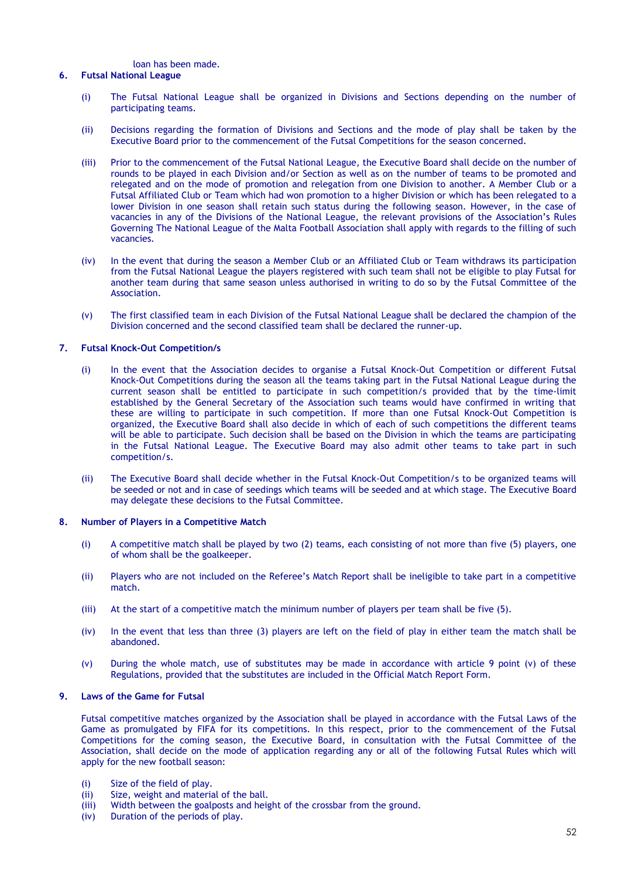loan has been made.

### **6. Futsal National League**

- (i) The Futsal National League shall be organized in Divisions and Sections depending on the number of participating teams.
- (ii) Decisions regarding the formation of Divisions and Sections and the mode of play shall be taken by the Executive Board prior to the commencement of the Futsal Competitions for the season concerned.
- (iii) Prior to the commencement of the Futsal National League, the Executive Board shall decide on the number of rounds to be played in each Division and/or Section as well as on the number of teams to be promoted and relegated and on the mode of promotion and relegation from one Division to another. A Member Club or a Futsal Affiliated Club or Team which had won promotion to a higher Division or which has been relegated to a lower Division in one season shall retain such status during the following season. However, in the case of vacancies in any of the Divisions of the National League, the relevant provisions of the Association's Rules Governing The National League of the Malta Football Association shall apply with regards to the filling of such vacancies.
- (iv) In the event that during the season a Member Club or an Affiliated Club or Team withdraws its participation from the Futsal National League the players registered with such team shall not be eligible to play Futsal for another team during that same season unless authorised in writing to do so by the Futsal Committee of the Association.
- (v) The first classified team in each Division of the Futsal National League shall be declared the champion of the Division concerned and the second classified team shall be declared the runner-up.

### **7. Futsal Knock-Out Competition/s**

- (i) In the event that the Association decides to organise a Futsal Knock-Out Competition or different Futsal Knock-Out Competitions during the season all the teams taking part in the Futsal National League during the current season shall be entitled to participate in such competition/s provided that by the time-limit established by the General Secretary of the Association such teams would have confirmed in writing that these are willing to participate in such competition. If more than one Futsal Knock-Out Competition is organized, the Executive Board shall also decide in which of each of such competitions the different teams will be able to participate. Such decision shall be based on the Division in which the teams are participating in the Futsal National League. The Executive Board may also admit other teams to take part in such competition/s.
- (ii) The Executive Board shall decide whether in the Futsal Knock-Out Competition/s to be organized teams will be seeded or not and in case of seedings which teams will be seeded and at which stage. The Executive Board may delegate these decisions to the Futsal Committee.

### **8. Number of Players in a Competitive Match**

- (i) A competitive match shall be played by two (2) teams, each consisting of not more than five (5) players, one of whom shall be the goalkeeper.
- (ii) Players who are not included on the Referee's Match Report shall be ineligible to take part in a competitive match.
- (iii) At the start of a competitive match the minimum number of players per team shall be five (5).
- (iv) In the event that less than three (3) players are left on the field of play in either team the match shall be abandoned.
- (v) During the whole match, use of substitutes may be made in accordance with article 9 point (v) of these Regulations, provided that the substitutes are included in the Official Match Report Form.

### **9. Laws of the Game for Futsal**

Futsal competitive matches organized by the Association shall be played in accordance with the Futsal Laws of the Game as promulgated by FIFA for its competitions. In this respect, prior to the commencement of the Futsal Competitions for the coming season, the Executive Board, in consultation with the Futsal Committee of the Association, shall decide on the mode of application regarding any or all of the following Futsal Rules which will apply for the new football season:

- (i) Size of the field of play.
- (ii) Size, weight and material of the ball.
- (iii) Width between the goalposts and height of the crossbar from the ground.
- (iv) Duration of the periods of play.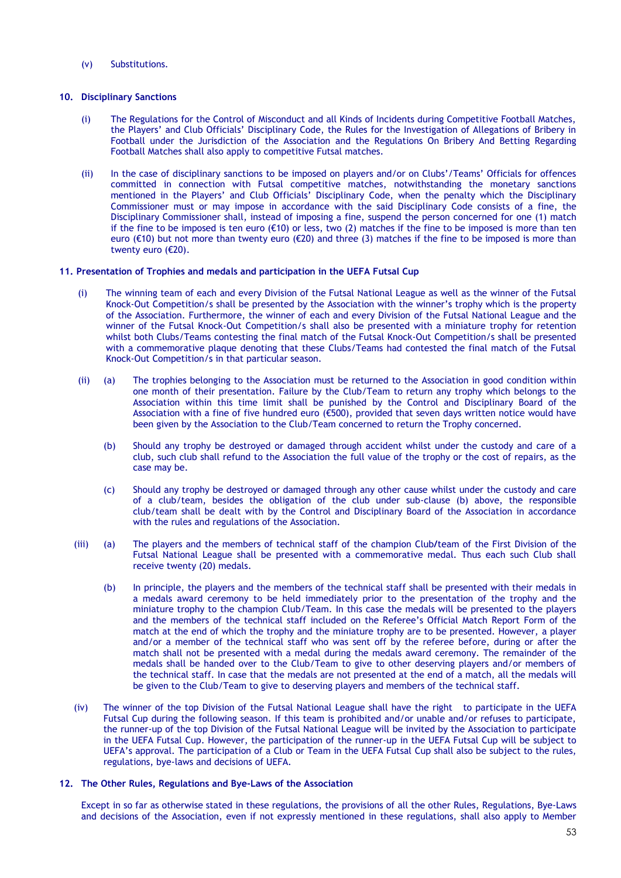(v) Substitutions.

### **10. Disciplinary Sanctions**

- (i) The Regulations for the Control of Misconduct and all Kinds of Incidents during Competitive Football Matches, the Players' and Club Officials' Disciplinary Code, the Rules for the Investigation of Allegations of Bribery in Football under the Jurisdiction of the Association and the Regulations On Bribery And Betting Regarding Football Matches shall also apply to competitive Futsal matches.
- (ii) In the case of disciplinary sanctions to be imposed on players and/or on Clubs'/Teams' Officials for offences committed in connection with Futsal competitive matches, notwithstanding the monetary sanctions mentioned in the Players' and Club Officials' Disciplinary Code, when the penalty which the Disciplinary Commissioner must or may impose in accordance with the said Disciplinary Code consists of a fine, the Disciplinary Commissioner shall, instead of imposing a fine, suspend the person concerned for one (1) match if the fine to be imposed is ten euro ( $\epsilon$ 10) or less, two (2) matches if the fine to be imposed is more than ten euro (€10) but not more than twenty euro (€20) and three (3) matches if the fine to be imposed is more than twenty euro (€20).

### **11. Presentation of Trophies and medals and participation in the UEFA Futsal Cup**

- (i) The winning team of each and every Division of the Futsal National League as well as the winner of the Futsal Knock-Out Competition/s shall be presented by the Association with the winner's trophy which is the property of the Association. Furthermore, the winner of each and every Division of the Futsal National League and the winner of the Futsal Knock-Out Competition/s shall also be presented with a miniature trophy for retention whilst both Clubs/Teams contesting the final match of the Futsal Knock-Out Competition/s shall be presented with a commemorative plaque denoting that these Clubs/Teams had contested the final match of the Futsal Knock-Out Competition/s in that particular season.
- (ii) (a) The trophies belonging to the Association must be returned to the Association in good condition within one month of their presentation. Failure by the Club/Team to return any trophy which belongs to the Association within this time limit shall be punished by the Control and Disciplinary Board of the Association with a fine of five hundred euro (€500), provided that seven days written notice would have been given by the Association to the Club/Team concerned to return the Trophy concerned.
	- (b) Should any trophy be destroyed or damaged through accident whilst under the custody and care of a club, such club shall refund to the Association the full value of the trophy or the cost of repairs, as the case may be.
	- (c) Should any trophy be destroyed or damaged through any other cause whilst under the custody and care of a club/team, besides the obligation of the club under sub-clause (b) above, the responsible club/team shall be dealt with by the Control and Disciplinary Board of the Association in accordance with the rules and regulations of the Association.
- (iii) (a) The players and the members of technical staff of the champion Club*/*team of the First Division of the Futsal National League shall be presented with a commemorative medal. Thus each such Club shall receive twenty (20) medals.
	- (b) In principle, the players and the members of the technical staff shall be presented with their medals in a medals award ceremony to be held immediately prior to the presentation of the trophy and the miniature trophy to the champion Club/Team. In this case the medals will be presented to the players and the members of the technical staff included on the Referee's Official Match Report Form of the match at the end of which the trophy and the miniature trophy are to be presented. However, a player and/or a member of the technical staff who was sent off by the referee before, during or after the match shall not be presented with a medal during the medals award ceremony. The remainder of the medals shall be handed over to the Club/Team to give to other deserving players and/or members of the technical staff. In case that the medals are not presented at the end of a match, all the medals will be given to the Club/Team to give to deserving players and members of the technical staff.
- (iv) The winner of the top Division of the Futsal National League shall have the right to participate in the UEFA Futsal Cup during the following season. If this team is prohibited and/or unable and/or refuses to participate, the runner-up of the top Division of the Futsal National League will be invited by the Association to participate in the UEFA Futsal Cup. However, the participation of the runner-up in the UEFA Futsal Cup will be subject to UEFA's approval. The participation of a Club or Team in the UEFA Futsal Cup shall also be subject to the rules, regulations, bye-laws and decisions of UEFA.

### **12. The Other Rules, Regulations and Bye-Laws of the Association**

Except in so far as otherwise stated in these regulations, the provisions of all the other Rules, Regulations, Bye-Laws and decisions of the Association, even if not expressly mentioned in these regulations, shall also apply to Member